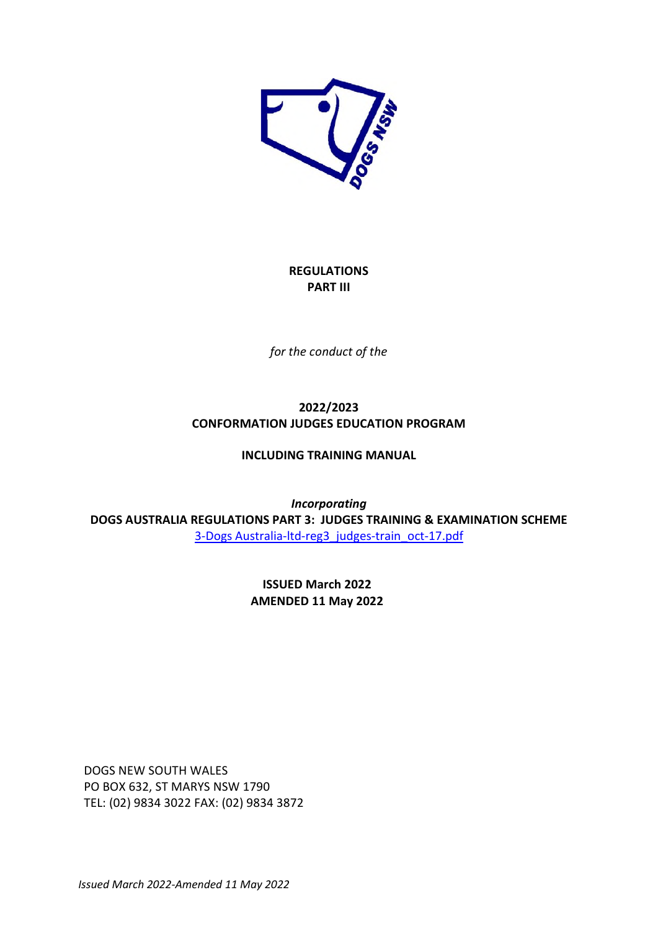

# **REGULATIONS PART III**

*for the conduct of the* 

# **2022/2023 CONFORMATION JUDGES EDUCATION PROGRAM**

# **INCLUDING TRAINING MANUAL**

*Incorporating*  **DOGS AUSTRALIA REGULATIONS PART 3: JUDGES TRAINING & EXAMINATION SCHEME**  3-Dogs Australia-ltd-reg3\_judges-train\_oct-17.pdf

> **ISSUED March 2022 AMENDED 11 May 2022**

DOGS NEW SOUTH WALES PO BOX 632, ST MARYS NSW 1790 TEL: (02) 9834 3022 FAX: (02) 9834 3872

*Issued March 2022-Amended 11 May 2022*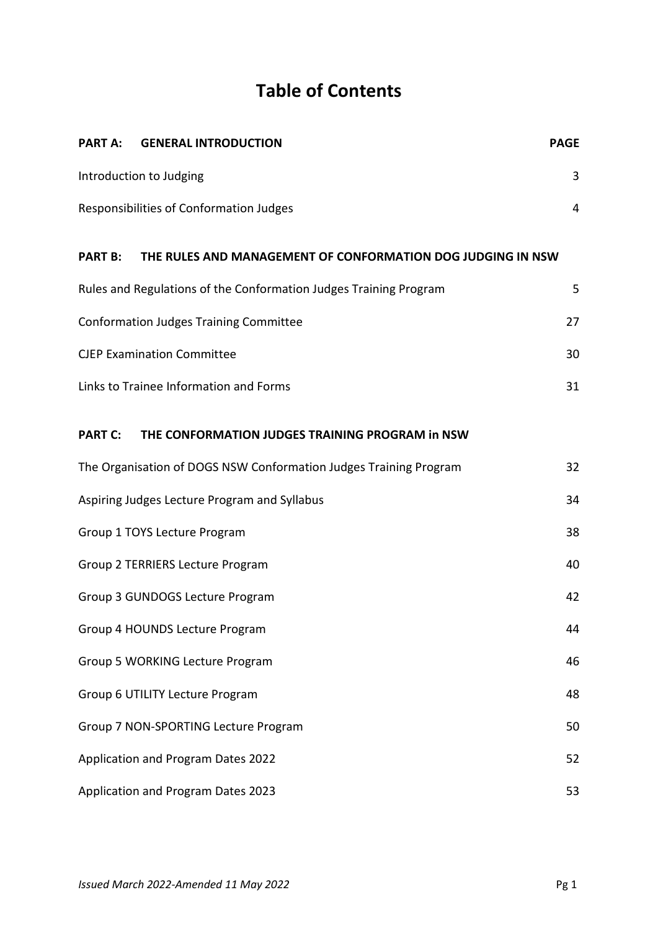# **Table of Contents**

| <b>PART A:</b> | <b>GENERAL INTRODUCTION</b>                                       | <b>PAGE</b> |
|----------------|-------------------------------------------------------------------|-------------|
|                | Introduction to Judging                                           | 3           |
|                | Responsibilities of Conformation Judges                           | 4           |
| <b>PART B:</b> | THE RULES AND MANAGEMENT OF CONFORMATION DOG JUDGING IN NSW       |             |
|                | Rules and Regulations of the Conformation Judges Training Program | 5           |
|                | <b>Conformation Judges Training Committee</b>                     | 27          |
|                | <b>CJEP Examination Committee</b>                                 | 30          |
|                | Links to Trainee Information and Forms                            | 31          |
| <b>PART C:</b> | THE CONFORMATION JUDGES TRAINING PROGRAM in NSW                   |             |
|                | The Organisation of DOGS NSW Conformation Judges Training Program | 32          |
|                | Aspiring Judges Lecture Program and Syllabus                      | 34          |
|                | Group 1 TOYS Lecture Program                                      | 38          |
|                | Group 2 TERRIERS Lecture Program                                  | 40          |
|                | Group 3 GUNDOGS Lecture Program                                   | 42          |
|                | Group 4 HOUNDS Lecture Program                                    | 44          |
|                | <b>Group 5 WORKING Lecture Program</b>                            | 46          |
|                | Group 6 UTILITY Lecture Program                                   | 48          |
|                | Group 7 NON-SPORTING Lecture Program                              | 50          |
|                | Application and Program Dates 2022                                | 52          |
|                | Application and Program Dates 2023                                | 53          |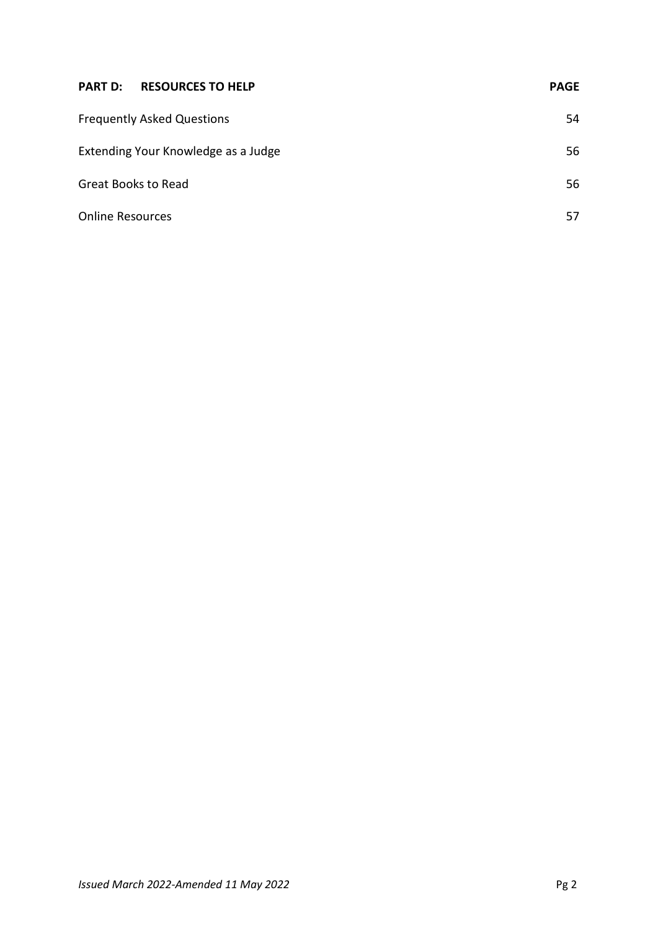| <b>PART D:</b><br><b>RESOURCES TO HELP</b> | <b>PAGE</b> |
|--------------------------------------------|-------------|
| <b>Frequently Asked Questions</b>          | 54          |
| Extending Your Knowledge as a Judge        | 56          |
| <b>Great Books to Read</b>                 | 56          |
| <b>Online Resources</b>                    | 57          |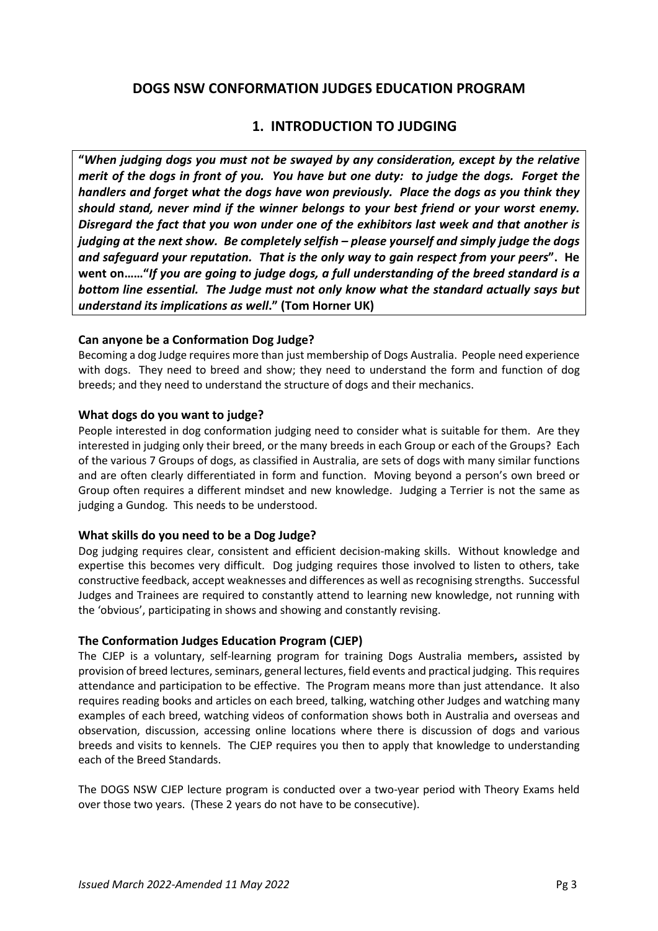# **DOGS NSW CONFORMATION JUDGES EDUCATION PROGRAM**

# **1. INTRODUCTION TO JUDGING**

**"***When judging dogs you must not be swayed by any consideration, except by the relative merit of the dogs in front of you. You have but one duty: to judge the dogs. Forget the handlers and forget what the dogs have won previously. Place the dogs as you think they should stand, never mind if the winner belongs to your best friend or your worst enemy. Disregard the fact that you won under one of the exhibitors last week and that another is judging at the next show. Be completely selfish – please yourself and simply judge the dogs and safeguard your reputation. That is the only way to gain respect from your peers***". He went on……"***If you are going to judge dogs, a full understanding of the breed standard is a bottom line essential. The Judge must not only know what the standard actually says but understand its implications as well***." (Tom Horner UK)** 

# **Can anyone be a Conformation Dog Judge?**

Becoming a dog Judge requires more than just membership of Dogs Australia. People need experience with dogs. They need to breed and show; they need to understand the form and function of dog breeds; and they need to understand the structure of dogs and their mechanics.

# **What dogs do you want to judge?**

People interested in dog conformation judging need to consider what is suitable for them. Are they interested in judging only their breed, or the many breeds in each Group or each of the Groups? Each of the various 7 Groups of dogs, as classified in Australia, are sets of dogs with many similar functions and are often clearly differentiated in form and function. Moving beyond a person's own breed or Group often requires a different mindset and new knowledge. Judging a Terrier is not the same as judging a Gundog. This needs to be understood.

# **What skills do you need to be a Dog Judge?**

Dog judging requires clear, consistent and efficient decision-making skills. Without knowledge and expertise this becomes very difficult. Dog judging requires those involved to listen to others, take constructive feedback, accept weaknesses and differences as well as recognising strengths. Successful Judges and Trainees are required to constantly attend to learning new knowledge, not running with the 'obvious', participating in shows and showing and constantly revising.

# **The Conformation Judges Education Program (CJEP)**

The CJEP is a voluntary, self-learning program for training Dogs Australia members**,** assisted by provision of breed lectures, seminars, general lectures, field events and practical judging. This requires attendance and participation to be effective. The Program means more than just attendance. It also requires reading books and articles on each breed, talking, watching other Judges and watching many examples of each breed, watching videos of conformation shows both in Australia and overseas and observation, discussion, accessing online locations where there is discussion of dogs and various breeds and visits to kennels. The CJEP requires you then to apply that knowledge to understanding each of the Breed Standards.

The DOGS NSW CJEP lecture program is conducted over a two-year period with Theory Exams held over those two years. (These 2 years do not have to be consecutive).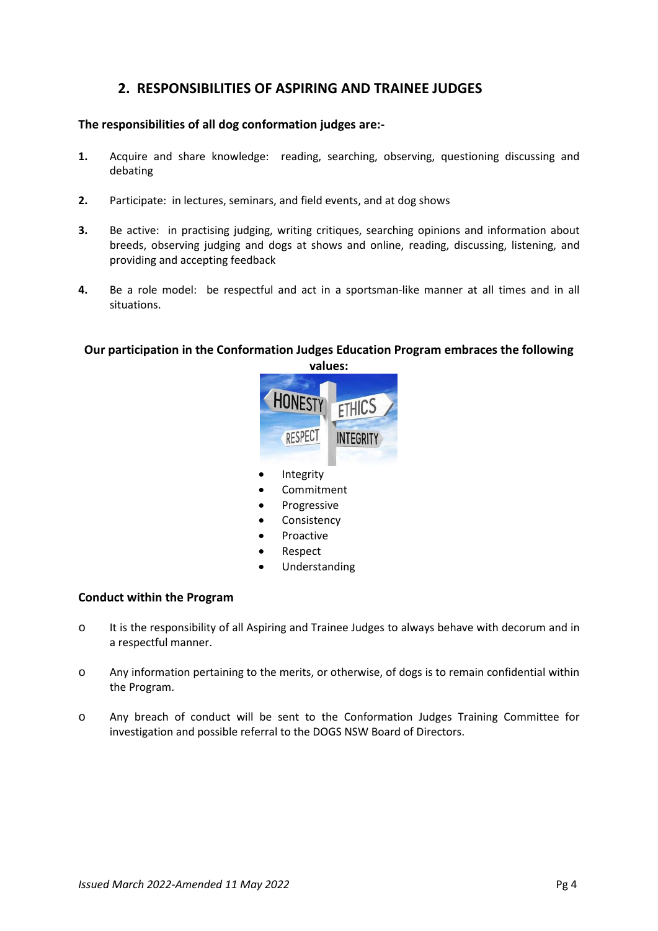# **2. RESPONSIBILITIES OF ASPIRING AND TRAINEE JUDGES**

# **The responsibilities of all dog conformation judges are:-**

- **1.** Acquire and share knowledge: reading, searching, observing, questioning discussing and debating
- **2.** Participate: in lectures, seminars, and field events, and at dog shows
- **3.** Be active: in practising judging, writing critiques, searching opinions and information about breeds, observing judging and dogs at shows and online, reading, discussing, listening, and providing and accepting feedback
- **4.** Be a role model: be respectful and act in a sportsman-like manner at all times and in all situations.

# **Our participation in the Conformation Judges Education Program embraces the following**



- Integrity
- Commitment
- Progressive
- Consistency
- Proactive
- Respect
- Understanding

# **Conduct within the Program**

- o It is the responsibility of all Aspiring and Trainee Judges to always behave with decorum and in a respectful manner.
- o Any information pertaining to the merits, or otherwise, of dogs is to remain confidential within the Program.
- o Any breach of conduct will be sent to the Conformation Judges Training Committee for investigation and possible referral to the DOGS NSW Board of Directors.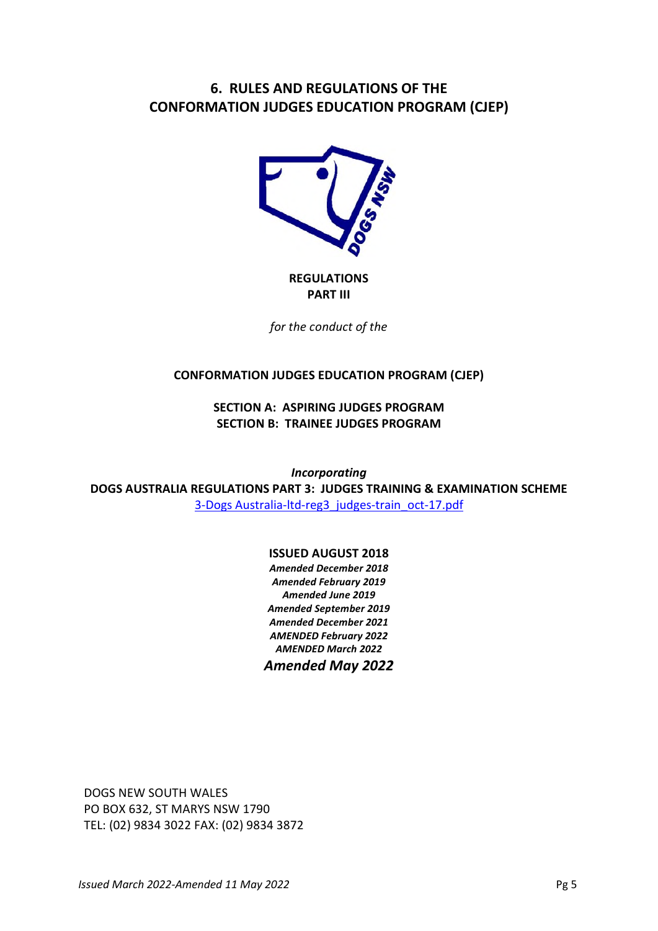# **6. RULES AND REGULATIONS OF THE CONFORMATION JUDGES EDUCATION PROGRAM (CJEP)**



**REGULATIONS PART III**

*for the conduct of the*

# **CONFORMATION JUDGES EDUCATION PROGRAM (CJEP)**

**SECTION A: ASPIRING JUDGES PROGRAM SECTION B: TRAINEE JUDGES PROGRAM** 

*Incorporating*  **DOGS AUSTRALIA REGULATIONS PART 3: JUDGES TRAINING & EXAMINATION SCHEME**  3-Dogs Australia-ltd-reg3\_judges-train\_oct-17.pdf

# **ISSUED AUGUST 2018**

*Amended December 2018 Amended February 2019 Amended June 2019 Amended September 2019 Amended December 2021 AMENDED February 2022 AMENDED March 2022 Amended May 2022* 

DOGS NEW SOUTH WALES PO BOX 632, ST MARYS NSW 1790 TEL: (02) 9834 3022 FAX: (02) 9834 3872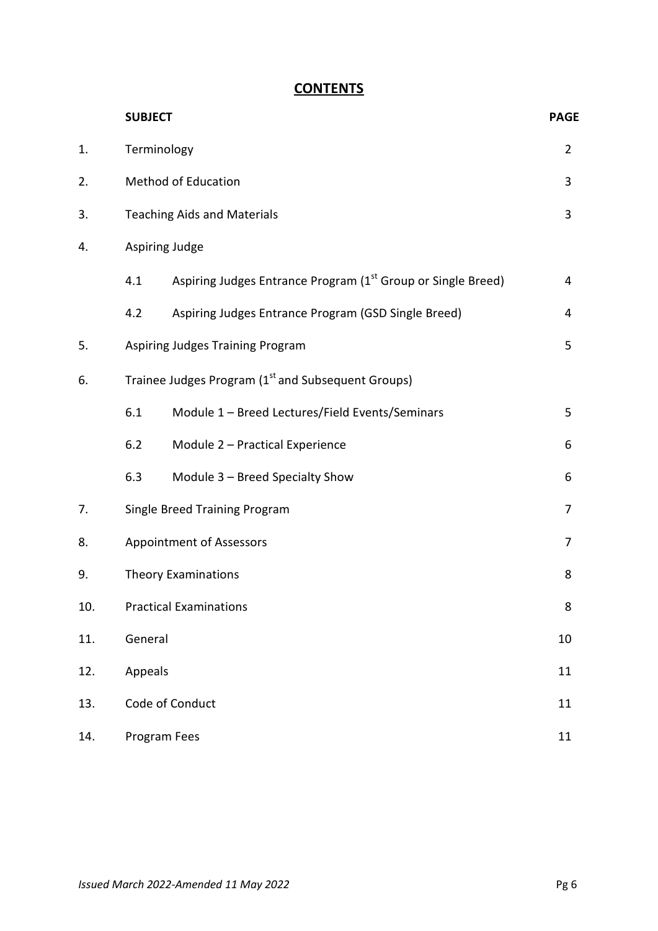# **CONTENTS**

|     | <b>SUBJECT</b> |                                                                | <b>PAGE</b>    |
|-----|----------------|----------------------------------------------------------------|----------------|
| 1.  |                | Terminology                                                    |                |
| 2.  |                | <b>Method of Education</b>                                     | 3              |
| 3.  |                | <b>Teaching Aids and Materials</b>                             | $\overline{3}$ |
| 4.  |                | Aspiring Judge                                                 |                |
|     | 4.1            | Aspiring Judges Entrance Program (1st Group or Single Breed)   | 4              |
|     | 4.2            | Aspiring Judges Entrance Program (GSD Single Breed)            | 4              |
| 5.  |                | Aspiring Judges Training Program                               | 5              |
| 6.  |                | Trainee Judges Program (1 <sup>st</sup> and Subsequent Groups) |                |
|     | 6.1            | Module 1 - Breed Lectures/Field Events/Seminars                | 5              |
|     | 6.2            | Module 2 - Practical Experience                                | 6              |
|     | 6.3            | Module 3 - Breed Specialty Show                                | 6              |
| 7.  |                | Single Breed Training Program                                  |                |
| 8.  |                | <b>Appointment of Assessors</b>                                |                |
| 9.  |                | <b>Theory Examinations</b>                                     |                |
| 10. |                | <b>Practical Examinations</b>                                  |                |
| 11. |                | General                                                        |                |
| 12. |                | Appeals                                                        |                |
| 13. |                | Code of Conduct                                                | 11             |
| 14. |                | Program Fees                                                   |                |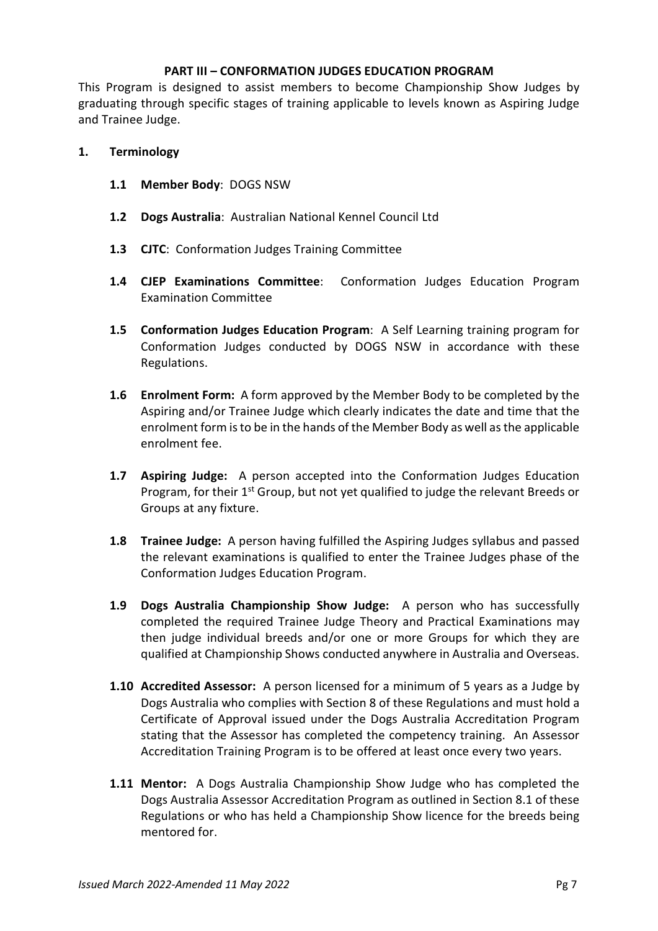# **PART III – CONFORMATION JUDGES EDUCATION PROGRAM**

This Program is designed to assist members to become Championship Show Judges by graduating through specific stages of training applicable to levels known as Aspiring Judge and Trainee Judge.

# **1. Terminology**

- **1.1 Member Body**: DOGS NSW
- **1.2 Dogs Australia**: Australian National Kennel Council Ltd
- **1.3 CJTC**: Conformation Judges Training Committee
- **1.4 CJEP Examinations Committee**: Conformation Judges Education Program Examination Committee
- **1.5 Conformation Judges Education Program**: A Self Learning training program for Conformation Judges conducted by DOGS NSW in accordance with these Regulations.
- **1.6 Enrolment Form:** A form approved by the Member Body to be completed by the Aspiring and/or Trainee Judge which clearly indicates the date and time that the enrolment form is to be in the hands of the Member Body as well as the applicable enrolment fee.
- **1.7 Aspiring Judge:** A person accepted into the Conformation Judges Education Program, for their  $1<sup>st</sup>$  Group, but not yet qualified to judge the relevant Breeds or Groups at any fixture.
- **1.8 Trainee Judge:** A person having fulfilled the Aspiring Judges syllabus and passed the relevant examinations is qualified to enter the Trainee Judges phase of the Conformation Judges Education Program.
- **1.9 Dogs Australia Championship Show Judge:** A person who has successfully completed the required Trainee Judge Theory and Practical Examinations may then judge individual breeds and/or one or more Groups for which they are qualified at Championship Shows conducted anywhere in Australia and Overseas.
- **1.10 Accredited Assessor:** A person licensed for a minimum of 5 years as a Judge by Dogs Australia who complies with Section 8 of these Regulations and must hold a Certificate of Approval issued under the Dogs Australia Accreditation Program stating that the Assessor has completed the competency training. An Assessor Accreditation Training Program is to be offered at least once every two years.
- **1.11 Mentor:** A Dogs Australia Championship Show Judge who has completed the Dogs Australia Assessor Accreditation Program as outlined in Section 8.1 of these Regulations or who has held a Championship Show licence for the breeds being mentored for.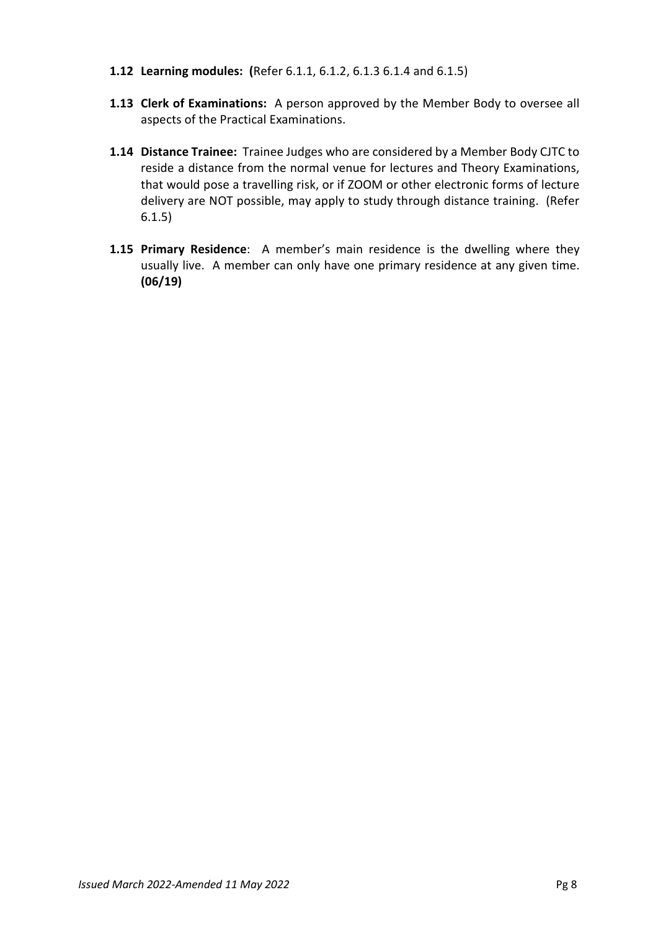- **1.12 Learning modules: (**Refer 6.1.1, 6.1.2, 6.1.3 6.1.4 and 6.1.5)
- **1.13 Clerk of Examinations:** A person approved by the Member Body to oversee all aspects of the Practical Examinations.
- **1.14 Distance Trainee:** Trainee Judges who are considered by a Member Body CJTC to reside a distance from the normal venue for lectures and Theory Examinations, that would pose a travelling risk, or if ZOOM or other electronic forms of lecture delivery are NOT possible, may apply to study through distance training. (Refer 6.1.5)
- **1.15 Primary Residence**: A member's main residence is the dwelling where they usually live. A member can only have one primary residence at any given time. **(06/19)**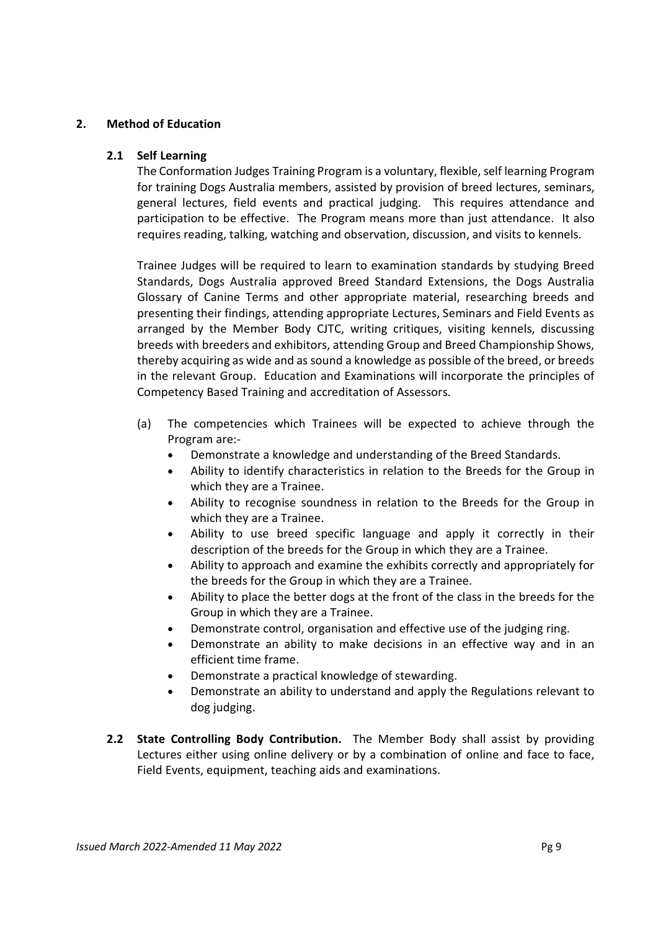# **2. Method of Education**

# **2.1 Self Learning**

The Conformation Judges Training Program is a voluntary, flexible, self learning Program for training Dogs Australia members, assisted by provision of breed lectures, seminars, general lectures, field events and practical judging. This requires attendance and participation to be effective. The Program means more than just attendance. It also requires reading, talking, watching and observation, discussion, and visits to kennels.

Trainee Judges will be required to learn to examination standards by studying Breed Standards, Dogs Australia approved Breed Standard Extensions, the Dogs Australia Glossary of Canine Terms and other appropriate material, researching breeds and presenting their findings, attending appropriate Lectures, Seminars and Field Events as arranged by the Member Body CJTC, writing critiques, visiting kennels, discussing breeds with breeders and exhibitors, attending Group and Breed Championship Shows, thereby acquiring as wide and as sound a knowledge as possible of the breed, or breeds in the relevant Group. Education and Examinations will incorporate the principles of Competency Based Training and accreditation of Assessors.

- (a) The competencies which Trainees will be expected to achieve through the Program are:-
	- Demonstrate a knowledge and understanding of the Breed Standards.
	- Ability to identify characteristics in relation to the Breeds for the Group in which they are a Trainee.
	- Ability to recognise soundness in relation to the Breeds for the Group in which they are a Trainee.
	- Ability to use breed specific language and apply it correctly in their description of the breeds for the Group in which they are a Trainee.
	- Ability to approach and examine the exhibits correctly and appropriately for the breeds for the Group in which they are a Trainee.
	- Ability to place the better dogs at the front of the class in the breeds for the Group in which they are a Trainee.
	- Demonstrate control, organisation and effective use of the judging ring.
	- Demonstrate an ability to make decisions in an effective way and in an efficient time frame.
	- Demonstrate a practical knowledge of stewarding.
	- Demonstrate an ability to understand and apply the Regulations relevant to dog judging.
- **2.2 State Controlling Body Contribution.** The Member Body shall assist by providing Lectures either using online delivery or by a combination of online and face to face, Field Events, equipment, teaching aids and examinations.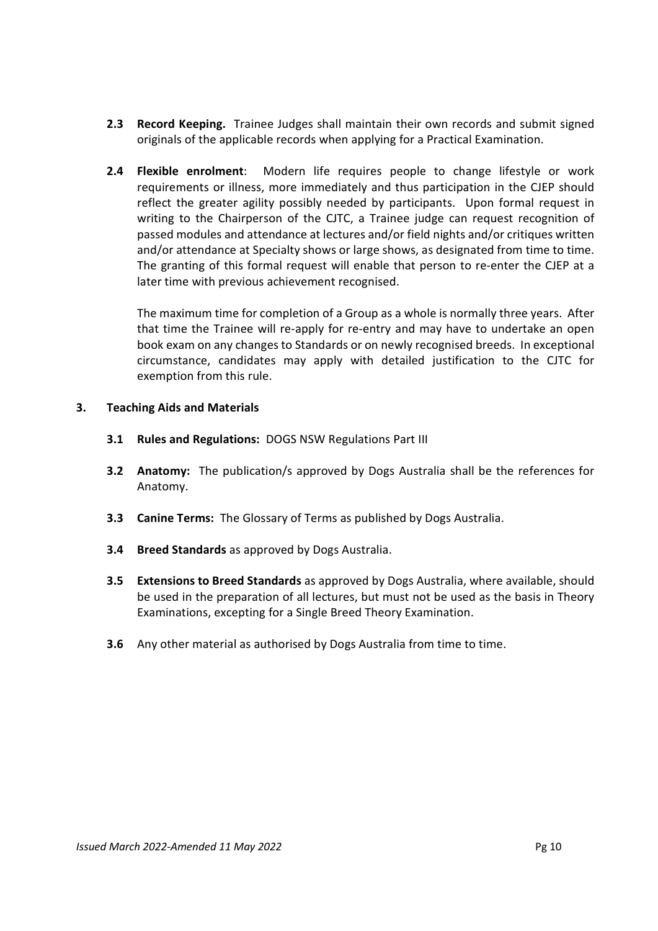- **2.3 Record Keeping.** Trainee Judges shall maintain their own records and submit signed originals of the applicable records when applying for a Practical Examination.
- **2.4 Flexible enrolment**: Modern life requires people to change lifestyle or work requirements or illness, more immediately and thus participation in the CJEP should reflect the greater agility possibly needed by participants. Upon formal request in writing to the Chairperson of the CJTC, a Trainee judge can request recognition of passed modules and attendance at lectures and/or field nights and/or critiques written and/or attendance at Specialty shows or large shows, as designated from time to time. The granting of this formal request will enable that person to re-enter the CJEP at a later time with previous achievement recognised.

The maximum time for completion of a Group as a whole is normally three years. After that time the Trainee will re-apply for re-entry and may have to undertake an open book exam on any changes to Standards or on newly recognised breeds. In exceptional circumstance, candidates may apply with detailed justification to the CJTC for exemption from this rule.

## **3. Teaching Aids and Materials**

- **3.1 Rules and Regulations:** DOGS NSW Regulations Part III
- **3.2 Anatomy:** The publication/s approved by Dogs Australia shall be the references for Anatomy.
- **3.3 Canine Terms:** The Glossary of Terms as published by Dogs Australia.
- **3.4 Breed Standards** as approved by Dogs Australia.
- **3.5 Extensions to Breed Standards** as approved by Dogs Australia, where available, should be used in the preparation of all lectures, but must not be used as the basis in Theory Examinations, excepting for a Single Breed Theory Examination.
- **3.6** Any other material as authorised by Dogs Australia from time to time.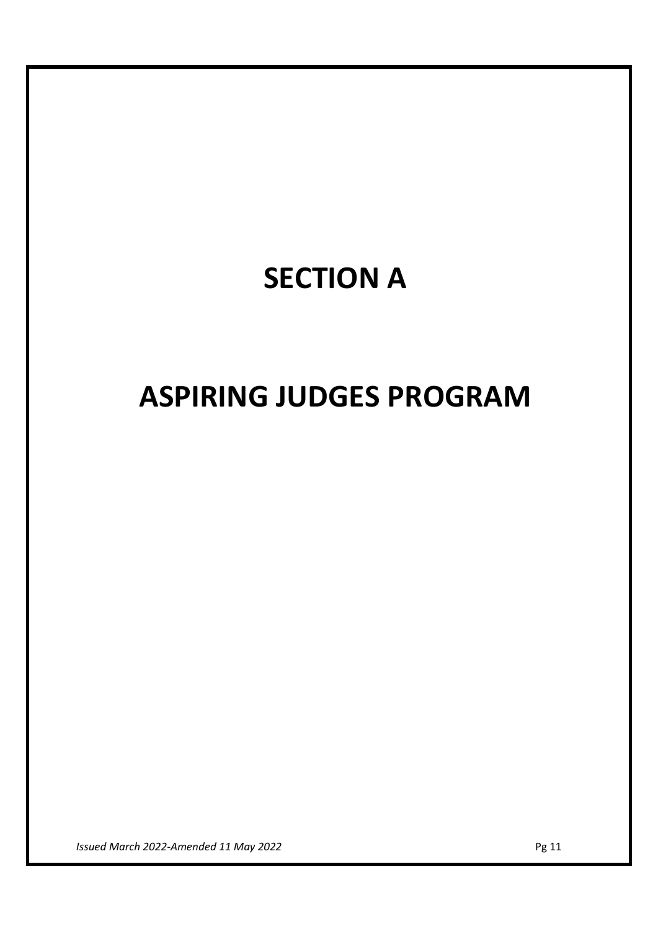# **SECTION A**

# **ASPIRING JUDGES PROGRAM**

*Issued March 2022-Amended 11 May 2022* Pg 11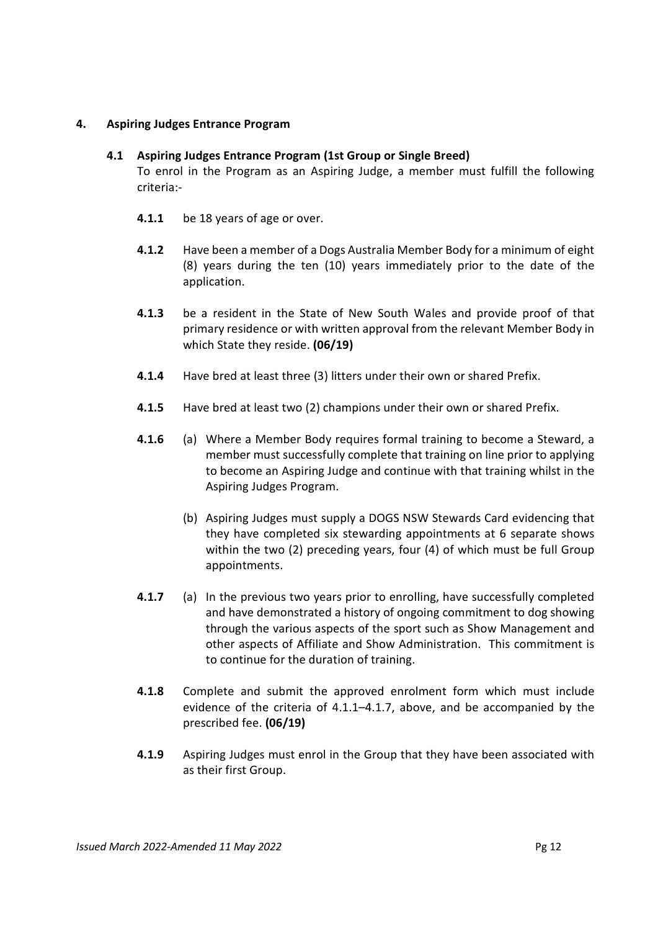# **4. Aspiring Judges Entrance Program**

# **4.1 Aspiring Judges Entrance Program (1st Group or Single Breed)**

To enrol in the Program as an Aspiring Judge, a member must fulfill the following criteria:-

- **4.1.1** be 18 years of age or over.
- **4.1.2** Have been a member of a Dogs Australia Member Body for a minimum of eight (8) years during the ten (10) years immediately prior to the date of the application.
- **4.1.3** be a resident in the State of New South Wales and provide proof of that primary residence or with written approval from the relevant Member Body in which State they reside. **(06/19)**
- **4.1.4** Have bred at least three (3) litters under their own or shared Prefix.
- **4.1.5** Have bred at least two (2) champions under their own or shared Prefix.
- **4.1.6** (a) Where a Member Body requires formal training to become a Steward, a member must successfully complete that training on line prior to applying to become an Aspiring Judge and continue with that training whilst in the Aspiring Judges Program.
	- (b) Aspiring Judges must supply a DOGS NSW Stewards Card evidencing that they have completed six stewarding appointments at 6 separate shows within the two (2) preceding years, four (4) of which must be full Group appointments.
- **4.1.7** (a) In the previous two years prior to enrolling, have successfully completed and have demonstrated a history of ongoing commitment to dog showing through the various aspects of the sport such as Show Management and other aspects of Affiliate and Show Administration. This commitment is to continue for the duration of training.
- **4.1.8** Complete and submit the approved enrolment form which must include evidence of the criteria of 4.1.1–4.1.7, above, and be accompanied by the prescribed fee. **(06/19)**
- **4.1.9** Aspiring Judges must enrol in the Group that they have been associated with as their first Group.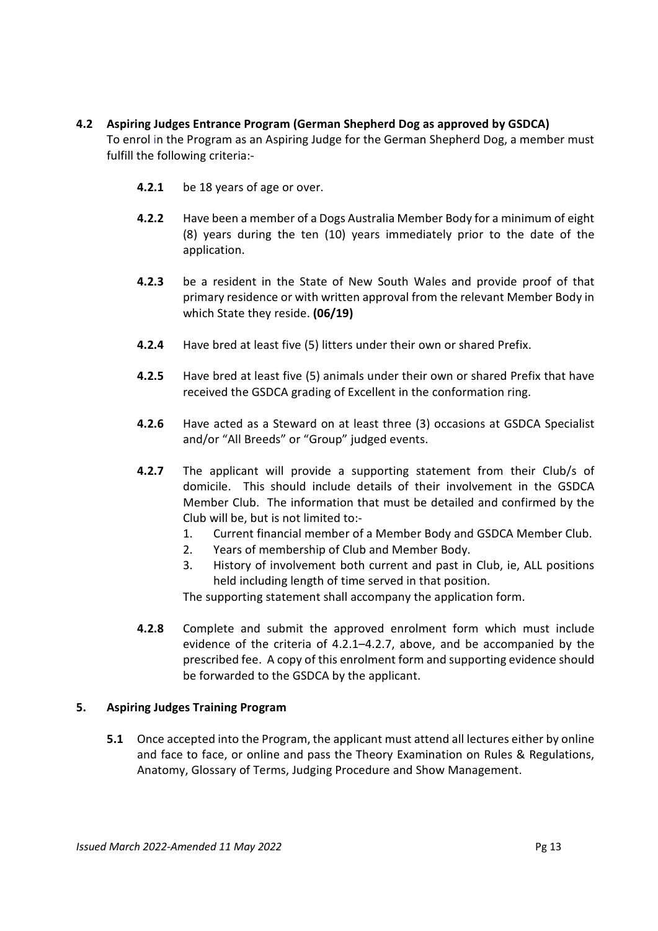- **4.2 Aspiring Judges Entrance Program (German Shepherd Dog as approved by GSDCA)** To enrol in the Program as an Aspiring Judge for the German Shepherd Dog, a member must fulfill the following criteria:-
	- **4.2.1** be 18 years of age or over.
	- **4.2.2** Have been a member of a Dogs Australia Member Body for a minimum of eight (8) years during the ten (10) years immediately prior to the date of the application.
	- **4.2.3** be a resident in the State of New South Wales and provide proof of that primary residence or with written approval from the relevant Member Body in which State they reside. **(06/19)**
	- **4.2.4** Have bred at least five (5) litters under their own or shared Prefix.
	- **4.2.5** Have bred at least five (5) animals under their own or shared Prefix that have received the GSDCA grading of Excellent in the conformation ring.
	- **4.2.6** Have acted as a Steward on at least three (3) occasions at GSDCA Specialist and/or "All Breeds" or "Group" judged events.
	- **4.2.7** The applicant will provide a supporting statement from their Club/s of domicile. This should include details of their involvement in the GSDCA Member Club. The information that must be detailed and confirmed by the Club will be, but is not limited to:-
		- 1. Current financial member of a Member Body and GSDCA Member Club.
		- 2. Years of membership of Club and Member Body.
		- 3. History of involvement both current and past in Club, ie, ALL positions held including length of time served in that position.

The supporting statement shall accompany the application form.

**4.2.8** Complete and submit the approved enrolment form which must include evidence of the criteria of 4.2.1–4.2.7, above, and be accompanied by the prescribed fee. A copy of this enrolment form and supporting evidence should be forwarded to the GSDCA by the applicant.

# **5. Aspiring Judges Training Program**

**5.1** Once accepted into the Program, the applicant must attend all lectures either by online and face to face, or online and pass the Theory Examination on Rules & Regulations, Anatomy, Glossary of Terms, Judging Procedure and Show Management.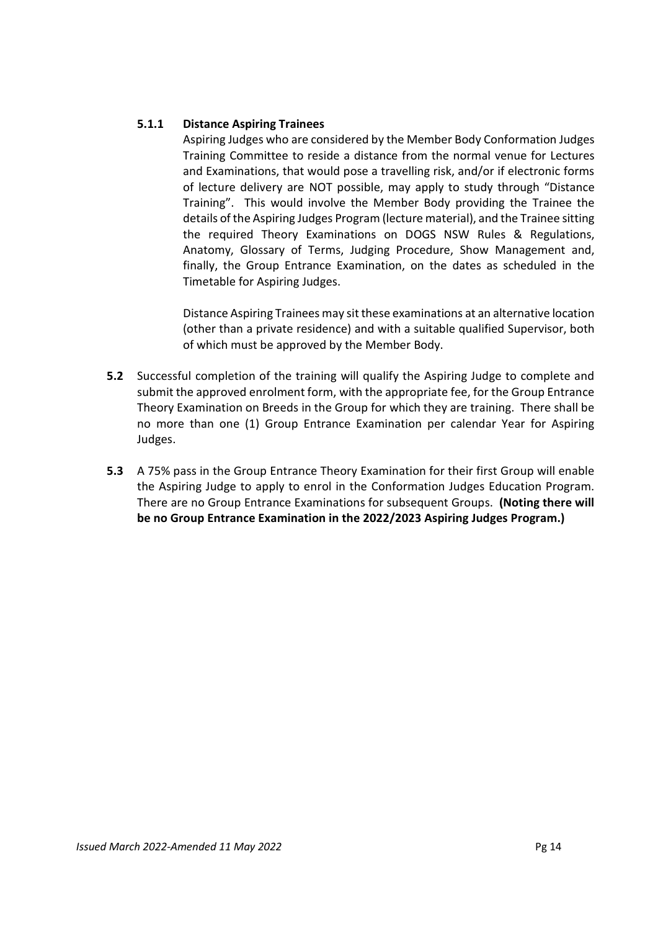# **5.1.1 Distance Aspiring Trainees**

Aspiring Judges who are considered by the Member Body Conformation Judges Training Committee to reside a distance from the normal venue for Lectures and Examinations, that would pose a travelling risk, and/or if electronic forms of lecture delivery are NOT possible, may apply to study through "Distance Training". This would involve the Member Body providing the Trainee the details of the Aspiring Judges Program (lecture material), and the Trainee sitting the required Theory Examinations on DOGS NSW Rules & Regulations, Anatomy, Glossary of Terms, Judging Procedure, Show Management and, finally, the Group Entrance Examination, on the dates as scheduled in the Timetable for Aspiring Judges.

Distance Aspiring Trainees may sit these examinations at an alternative location (other than a private residence) and with a suitable qualified Supervisor, both of which must be approved by the Member Body.

- **5.2** Successful completion of the training will qualify the Aspiring Judge to complete and submit the approved enrolment form, with the appropriate fee, for the Group Entrance Theory Examination on Breeds in the Group for which they are training. There shall be no more than one (1) Group Entrance Examination per calendar Year for Aspiring Judges.
- **5.3** A 75% pass in the Group Entrance Theory Examination for their first Group will enable the Aspiring Judge to apply to enrol in the Conformation Judges Education Program. There are no Group Entrance Examinations for subsequent Groups. **(Noting there will be no Group Entrance Examination in the 2022/2023 Aspiring Judges Program.)**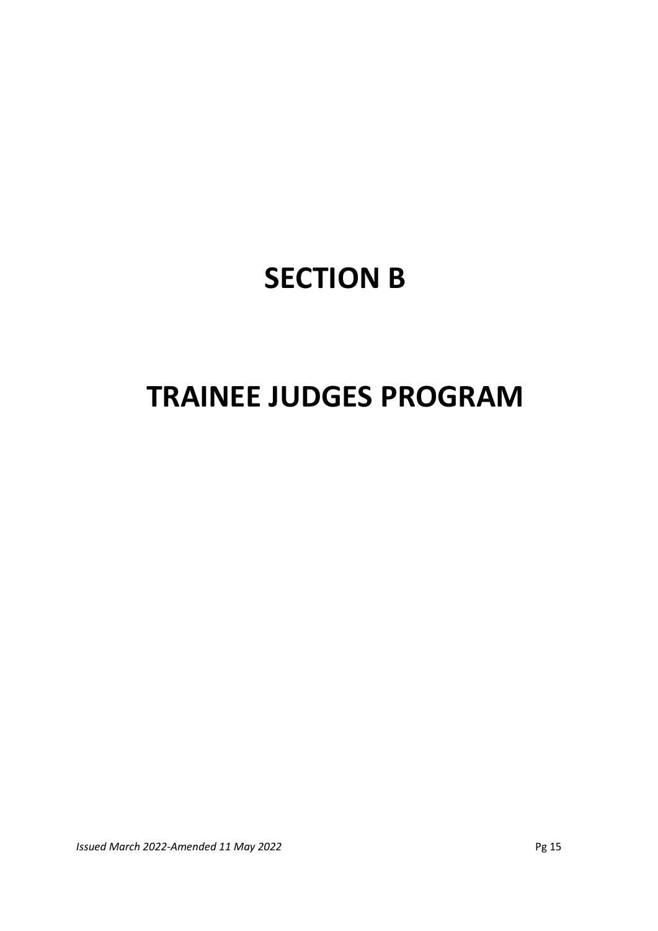# **SECTION B**

# **TRAINEE JUDGES PROGRAM**

*Issued March 2022-Amended 11 May 2022* Pg 15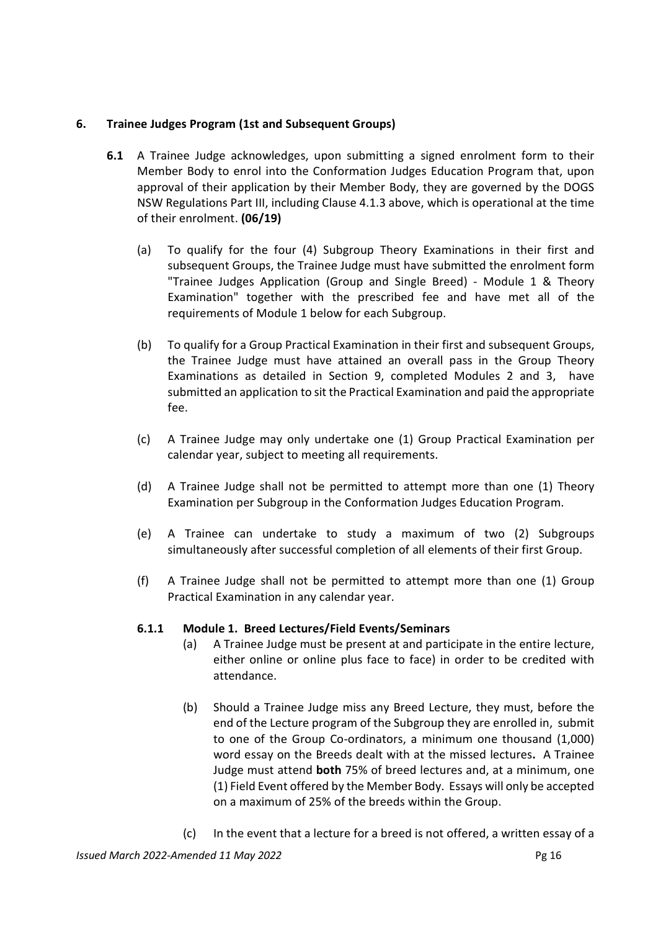# **6. Trainee Judges Program (1st and Subsequent Groups)**

- **6.1** A Trainee Judge acknowledges, upon submitting a signed enrolment form to their Member Body to enrol into the Conformation Judges Education Program that, upon approval of their application by their Member Body, they are governed by the DOGS NSW Regulations Part III, including Clause 4.1.3 above, which is operational at the time of their enrolment. **(06/19)** 
	- (a) To qualify for the four (4) Subgroup Theory Examinations in their first and subsequent Groups, the Trainee Judge must have submitted the enrolment form "Trainee Judges Application (Group and Single Breed) - Module 1 & Theory Examination" together with the prescribed fee and have met all of the requirements of Module 1 below for each Subgroup.
	- (b) To qualify for a Group Practical Examination in their first and subsequent Groups, the Trainee Judge must have attained an overall pass in the Group Theory Examinations as detailed in Section 9, completed Modules 2 and 3, have submitted an application to sit the Practical Examination and paid the appropriate fee.
	- (c) A Trainee Judge may only undertake one (1) Group Practical Examination per calendar year, subject to meeting all requirements.
	- (d) A Trainee Judge shall not be permitted to attempt more than one (1) Theory Examination per Subgroup in the Conformation Judges Education Program.
	- (e) A Trainee can undertake to study a maximum of two (2) Subgroups simultaneously after successful completion of all elements of their first Group.
	- (f) A Trainee Judge shall not be permitted to attempt more than one (1) Group Practical Examination in any calendar year.

# **6.1.1 Module 1. Breed Lectures/Field Events/Seminars**

- (a) A Trainee Judge must be present at and participate in the entire lecture, either online or online plus face to face) in order to be credited with attendance.
- (b) Should a Trainee Judge miss any Breed Lecture, they must, before the end of the Lecture program of the Subgroup they are enrolled in, submit to one of the Group Co-ordinators, a minimum one thousand (1,000) word essay on the Breeds dealt with at the missed lectures**.** A Trainee Judge must attend **both** 75% of breed lectures and, at a minimum, one (1) Field Event offered by the Member Body. Essays will only be accepted on a maximum of 25% of the breeds within the Group.
- (c) In the event that a lecture for a breed is not offered, a written essay of a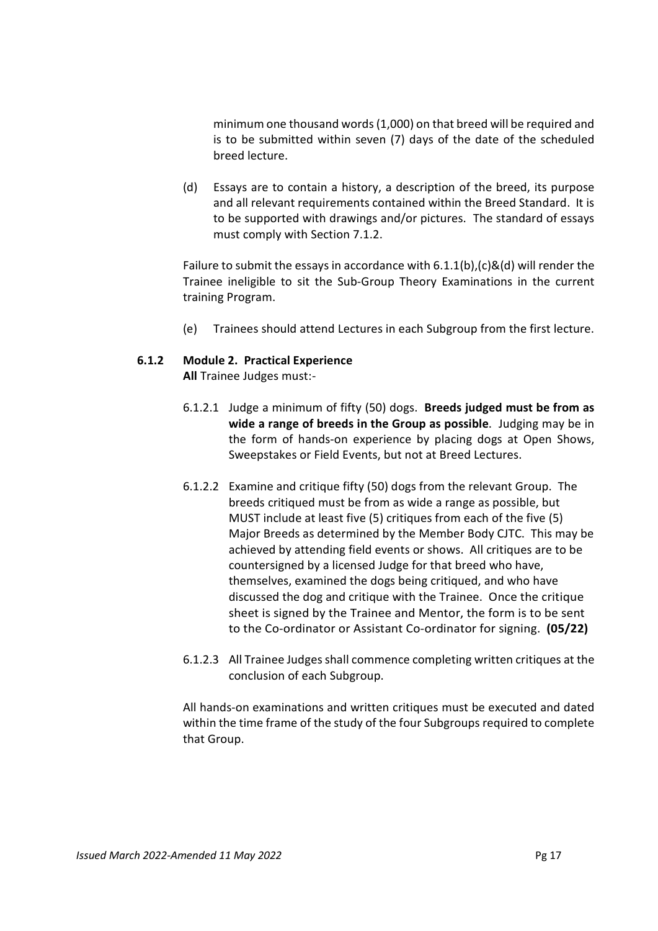minimum one thousand words (1,000) on that breed will be required and is to be submitted within seven (7) days of the date of the scheduled breed lecture.

(d) Essays are to contain a history, a description of the breed, its purpose and all relevant requirements contained within the Breed Standard. It is to be supported with drawings and/or pictures. The standard of essays must comply with Section 7.1.2.

Failure to submit the essays in accordance with  $6.1.1(b)$ ,  $(c)$ &(d) will render the Trainee ineligible to sit the Sub-Group Theory Examinations in the current training Program.

(e) Trainees should attend Lectures in each Subgroup from the first lecture.

# **6.1.2 Module 2. Practical Experience**

**All** Trainee Judges must:-

- 6.1.2.1 Judge a minimum of fifty (50) dogs. **Breeds judged must be from as wide a range of breeds in the Group as possible**. Judging may be in the form of hands-on experience by placing dogs at Open Shows, Sweepstakes or Field Events, but not at Breed Lectures.
- 6.1.2.2 Examine and critique fifty (50) dogs from the relevant Group. The breeds critiqued must be from as wide a range as possible, but MUST include at least five (5) critiques from each of the five (5) Major Breeds as determined by the Member Body CJTC. This may be achieved by attending field events or shows. All critiques are to be countersigned by a licensed Judge for that breed who have, themselves, examined the dogs being critiqued, and who have discussed the dog and critique with the Trainee. Once the critique sheet is signed by the Trainee and Mentor, the form is to be sent to the Co-ordinator or Assistant Co-ordinator for signing. **(05/22)**
- 6.1.2.3 All Trainee Judges shall commence completing written critiques at the conclusion of each Subgroup.

All hands-on examinations and written critiques must be executed and dated within the time frame of the study of the four Subgroups required to complete that Group.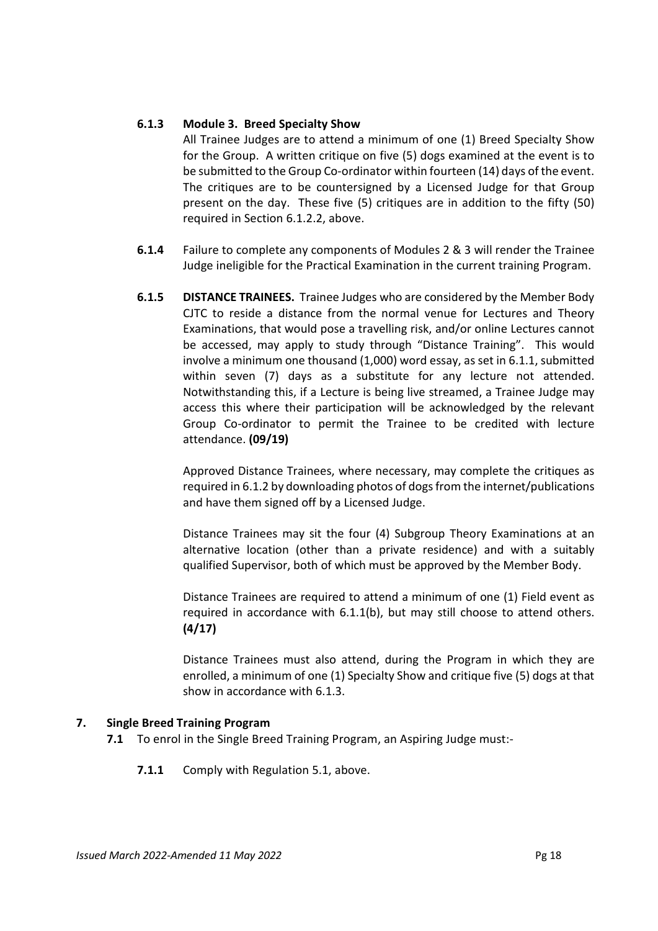# **6.1.3 Module 3. Breed Specialty Show**

All Trainee Judges are to attend a minimum of one (1) Breed Specialty Show for the Group. A written critique on five (5) dogs examined at the event is to be submitted to the Group Co-ordinator within fourteen (14) days of the event. The critiques are to be countersigned by a Licensed Judge for that Group present on the day. These five (5) critiques are in addition to the fifty (50) required in Section 6.1.2.2, above.

- **6.1.4** Failure to complete any components of Modules 2 & 3 will render the Trainee Judge ineligible for the Practical Examination in the current training Program.
- **6.1.5 DISTANCE TRAINEES.** Trainee Judges who are considered by the Member Body CJTC to reside a distance from the normal venue for Lectures and Theory Examinations, that would pose a travelling risk, and/or online Lectures cannot be accessed, may apply to study through "Distance Training". This would involve a minimum one thousand (1,000) word essay, as set in 6.1.1, submitted within seven (7) days as a substitute for any lecture not attended. Notwithstanding this, if a Lecture is being live streamed, a Trainee Judge may access this where their participation will be acknowledged by the relevant Group Co-ordinator to permit the Trainee to be credited with lecture attendance. **(09/19)**

Approved Distance Trainees, where necessary, may complete the critiques as required in 6.1.2 by downloading photos of dogs from the internet/publications and have them signed off by a Licensed Judge.

Distance Trainees may sit the four (4) Subgroup Theory Examinations at an alternative location (other than a private residence) and with a suitably qualified Supervisor, both of which must be approved by the Member Body.

Distance Trainees are required to attend a minimum of one (1) Field event as required in accordance with 6.1.1(b), but may still choose to attend others. **(4/17)**

Distance Trainees must also attend, during the Program in which they are enrolled, a minimum of one (1) Specialty Show and critique five (5) dogs at that show in accordance with 6.1.3.

# **7. Single Breed Training Program**

- **7.1** To enrol in the Single Breed Training Program, an Aspiring Judge must:-
	- **7.1.1** Comply with Regulation 5.1, above.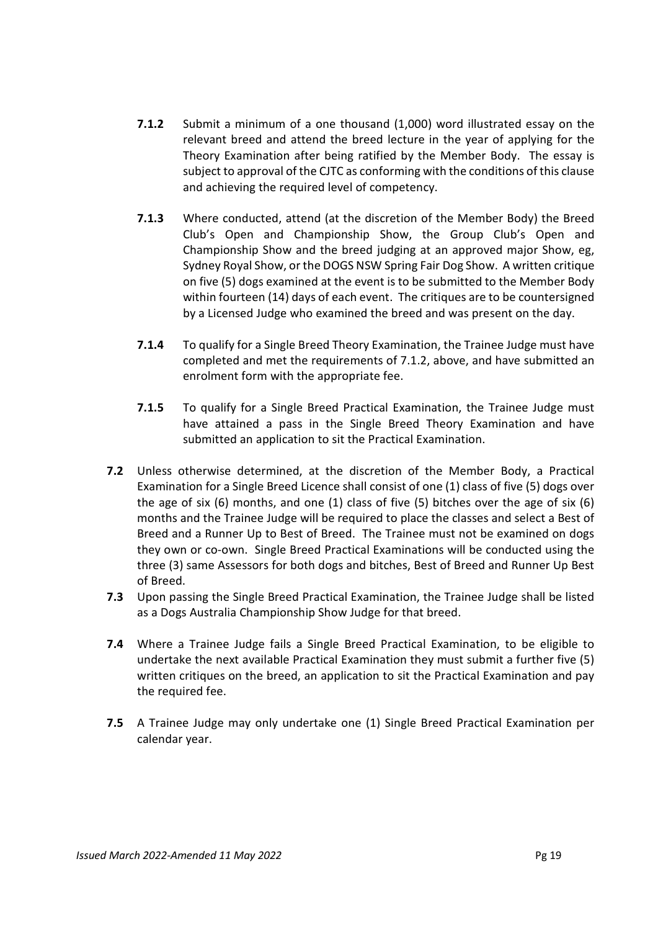- **7.1.2** Submit a minimum of a one thousand (1,000) word illustrated essay on the relevant breed and attend the breed lecture in the year of applying for the Theory Examination after being ratified by the Member Body. The essay is subject to approval of the CJTC as conforming with the conditions of this clause and achieving the required level of competency.
- **7.1.3** Where conducted, attend (at the discretion of the Member Body) the Breed Club's Open and Championship Show, the Group Club's Open and Championship Show and the breed judging at an approved major Show, eg, Sydney Royal Show, or the DOGS NSW Spring Fair Dog Show. A written critique on five (5) dogs examined at the event is to be submitted to the Member Body within fourteen (14) days of each event. The critiques are to be countersigned by a Licensed Judge who examined the breed and was present on the day.
- **7.1.4** To qualify for a Single Breed Theory Examination, the Trainee Judge must have completed and met the requirements of 7.1.2, above, and have submitted an enrolment form with the appropriate fee.
- **7.1.5** To qualify for a Single Breed Practical Examination, the Trainee Judge must have attained a pass in the Single Breed Theory Examination and have submitted an application to sit the Practical Examination.
- **7.2** Unless otherwise determined, at the discretion of the Member Body, a Practical Examination for a Single Breed Licence shall consist of one (1) class of five (5) dogs over the age of six (6) months, and one (1) class of five (5) bitches over the age of six (6) months and the Trainee Judge will be required to place the classes and select a Best of Breed and a Runner Up to Best of Breed. The Trainee must not be examined on dogs they own or co-own. Single Breed Practical Examinations will be conducted using the three (3) same Assessors for both dogs and bitches, Best of Breed and Runner Up Best of Breed.
- **7.3** Upon passing the Single Breed Practical Examination, the Trainee Judge shall be listed as a Dogs Australia Championship Show Judge for that breed.
- **7.4** Where a Trainee Judge fails a Single Breed Practical Examination, to be eligible to undertake the next available Practical Examination they must submit a further five (5) written critiques on the breed, an application to sit the Practical Examination and pay the required fee.
- **7.5** A Trainee Judge may only undertake one (1) Single Breed Practical Examination per calendar year.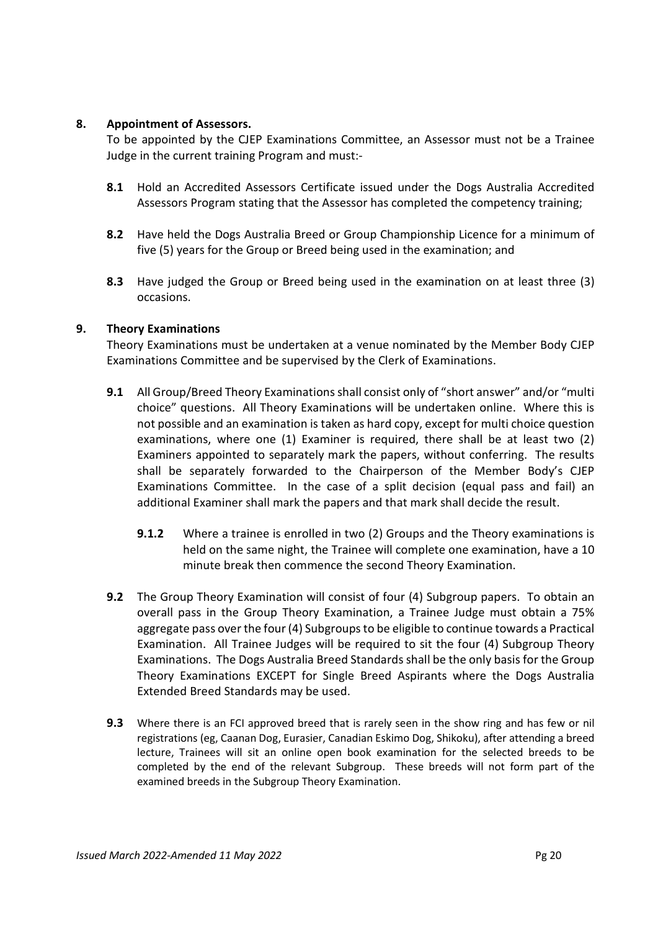# **8. Appointment of Assessors.**

To be appointed by the CJEP Examinations Committee, an Assessor must not be a Trainee Judge in the current training Program and must:-

- **8.1** Hold an Accredited Assessors Certificate issued under the Dogs Australia Accredited Assessors Program stating that the Assessor has completed the competency training;
- **8.2** Have held the Dogs Australia Breed or Group Championship Licence for a minimum of five (5) years for the Group or Breed being used in the examination; and
- **8.3** Have judged the Group or Breed being used in the examination on at least three (3) occasions.

# **9. Theory Examinations**

Theory Examinations must be undertaken at a venue nominated by the Member Body CJEP Examinations Committee and be supervised by the Clerk of Examinations.

- **9.1** All Group/Breed Theory Examinations shall consist only of "short answer" and/or "multi choice" questions. All Theory Examinations will be undertaken online. Where this is not possible and an examination is taken as hard copy, except for multi choice question examinations, where one (1) Examiner is required, there shall be at least two (2) Examiners appointed to separately mark the papers, without conferring. The results shall be separately forwarded to the Chairperson of the Member Body's CJEP Examinations Committee. In the case of a split decision (equal pass and fail) an additional Examiner shall mark the papers and that mark shall decide the result.
	- **9.1.2** Where a trainee is enrolled in two (2) Groups and the Theory examinations is held on the same night, the Trainee will complete one examination, have a 10 minute break then commence the second Theory Examination.
- **9.2** The Group Theory Examination will consist of four (4) Subgroup papers. To obtain an overall pass in the Group Theory Examination, a Trainee Judge must obtain a 75% aggregate pass over the four (4) Subgroups to be eligible to continue towards a Practical Examination. All Trainee Judges will be required to sit the four (4) Subgroup Theory Examinations. The Dogs Australia Breed Standardsshall be the only basis for the Group Theory Examinations EXCEPT for Single Breed Aspirants where the Dogs Australia Extended Breed Standards may be used.
- **9.3** Where there is an FCI approved breed that is rarely seen in the show ring and has few or nil registrations (eg, Caanan Dog, Eurasier, Canadian Eskimo Dog, Shikoku), after attending a breed lecture, Trainees will sit an online open book examination for the selected breeds to be completed by the end of the relevant Subgroup. These breeds will not form part of the examined breeds in the Subgroup Theory Examination.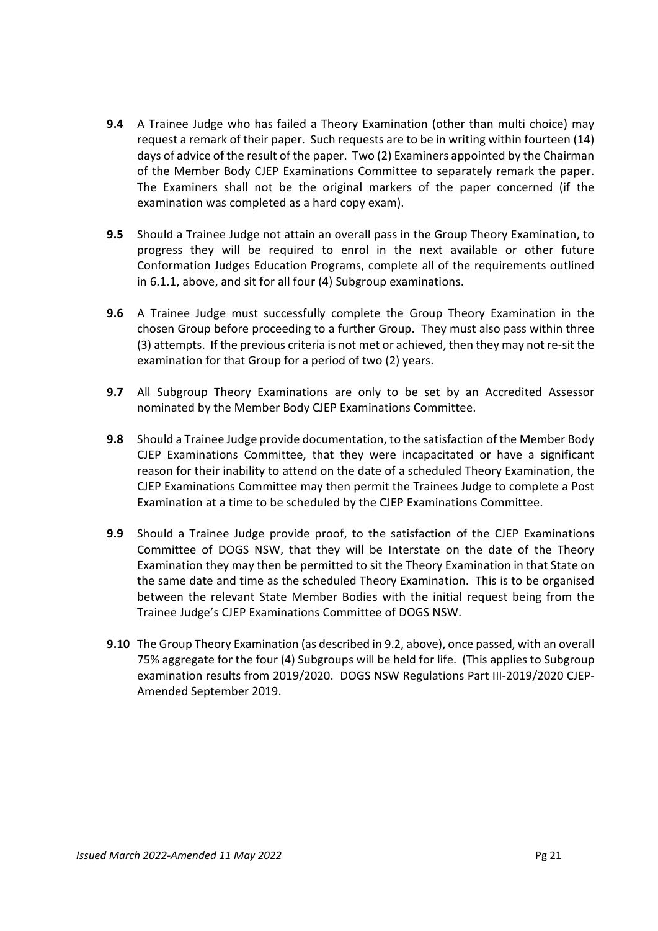- **9.4** A Trainee Judge who has failed a Theory Examination (other than multi choice) may request a remark of their paper. Such requests are to be in writing within fourteen (14) days of advice of the result of the paper. Two (2) Examiners appointed by the Chairman of the Member Body CJEP Examinations Committee to separately remark the paper. The Examiners shall not be the original markers of the paper concerned (if the examination was completed as a hard copy exam).
- **9.5** Should a Trainee Judge not attain an overall pass in the Group Theory Examination, to progress they will be required to enrol in the next available or other future Conformation Judges Education Programs, complete all of the requirements outlined in 6.1.1, above, and sit for all four (4) Subgroup examinations.
- **9.6** A Trainee Judge must successfully complete the Group Theory Examination in the chosen Group before proceeding to a further Group. They must also pass within three (3) attempts. If the previous criteria is not met or achieved, then they may not re-sit the examination for that Group for a period of two (2) years.
- **9.7** All Subgroup Theory Examinations are only to be set by an Accredited Assessor nominated by the Member Body CJEP Examinations Committee.
- **9.8** Should a Trainee Judge provide documentation, to the satisfaction of the Member Body CJEP Examinations Committee, that they were incapacitated or have a significant reason for their inability to attend on the date of a scheduled Theory Examination, the CJEP Examinations Committee may then permit the Trainees Judge to complete a Post Examination at a time to be scheduled by the CJEP Examinations Committee.
- **9.9** Should a Trainee Judge provide proof, to the satisfaction of the CJEP Examinations Committee of DOGS NSW, that they will be Interstate on the date of the Theory Examination they may then be permitted to sit the Theory Examination in that State on the same date and time as the scheduled Theory Examination. This is to be organised between the relevant State Member Bodies with the initial request being from the Trainee Judge's CJEP Examinations Committee of DOGS NSW.
- **9.10** The Group Theory Examination (as described in 9.2, above), once passed, with an overall 75% aggregate for the four (4) Subgroups will be held for life. (This applies to Subgroup examination results from 2019/2020. DOGS NSW Regulations Part III-2019/2020 CJEP-Amended September 2019.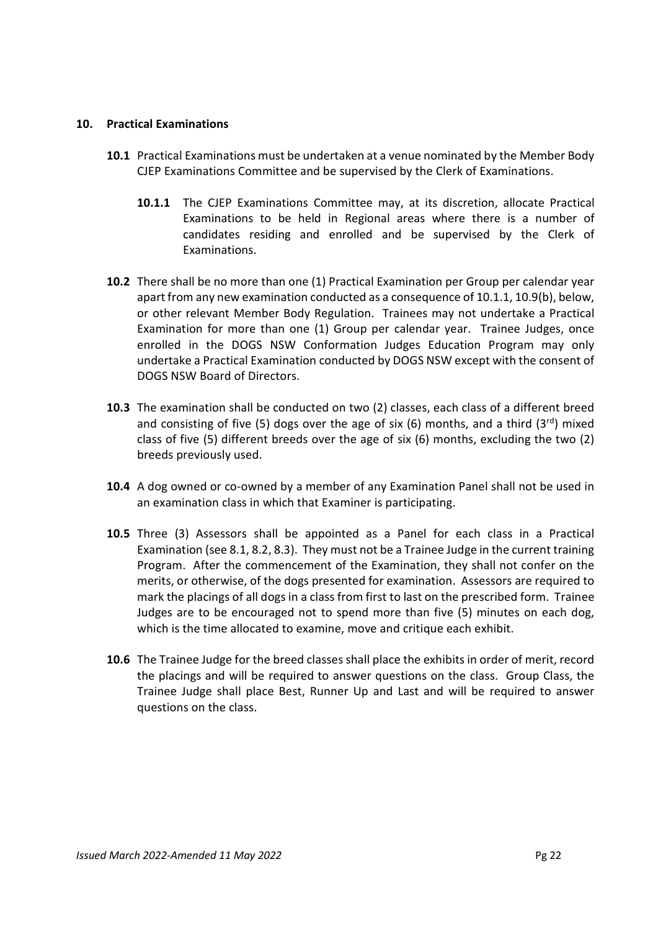## **10. Practical Examinations**

- **10.1** Practical Examinations must be undertaken at a venue nominated by the Member Body CJEP Examinations Committee and be supervised by the Clerk of Examinations.
	- **10.1.1** The CJEP Examinations Committee may, at its discretion, allocate Practical Examinations to be held in Regional areas where there is a number of candidates residing and enrolled and be supervised by the Clerk of Examinations.
- **10.2** There shall be no more than one (1) Practical Examination per Group per calendar year apart from any new examination conducted as a consequence of 10.1.1, 10.9(b), below, or other relevant Member Body Regulation. Trainees may not undertake a Practical Examination for more than one (1) Group per calendar year. Trainee Judges, once enrolled in the DOGS NSW Conformation Judges Education Program may only undertake a Practical Examination conducted by DOGS NSW except with the consent of DOGS NSW Board of Directors.
- **10.3** The examination shall be conducted on two (2) classes, each class of a different breed and consisting of five (5) dogs over the age of six (6) months, and a third (3<sup>rd</sup>) mixed class of five (5) different breeds over the age of six (6) months, excluding the two (2) breeds previously used.
- **10.4** A dog owned or co-owned by a member of any Examination Panel shall not be used in an examination class in which that Examiner is participating.
- **10.5** Three (3) Assessors shall be appointed as a Panel for each class in a Practical Examination (see 8.1, 8.2, 8.3). They must not be a Trainee Judge in the current training Program. After the commencement of the Examination, they shall not confer on the merits, or otherwise, of the dogs presented for examination. Assessors are required to mark the placings of all dogs in a class from first to last on the prescribed form. Trainee Judges are to be encouraged not to spend more than five (5) minutes on each dog, which is the time allocated to examine, move and critique each exhibit.
- **10.6** The Trainee Judge for the breed classes shall place the exhibits in order of merit, record the placings and will be required to answer questions on the class. Group Class, the Trainee Judge shall place Best, Runner Up and Last and will be required to answer questions on the class.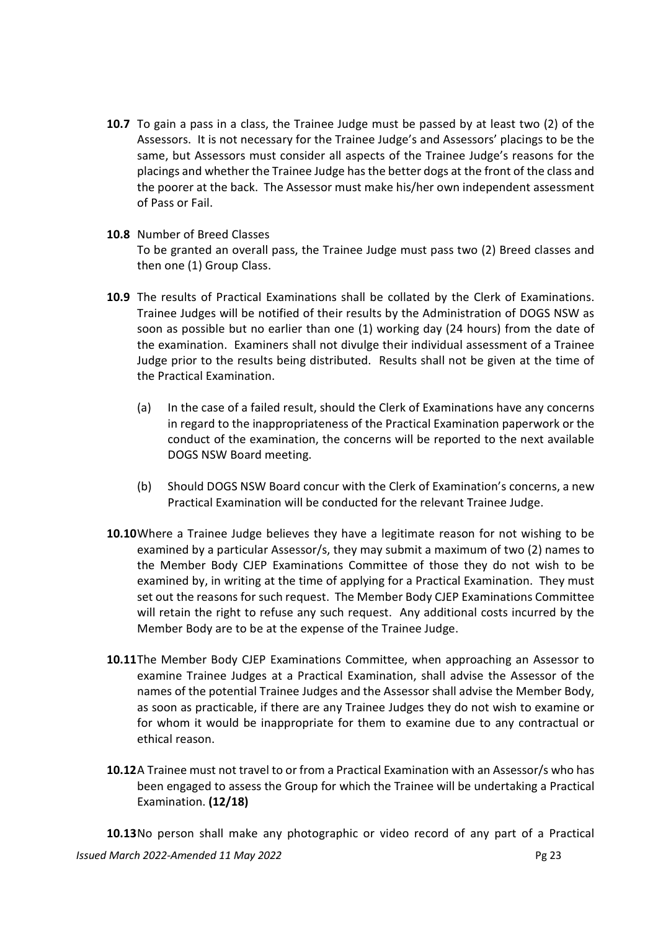- **10.7** To gain a pass in a class, the Trainee Judge must be passed by at least two (2) of the Assessors. It is not necessary for the Trainee Judge's and Assessors' placings to be the same, but Assessors must consider all aspects of the Trainee Judge's reasons for the placings and whether the Trainee Judge has the better dogs at the front of the class and the poorer at the back. The Assessor must make his/her own independent assessment of Pass or Fail.
- **10.8** Number of Breed Classes To be granted an overall pass, the Trainee Judge must pass two (2) Breed classes and then one (1) Group Class.
- **10.9** The results of Practical Examinations shall be collated by the Clerk of Examinations. Trainee Judges will be notified of their results by the Administration of DOGS NSW as soon as possible but no earlier than one (1) working day (24 hours) from the date of the examination. Examiners shall not divulge their individual assessment of a Trainee Judge prior to the results being distributed. Results shall not be given at the time of the Practical Examination.
	- (a) In the case of a failed result, should the Clerk of Examinations have any concerns in regard to the inappropriateness of the Practical Examination paperwork or the conduct of the examination, the concerns will be reported to the next available DOGS NSW Board meeting.
	- (b) Should DOGS NSW Board concur with the Clerk of Examination's concerns, a new Practical Examination will be conducted for the relevant Trainee Judge.
- **10.10** Where a Trainee Judge believes they have a legitimate reason for not wishing to be examined by a particular Assessor/s, they may submit a maximum of two (2) names to the Member Body CJEP Examinations Committee of those they do not wish to be examined by, in writing at the time of applying for a Practical Examination. They must set out the reasons for such request. The Member Body CJEP Examinations Committee will retain the right to refuse any such request. Any additional costs incurred by the Member Body are to be at the expense of the Trainee Judge.
- **10.11** The Member Body CJEP Examinations Committee, when approaching an Assessor to examine Trainee Judges at a Practical Examination, shall advise the Assessor of the names of the potential Trainee Judges and the Assessor shall advise the Member Body, as soon as practicable, if there are any Trainee Judges they do not wish to examine or for whom it would be inappropriate for them to examine due to any contractual or ethical reason.
- **10.12** A Trainee must not travel to or from a Practical Examination with an Assessor/s who has been engaged to assess the Group for which the Trainee will be undertaking a Practical Examination. **(12/18)**

*Issued March 2022-Amended 11 May 2022* Pg 23 **10.13** No person shall make any photographic or video record of any part of a Practical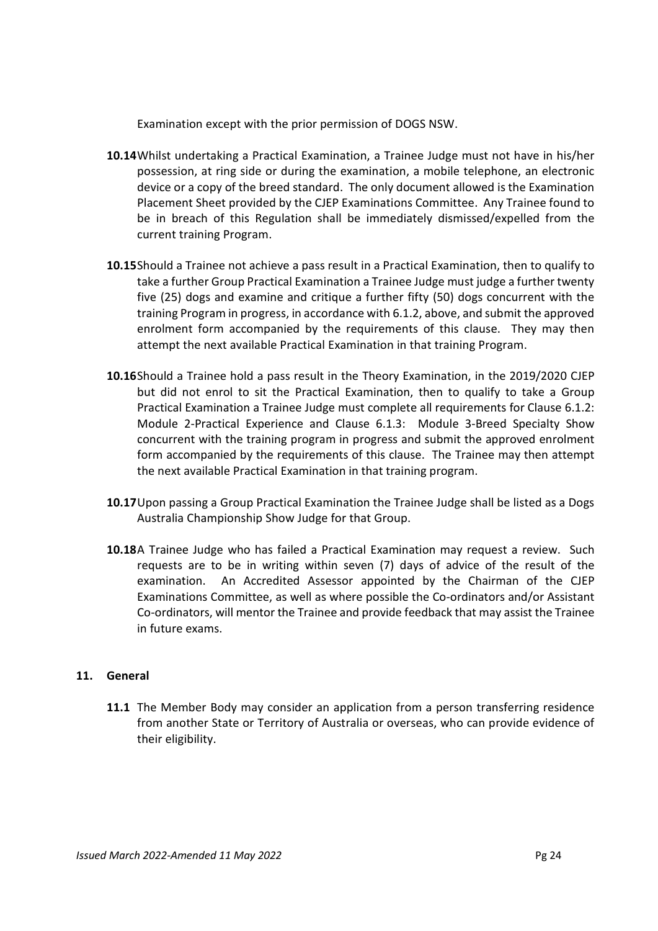Examination except with the prior permission of DOGS NSW.

- **10.14** Whilst undertaking a Practical Examination, a Trainee Judge must not have in his/her possession, at ring side or during the examination, a mobile telephone, an electronic device or a copy of the breed standard. The only document allowed is the Examination Placement Sheet provided by the CJEP Examinations Committee. Any Trainee found to be in breach of this Regulation shall be immediately dismissed/expelled from the current training Program.
- **10.15** Should a Trainee not achieve a pass result in a Practical Examination, then to qualify to take a further Group Practical Examination a Trainee Judge must judge a further twenty five (25) dogs and examine and critique a further fifty (50) dogs concurrent with the training Program in progress, in accordance with 6.1.2, above, and submit the approved enrolment form accompanied by the requirements of this clause. They may then attempt the next available Practical Examination in that training Program.
- **10.16** Should a Trainee hold a pass result in the Theory Examination, in the 2019/2020 CJEP but did not enrol to sit the Practical Examination, then to qualify to take a Group Practical Examination a Trainee Judge must complete all requirements for Clause 6.1.2: Module 2-Practical Experience and Clause 6.1.3: Module 3-Breed Specialty Show concurrent with the training program in progress and submit the approved enrolment form accompanied by the requirements of this clause. The Trainee may then attempt the next available Practical Examination in that training program.
- **10.17** Upon passing a Group Practical Examination the Trainee Judge shall be listed as a Dogs Australia Championship Show Judge for that Group.
- 10.18A Trainee Judge who has failed a Practical Examination may request a review. Such requests are to be in writing within seven (7) days of advice of the result of the examination. An Accredited Assessor appointed by the Chairman of the CJEP Examinations Committee, as well as where possible the Co-ordinators and/or Assistant Co-ordinators, will mentor the Trainee and provide feedback that may assist the Trainee in future exams.

# **11. General**

**11.1** The Member Body may consider an application from a person transferring residence from another State or Territory of Australia or overseas, who can provide evidence of their eligibility.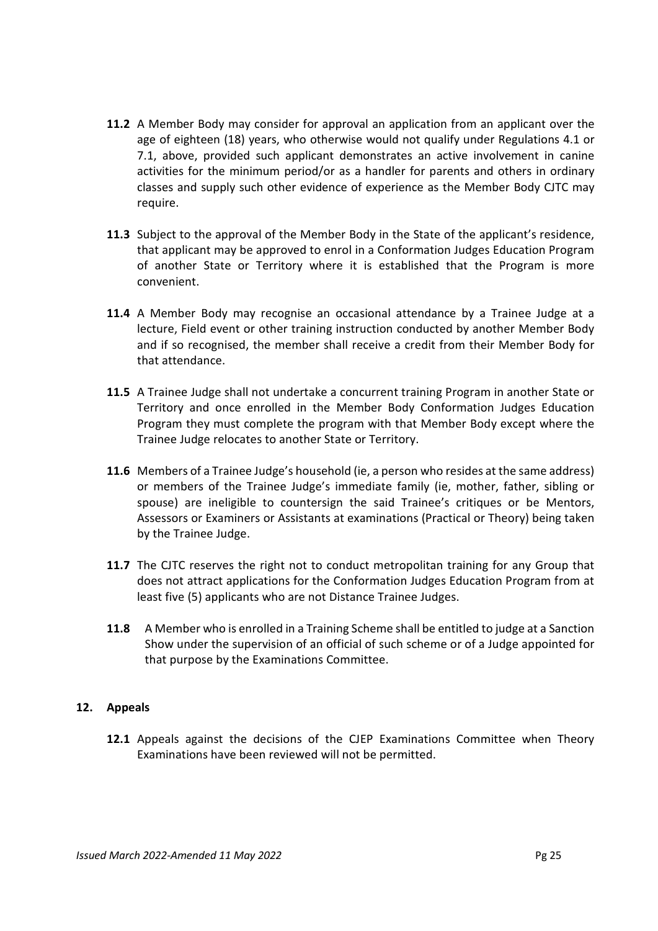- **11.2** A Member Body may consider for approval an application from an applicant over the age of eighteen (18) years, who otherwise would not qualify under Regulations 4.1 or 7.1, above, provided such applicant demonstrates an active involvement in canine activities for the minimum period/or as a handler for parents and others in ordinary classes and supply such other evidence of experience as the Member Body CJTC may require.
- **11.3** Subject to the approval of the Member Body in the State of the applicant's residence, that applicant may be approved to enrol in a Conformation Judges Education Program of another State or Territory where it is established that the Program is more convenient.
- **11.4** A Member Body may recognise an occasional attendance by a Trainee Judge at a lecture, Field event or other training instruction conducted by another Member Body and if so recognised, the member shall receive a credit from their Member Body for that attendance.
- **11.5** A Trainee Judge shall not undertake a concurrent training Program in another State or Territory and once enrolled in the Member Body Conformation Judges Education Program they must complete the program with that Member Body except where the Trainee Judge relocates to another State or Territory.
- **11.6** Members of a Trainee Judge's household (ie, a person who resides at the same address) or members of the Trainee Judge's immediate family (ie, mother, father, sibling or spouse) are ineligible to countersign the said Trainee's critiques or be Mentors, Assessors or Examiners or Assistants at examinations (Practical or Theory) being taken by the Trainee Judge.
- **11.7** The CJTC reserves the right not to conduct metropolitan training for any Group that does not attract applications for the Conformation Judges Education Program from at least five (5) applicants who are not Distance Trainee Judges.
- **11.8** A Member who is enrolled in a Training Scheme shall be entitled to judge at a Sanction Show under the supervision of an official of such scheme or of a Judge appointed for that purpose by the Examinations Committee.

# **12. Appeals**

**12.1** Appeals against the decisions of the CJEP Examinations Committee when Theory Examinations have been reviewed will not be permitted.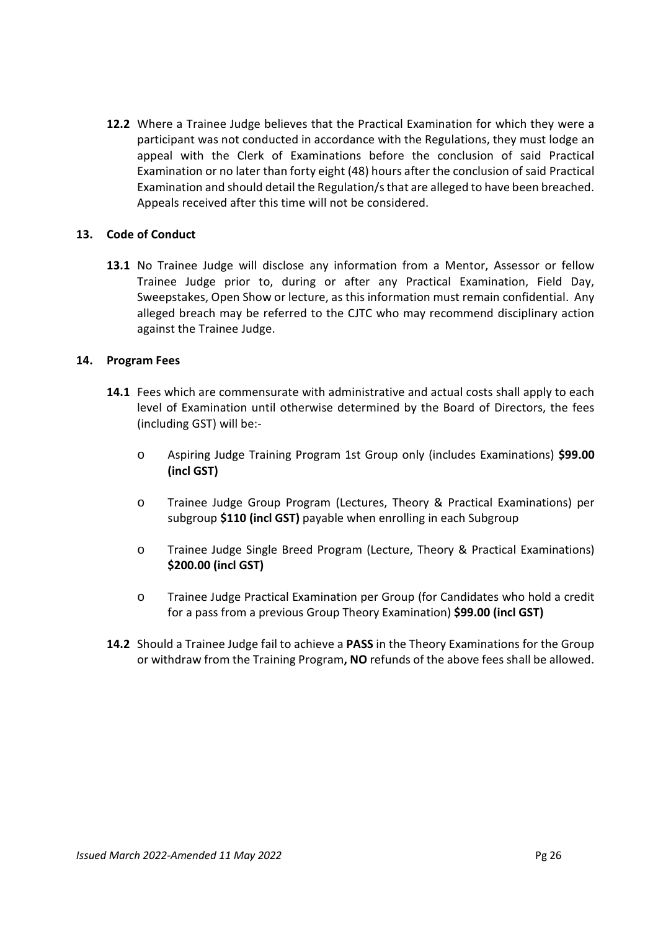**12.2** Where a Trainee Judge believes that the Practical Examination for which they were a participant was not conducted in accordance with the Regulations, they must lodge an appeal with the Clerk of Examinations before the conclusion of said Practical Examination or no later than forty eight (48) hours after the conclusion of said Practical Examination and should detail the Regulation/s that are alleged to have been breached. Appeals received after this time will not be considered.

# **13. Code of Conduct**

**13.1** No Trainee Judge will disclose any information from a Mentor, Assessor or fellow Trainee Judge prior to, during or after any Practical Examination, Field Day, Sweepstakes, Open Show or lecture, as this information must remain confidential. Any alleged breach may be referred to the CJTC who may recommend disciplinary action against the Trainee Judge.

## **14. Program Fees**

- **14.1** Fees which are commensurate with administrative and actual costs shall apply to each level of Examination until otherwise determined by the Board of Directors, the fees (including GST) will be:
	- o Aspiring Judge Training Program 1st Group only (includes Examinations) **\$99.00 (incl GST)**
	- o Trainee Judge Group Program (Lectures, Theory & Practical Examinations) per subgroup **\$110 (incl GST)** payable when enrolling in each Subgroup
	- o Trainee Judge Single Breed Program (Lecture, Theory & Practical Examinations) **\$200.00 (incl GST)**
	- o Trainee Judge Practical Examination per Group (for Candidates who hold a credit for a pass from a previous Group Theory Examination) **\$99.00 (incl GST)**
- **14.2** Should a Trainee Judge fail to achieve a **PASS** in the Theory Examinations for the Group or withdraw from the Training Program**, NO** refunds of the above fees shall be allowed.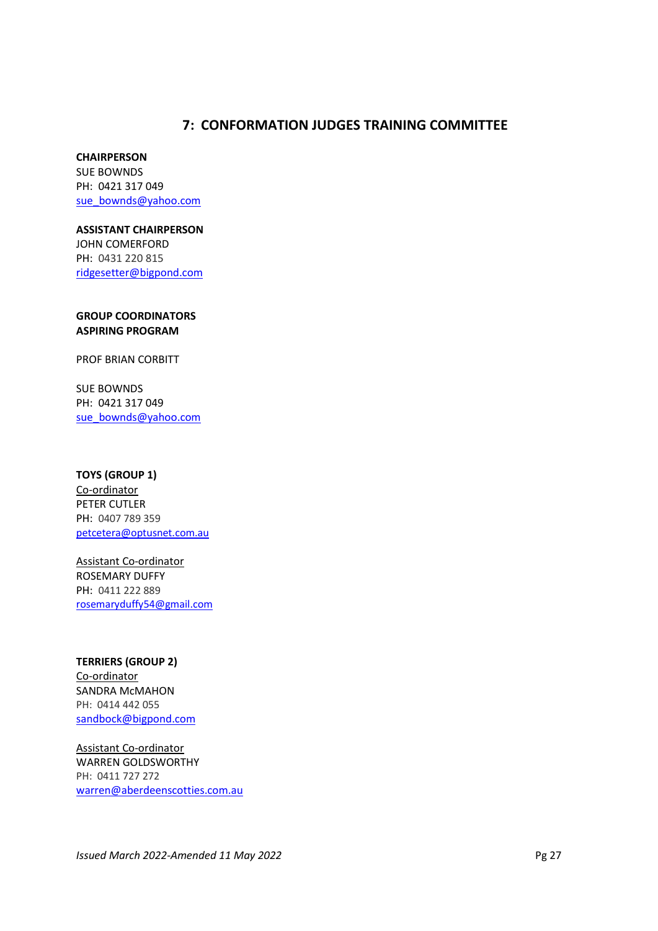# **7: CONFORMATION JUDGES TRAINING COMMITTEE**

## **CHAIRPERSON**

SUE BOWNDS PH: 0421 317 049 sue\_bownds@yahoo.com

## **ASSISTANT CHAIRPERSON**

JOHN COMERFORD PH: 0431 220 815 ridgesetter@bigpond.com

## **GROUP COORDINATORS ASPIRING PROGRAM**

PROF BRIAN CORBITT

SUE BOWNDS PH: 0421 317 049 sue\_bownds@yahoo.com

## **TOYS (GROUP 1)**

Co-ordinator PETER CUTLER PH: 0407 789 359 petcetera@optusnet.com.au

Assistant Co-ordinator ROSEMARY DUFFY PH: 0411 222 889 rosemaryduffy54@gmail.com

**TERRIERS (GROUP 2)** Co-ordinator SANDRA McMAHON PH: 0414 442 055 sandbock@bigpond.com

Assistant Co-ordinator WARREN GOLDSWORTHY PH: 0411 727 272 warren@aberdeenscotties.com.au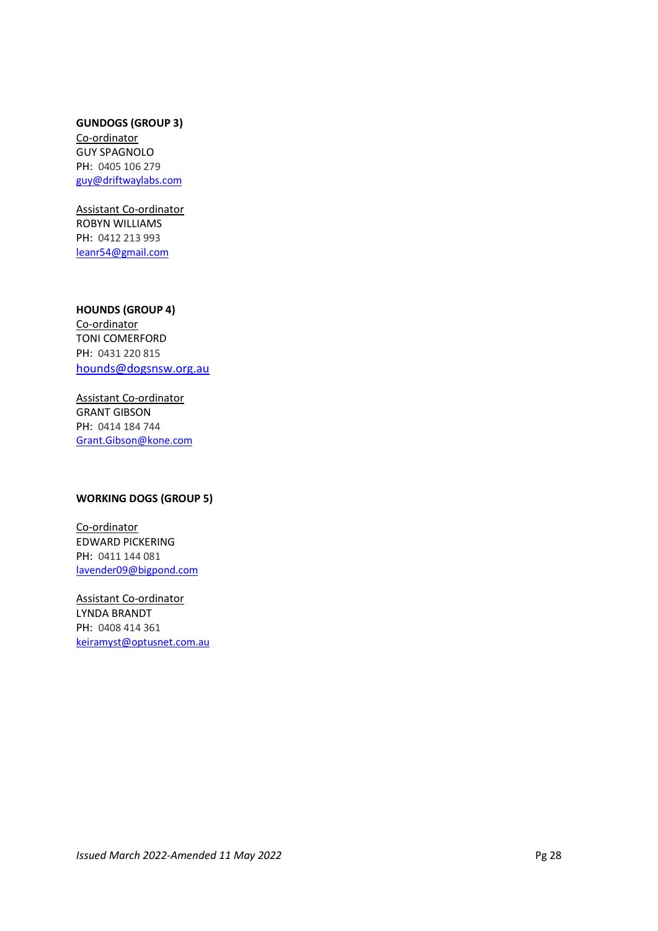# **GUNDOGS (GROUP 3)**

Co-ordinator GUY SPAGNOLO PH: 0405 106 279 guy@driftwaylabs.com

Assistant Co-ordinator ROBYN WILLIAMS PH: 0412 213 993 leanr54@gmail.com

## **HOUNDS (GROUP 4)**

Co-ordinator TONI COMERFORD PH: 0431 220 815 hounds@dogsnsw.org.au

Assistant Co-ordinator GRANT GIBSON PH: 0414 184 744 Grant.Gibson@kone.com

## **WORKING DOGS (GROUP 5)**

Co-ordinator EDWARD PICKERING PH: 0411 144 081 lavender09@bigpond.com

Assistant Co-ordinator LYNDA BRANDT PH: 0408 414 361 keiramyst@optusnet.com.au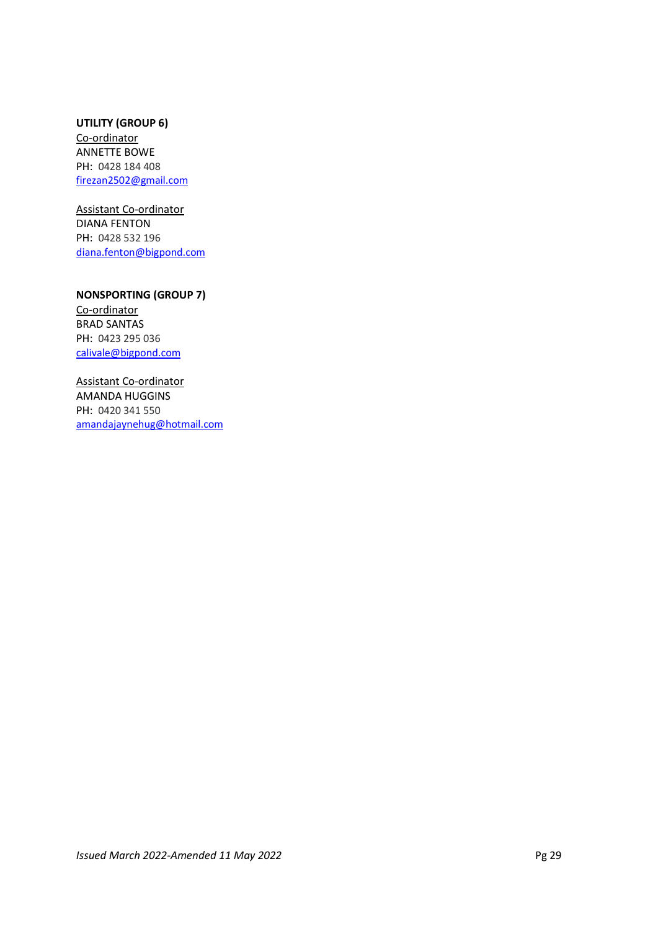## **UTILITY (GROUP 6)**  Co-ordinator ANNETTE BOWE PH: 0428 184 408 firezan2502@gmail.com

Assistant Co-ordinator DIANA FENTON PH: 0428 532 196 diana.fenton@bigpond.com

**NONSPORTING (GROUP 7)**  Co-ordinator

BRAD SANTAS PH: 0423 295 036 calivale@bigpond.com

Assistant Co-ordinator AMANDA HUGGINS PH: 0420 341 550 amandajaynehug@hotmail.com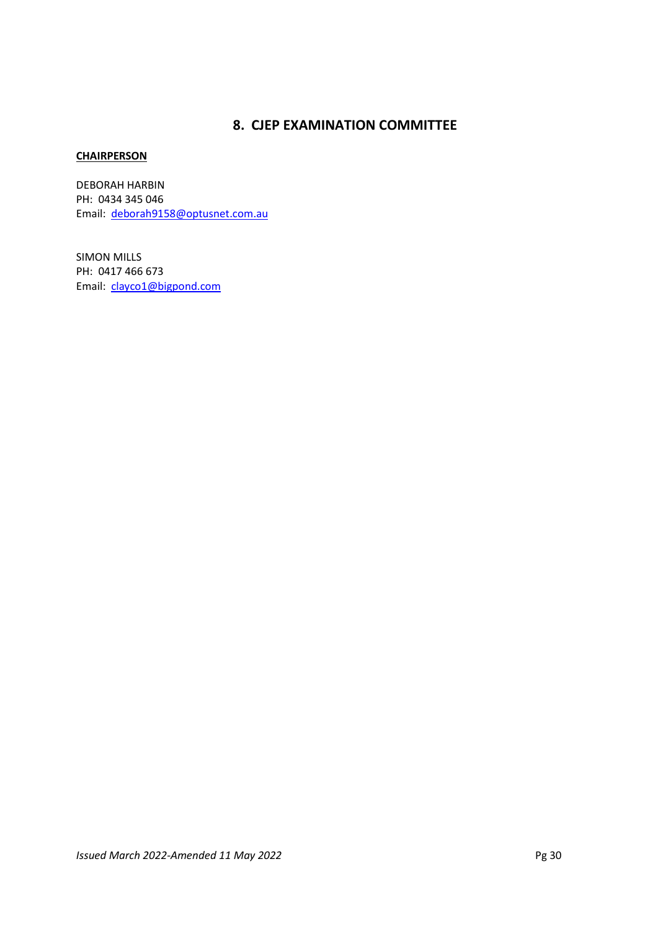# **8. CJEP EXAMINATION COMMITTEE**

## **CHAIRPERSON**

DEBORAH HARBIN PH: 0434 345 046 Email: deborah9158@optusnet.com.au

SIMON MILLS PH: 0417 466 673 Email: clayco1@bigpond.com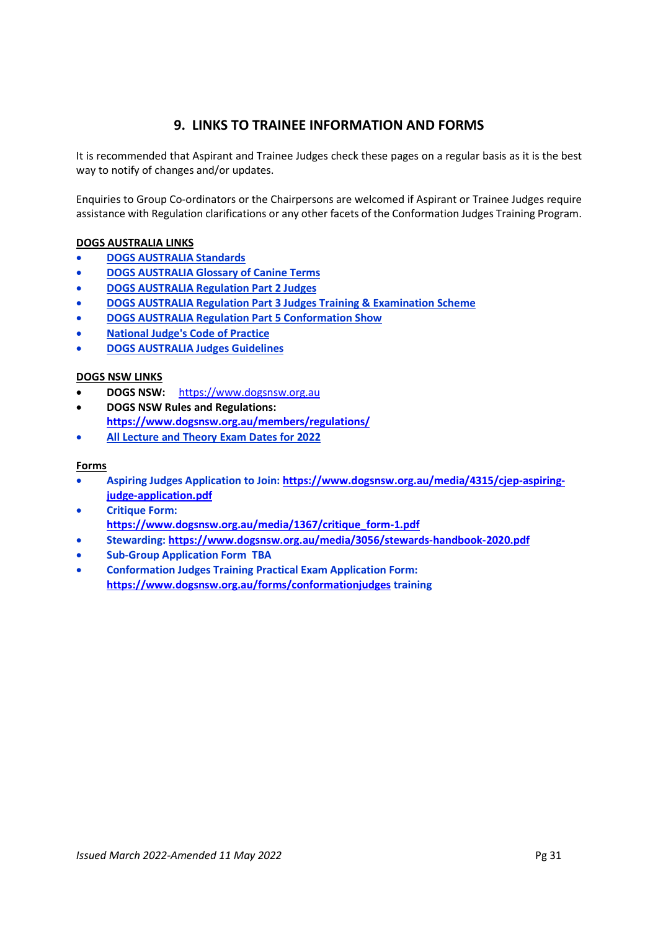# **9. LINKS TO TRAINEE INFORMATION AND FORMS**

It is recommended that Aspirant and Trainee Judges check these pages on a regular basis as it is the best way to notify of changes and/or updates.

Enquiries to Group Co-ordinators or the Chairpersons are welcomed if Aspirant or Trainee Judges require assistance with Regulation clarifications or any other facets of the Conformation Judges Training Program.

## **DOGS AUSTRALIA LINKS**

- **DOGS AUSTRALIA Standards**
- **DOGS AUSTRALIA Glossary of Canine Terms**
- **DOGS AUSTRALIA Regulation Part 2 Judges**
- **DOGS AUSTRALIA Regulation Part 3 Judges Training & Examination Scheme**
- **DOGS AUSTRALIA Regulation Part 5 Conformation Show**
- **National Judge's Code of Practice**
- **DOGS AUSTRALIA Judges Guidelines**

## **DOGS NSW LINKS**

- **DOGS NSW:** https://www.dogsnsw.org.au
- **DOGS NSW Rules and Regulations:**
- **https://www.dogsnsw.org.au/members/regulations/**
- **All Lecture and Theory Exam Dates for 2022**

## **Forms**

- **Aspiring Judges Application to Join: https://www.dogsnsw.org.au/media/4315/cjep-aspiringjudge-application.pdf**
- **Critique Form: https://www.dogsnsw.org.au/media/1367/critique\_form-1.pdf**
- **Stewarding: https://www.dogsnsw.org.au/media/3056/stewards-handbook-2020.pdf**
- **Sub-Group Application Form TBA**
- **Conformation Judges Training Practical Exam Application Form: https://www.dogsnsw.org.au/forms/conformationjudges training**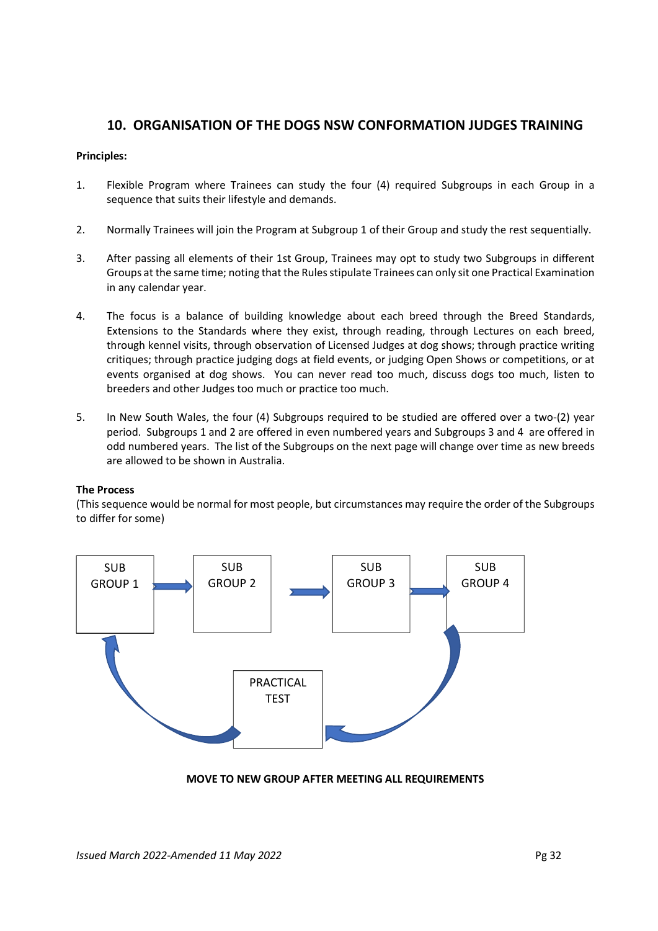# **10. ORGANISATION OF THE DOGS NSW CONFORMATION JUDGES TRAINING**

# **Principles:**

- 1. Flexible Program where Trainees can study the four (4) required Subgroups in each Group in a sequence that suits their lifestyle and demands.
- 2. Normally Trainees will join the Program at Subgroup 1 of their Group and study the rest sequentially.
- 3. After passing all elements of their 1st Group, Trainees may opt to study two Subgroups in different Groups at the same time; noting that the Rules stipulate Trainees can only sit one Practical Examination in any calendar year.
- 4. The focus is a balance of building knowledge about each breed through the Breed Standards, Extensions to the Standards where they exist, through reading, through Lectures on each breed, through kennel visits, through observation of Licensed Judges at dog shows; through practice writing critiques; through practice judging dogs at field events, or judging Open Shows or competitions, or at events organised at dog shows. You can never read too much, discuss dogs too much, listen to breeders and other Judges too much or practice too much.
- 5. In New South Wales, the four (4) Subgroups required to be studied are offered over a two-(2) year period. Subgroups 1 and 2 are offered in even numbered years and Subgroups 3 and 4 are offered in odd numbered years. The list of the Subgroups on the next page will change over time as new breeds are allowed to be shown in Australia.

## **The Process**

(This sequence would be normal for most people, but circumstances may require the order of the Subgroups to differ for some)



**MOVE TO NEW GROUP AFTER MEETING ALL REQUIREMENTS**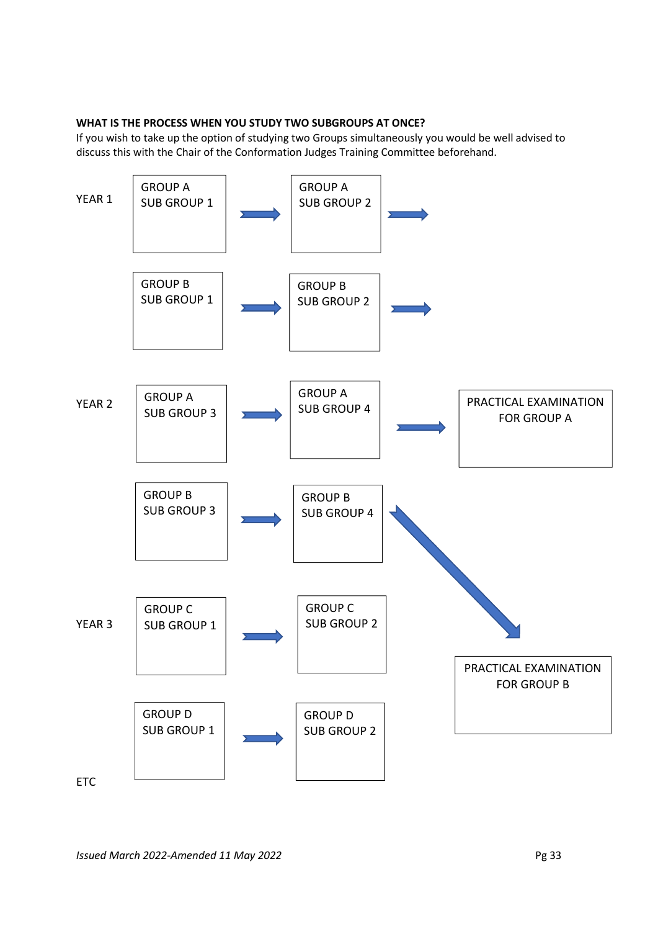## **WHAT IS THE PROCESS WHEN YOU STUDY TWO SUBGROUPS AT ONCE?**

If you wish to take up the option of studying two Groups simultaneously you would be well advised to discuss this with the Chair of the Conformation Judges Training Committee beforehand.

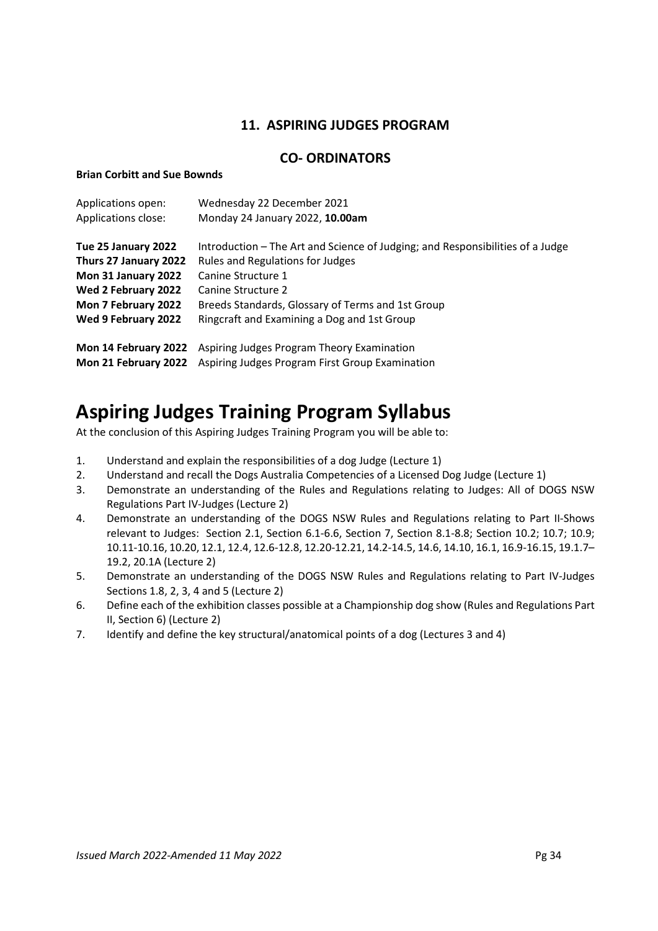# **11. ASPIRING JUDGES PROGRAM**

# **CO- ORDINATORS**

## **Brian Corbitt and Sue Bownds**

| Wednesday 22 December 2021                                                                                            |
|-----------------------------------------------------------------------------------------------------------------------|
| Monday 24 January 2022, 10.00am                                                                                       |
| Introduction – The Art and Science of Judging; and Responsibilities of a Judge                                        |
| Rules and Regulations for Judges                                                                                      |
| Canine Structure 1                                                                                                    |
| Canine Structure 2                                                                                                    |
| Breeds Standards, Glossary of Terms and 1st Group                                                                     |
| Ringcraft and Examining a Dog and 1st Group                                                                           |
| Aspiring Judges Program Theory Examination<br>Aspiring Judges Program First Group Examination<br>Mon 21 February 2022 |
|                                                                                                                       |

# **Aspiring Judges Training Program Syllabus**

At the conclusion of this Aspiring Judges Training Program you will be able to:

- 1. Understand and explain the responsibilities of a dog Judge (Lecture 1)
- 2. Understand and recall the Dogs Australia Competencies of a Licensed Dog Judge (Lecture 1)
- 3. Demonstrate an understanding of the Rules and Regulations relating to Judges: All of DOGS NSW Regulations Part IV-Judges (Lecture 2)
- 4. Demonstrate an understanding of the DOGS NSW Rules and Regulations relating to Part II-Shows relevant to Judges: Section 2.1, Section 6.1-6.6, Section 7, Section 8.1-8.8; Section 10.2; 10.7; 10.9; 10.11-10.16, 10.20, 12.1, 12.4, 12.6-12.8, 12.20-12.21, 14.2-14.5, 14.6, 14.10, 16.1, 16.9-16.15, 19.1.7– 19.2, 20.1A (Lecture 2)
- 5. Demonstrate an understanding of the DOGS NSW Rules and Regulations relating to Part IV-Judges Sections 1.8, 2, 3, 4 and 5 (Lecture 2)
- 6. Define each of the exhibition classes possible at a Championship dog show (Rules and Regulations Part II, Section 6) (Lecture 2)
- 7. Identify and define the key structural/anatomical points of a dog (Lectures 3 and 4)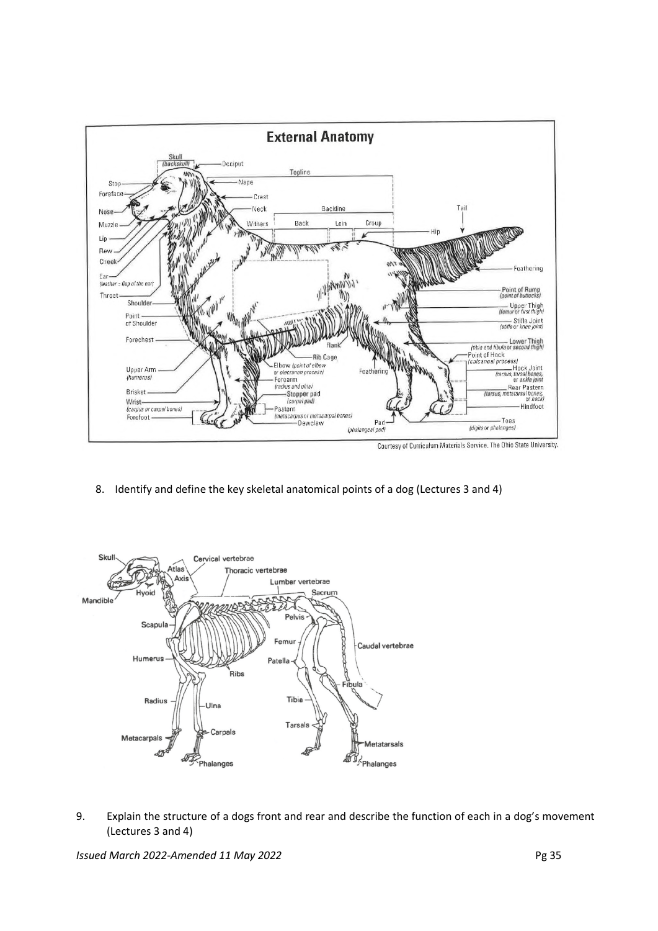

8. Identify and define the key skeletal anatomical points of a dog (Lectures 3 and 4)



9. Explain the structure of a dogs front and rear and describe the function of each in a dog's movement (Lectures 3 and 4)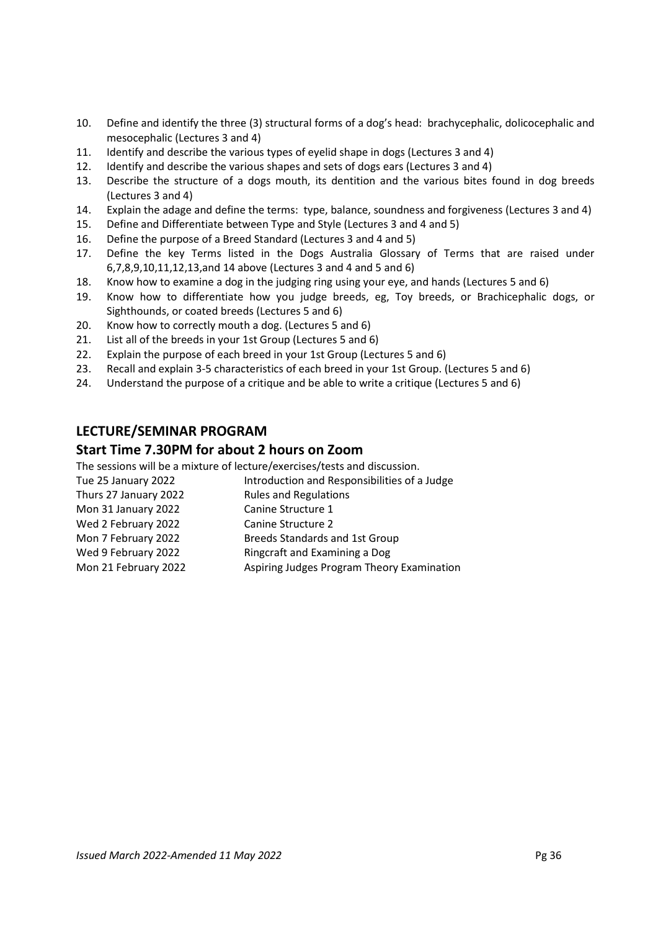- 10. Define and identify the three (3) structural forms of a dog's head: brachycephalic, dolicocephalic and mesocephalic (Lectures 3 and 4)
- 11. Identify and describe the various types of eyelid shape in dogs (Lectures 3 and 4)
- 12. Identify and describe the various shapes and sets of dogs ears (Lectures 3 and 4)
- 13. Describe the structure of a dogs mouth, its dentition and the various bites found in dog breeds (Lectures 3 and 4)
- 14. Explain the adage and define the terms: type, balance, soundness and forgiveness (Lectures 3 and 4)
- 15. Define and Differentiate between Type and Style (Lectures 3 and 4 and 5)
- 16. Define the purpose of a Breed Standard (Lectures 3 and 4 and 5)
- 17. Define the key Terms listed in the Dogs Australia Glossary of Terms that are raised under 6,7,8,9,10,11,12,13,and 14 above (Lectures 3 and 4 and 5 and 6)
- 18. Know how to examine a dog in the judging ring using your eye, and hands (Lectures 5 and 6)
- 19. Know how to differentiate how you judge breeds, eg, Toy breeds, or Brachicephalic dogs, or Sighthounds, or coated breeds (Lectures 5 and 6)
- 20. Know how to correctly mouth a dog. (Lectures 5 and 6)
- 21. List all of the breeds in your 1st Group (Lectures 5 and 6)
- 22. Explain the purpose of each breed in your 1st Group (Lectures 5 and 6)
- 23. Recall and explain 3-5 characteristics of each breed in your 1st Group. (Lectures 5 and 6)
- 24. Understand the purpose of a critique and be able to write a critique (Lectures 5 and 6)

# **LECTURE/SEMINAR PROGRAM**

# **Start Time 7.30PM for about 2 hours on Zoom**

The sessions will be a mixture of lecture/exercises/tests and discussion.

| Tue 25 January 2022   | Introduction and Responsibilities of a Judge |
|-----------------------|----------------------------------------------|
| Thurs 27 January 2022 | <b>Rules and Regulations</b>                 |
| Mon 31 January 2022   | Canine Structure 1                           |
| Wed 2 February 2022   | Canine Structure 2                           |
| Mon 7 February 2022   | Breeds Standards and 1st Group               |

- Wed 9 February 2022 Ringcraft and Examining a Dog
- Mon 21 February 2022 Aspiring Judges Program Theory Examination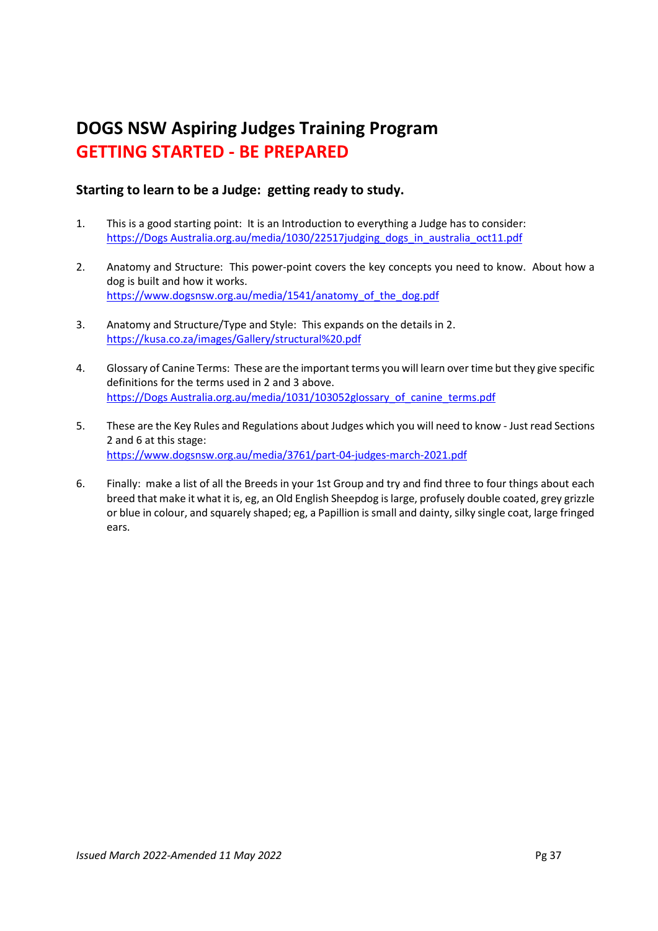# **DOGS NSW Aspiring Judges Training Program GETTING STARTED - BE PREPARED**

# **Starting to learn to be a Judge: getting ready to study.**

- 1. This is a good starting point: It is an Introduction to everything a Judge has to consider: https://Dogs Australia.org.au/media/1030/22517judging\_dogs\_in\_australia\_oct11.pdf
- 2. Anatomy and Structure: This power-point covers the key concepts you need to know. About how a dog is built and how it works. https://www.dogsnsw.org.au/media/1541/anatomy\_of\_the\_dog.pdf
- 3. Anatomy and Structure/Type and Style: This expands on the details in 2. https://kusa.co.za/images/Gallery/structural%20.pdf
- 4. Glossary of Canine Terms: These are the important terms you will learn over time but they give specific definitions for the terms used in 2 and 3 above. https://Dogs Australia.org.au/media/1031/103052glossary\_of\_canine\_terms.pdf
- 5. These are the Key Rules and Regulations about Judges which you will need to know Just read Sections 2 and 6 at this stage: https://www.dogsnsw.org.au/media/3761/part-04-judges-march-2021.pdf
- 6. Finally: make a list of all the Breeds in your 1st Group and try and find three to four things about each breed that make it what it is, eg, an Old English Sheepdog is large, profusely double coated, grey grizzle or blue in colour, and squarely shaped; eg, a Papillion is small and dainty, silky single coat, large fringed ears.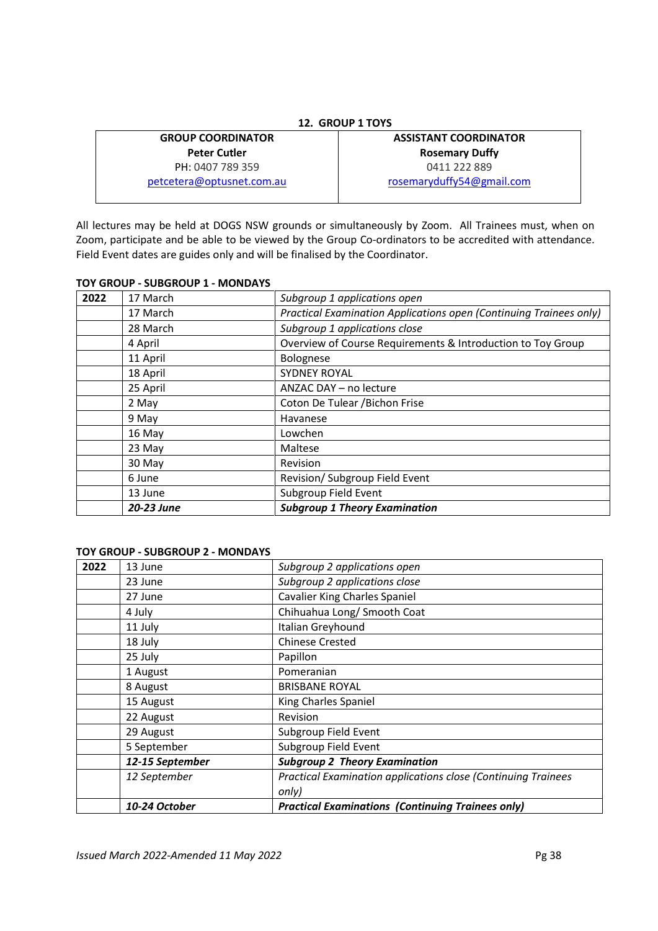| <b>GROUP COORDINATOR</b>  | <b>ASSISTANT COORDINATOR</b> |
|---------------------------|------------------------------|
| <b>Peter Cutler</b>       | <b>Rosemary Duffy</b>        |
| PH: 0407 789 359          | 0411 222 889                 |
| petcetera@optusnet.com.au | rosemaryduffy54@gmail.com    |

All lectures may be held at DOGS NSW grounds or simultaneously by Zoom. All Trainees must, when on Zoom, participate and be able to be viewed by the Group Co-ordinators to be accredited with attendance. Field Event dates are guides only and will be finalised by the Coordinator.

## **TOY GROUP - SUBGROUP 1 - MONDAYS**

| 2022 | 17 March   | Subgroup 1 applications open                                       |
|------|------------|--------------------------------------------------------------------|
|      | 17 March   | Practical Examination Applications open (Continuing Trainees only) |
|      | 28 March   | Subgroup 1 applications close                                      |
|      | 4 April    | Overview of Course Requirements & Introduction to Toy Group        |
|      | 11 April   | Bolognese                                                          |
|      | 18 April   | <b>SYDNEY ROYAL</b>                                                |
|      | 25 April   | ANZAC DAY - no lecture                                             |
|      | 2 May      | Coton De Tulear / Bichon Frise                                     |
|      | 9 May      | Havanese                                                           |
|      | 16 May     | Lowchen                                                            |
|      | 23 May     | Maltese                                                            |
|      | 30 May     | Revision                                                           |
|      | 6 June     | Revision/ Subgroup Field Event                                     |
|      | 13 June    | Subgroup Field Event                                               |
|      | 20-23 June | <b>Subgroup 1 Theory Examination</b>                               |

## **TOY GROUP - SUBGROUP 2 - MONDAYS**

| 2022 | 13 June         | Subgroup 2 applications open                                  |
|------|-----------------|---------------------------------------------------------------|
|      | 23 June         | Subgroup 2 applications close                                 |
|      | 27 June         | <b>Cavalier King Charles Spaniel</b>                          |
|      | 4 July          | Chihuahua Long/ Smooth Coat                                   |
|      | 11 July         | Italian Greyhound                                             |
|      | 18 July         | <b>Chinese Crested</b>                                        |
|      | 25 July         | Papillon                                                      |
|      | 1 August        | Pomeranian                                                    |
|      | 8 August        | <b>BRISBANE ROYAL</b>                                         |
|      | 15 August       | King Charles Spaniel                                          |
|      | 22 August       | Revision                                                      |
|      | 29 August       | Subgroup Field Event                                          |
|      | 5 September     | Subgroup Field Event                                          |
|      | 12-15 September | <b>Subgroup 2 Theory Examination</b>                          |
|      | 12 September    | Practical Examination applications close (Continuing Trainees |
|      |                 | only)                                                         |
|      | 10-24 October   | <b>Practical Examinations (Continuing Trainees only)</b>      |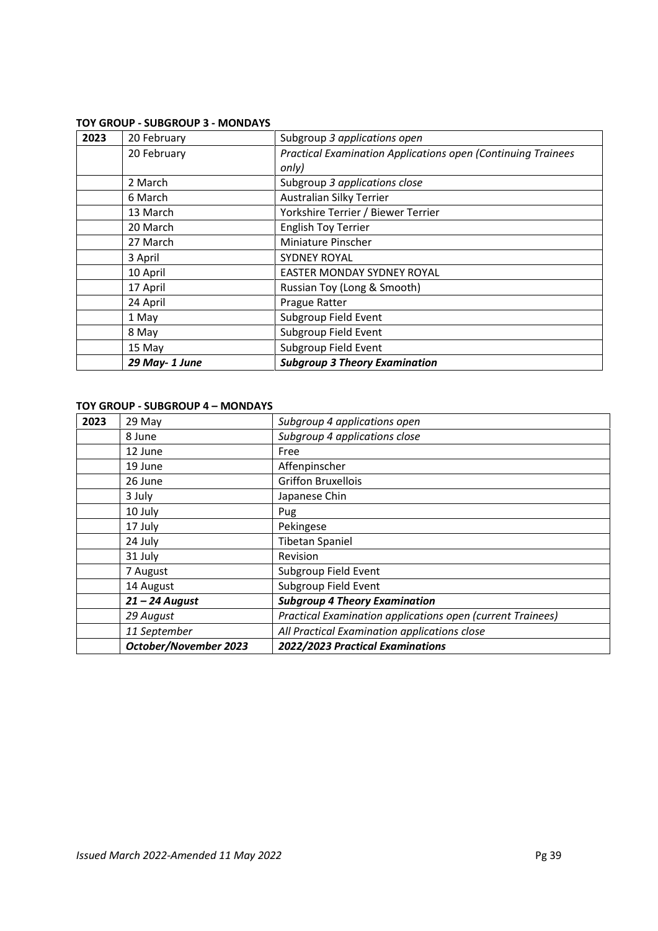## **TOY GROUP - SUBGROUP 3 - MONDAYS**

| 2023 | 20 February   | Subgroup 3 applications open                                        |
|------|---------------|---------------------------------------------------------------------|
|      | 20 February   | <b>Practical Examination Applications open (Continuing Trainees</b> |
|      |               | only)                                                               |
|      | 2 March       | Subgroup 3 applications close                                       |
|      | 6 March       | Australian Silky Terrier                                            |
|      | 13 March      | Yorkshire Terrier / Biewer Terrier                                  |
|      | 20 March      | <b>English Toy Terrier</b>                                          |
|      | 27 March      | Miniature Pinscher                                                  |
|      | 3 April       | <b>SYDNEY ROYAL</b>                                                 |
|      | 10 April      | EASTER MONDAY SYDNEY ROYAL                                          |
|      | 17 April      | Russian Toy (Long & Smooth)                                         |
|      | 24 April      | Prague Ratter                                                       |
|      | 1 May         | Subgroup Field Event                                                |
|      | 8 May         | Subgroup Field Event                                                |
|      | 15 May        | Subgroup Field Event                                                |
|      | 29 May-1 June | <b>Subgroup 3 Theory Examination</b>                                |

## **TOY GROUP - SUBGROUP 4 – MONDAYS**

| 2023 | 29 May                | Subgroup 4 applications open                               |
|------|-----------------------|------------------------------------------------------------|
|      | 8 June                | Subgroup 4 applications close                              |
|      | 12 June               | Free                                                       |
|      | 19 June               | Affenpinscher                                              |
|      | 26 June               | <b>Griffon Bruxellois</b>                                  |
|      | 3 July                | Japanese Chin                                              |
|      | 10 July               | Pug                                                        |
|      | 17 July               | Pekingese                                                  |
|      | 24 July               | <b>Tibetan Spaniel</b>                                     |
|      | 31 July               | Revision                                                   |
|      | 7 August              | Subgroup Field Event                                       |
|      | 14 August             | Subgroup Field Event                                       |
|      | $21 - 24$ August      | <b>Subgroup 4 Theory Examination</b>                       |
|      | 29 August             | Practical Examination applications open (current Trainees) |
|      | 11 September          | All Practical Examination applications close               |
|      | October/November 2023 | 2022/2023 Practical Examinations                           |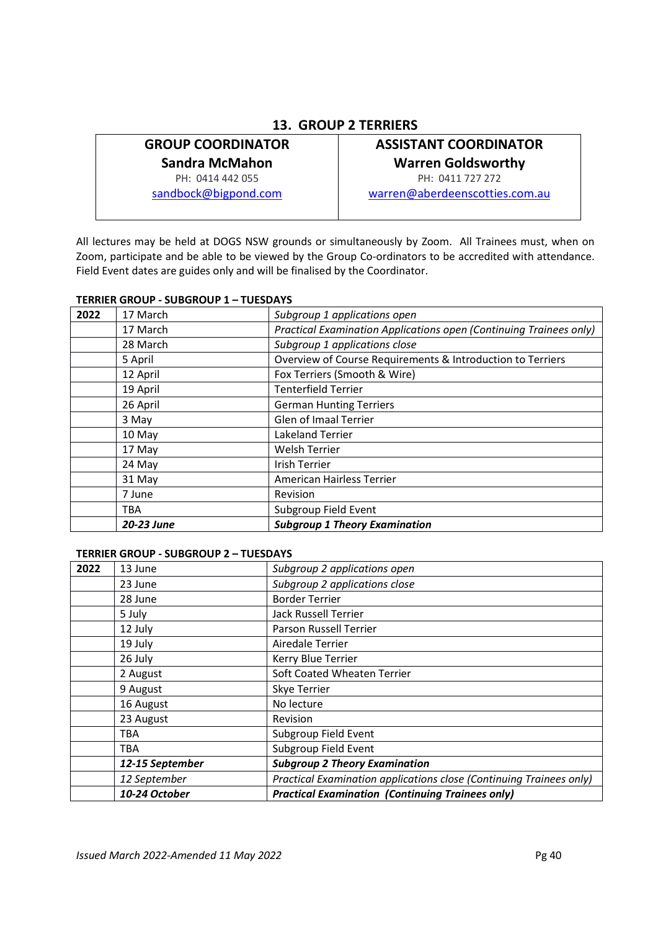# **13. GROUP 2 TERRIERS**

# **GROUP COORDINATOR**

**Sandra McMahon** 

PH: 0414 442 055

sandbock@bigpond.com

# **ASSISTANT COORDINATOR Warren Goldsworthy**

PH: 0411 727 272 warren@aberdeenscotties.com.au

All lectures may be held at DOGS NSW grounds or simultaneously by Zoom. All Trainees must, when on Zoom, participate and be able to be viewed by the Group Co-ordinators to be accredited with attendance. Field Event dates are guides only and will be finalised by the Coordinator.

## **TERRIER GROUP - SUBGROUP 1 – TUESDAYS**

| 2022 | 17 March   | Subgroup 1 applications open                                       |
|------|------------|--------------------------------------------------------------------|
|      | 17 March   | Practical Examination Applications open (Continuing Trainees only) |
|      | 28 March   | Subgroup 1 applications close                                      |
|      | 5 April    | Overview of Course Requirements & Introduction to Terriers         |
|      | 12 April   | Fox Terriers (Smooth & Wire)                                       |
|      | 19 April   | <b>Tenterfield Terrier</b>                                         |
|      | 26 April   | <b>German Hunting Terriers</b>                                     |
|      | 3 May      | Glen of Imaal Terrier                                              |
|      | 10 May     | <b>Lakeland Terrier</b>                                            |
|      | 17 May     | <b>Welsh Terrier</b>                                               |
|      | 24 May     | Irish Terrier                                                      |
|      | 31 May     | American Hairless Terrier                                          |
|      | 7 June     | <b>Revision</b>                                                    |
|      | TBA        | Subgroup Field Event                                               |
|      | 20-23 June | <b>Subgroup 1 Theory Examination</b>                               |

## **TERRIER GROUP - SUBGROUP 2 – TUESDAYS**

| 2022 | 13 June         | Subgroup 2 applications open                                        |
|------|-----------------|---------------------------------------------------------------------|
|      | 23 June         | Subgroup 2 applications close                                       |
|      | 28 June         | <b>Border Terrier</b>                                               |
|      | 5 July          | <b>Jack Russell Terrier</b>                                         |
|      | 12 July         | Parson Russell Terrier                                              |
|      | 19 July         | Airedale Terrier                                                    |
|      | 26 July         | Kerry Blue Terrier                                                  |
|      | 2 August        | Soft Coated Wheaten Terrier                                         |
|      | 9 August        | Skye Terrier                                                        |
|      | 16 August       | No lecture                                                          |
|      | 23 August       | <b>Revision</b>                                                     |
|      | TBA             | Subgroup Field Event                                                |
|      | <b>TBA</b>      | Subgroup Field Event                                                |
|      | 12-15 September | <b>Subgroup 2 Theory Examination</b>                                |
|      | 12 September    | Practical Examination applications close (Continuing Trainees only) |
|      | 10-24 October   | <b>Practical Examination (Continuing Trainees only)</b>             |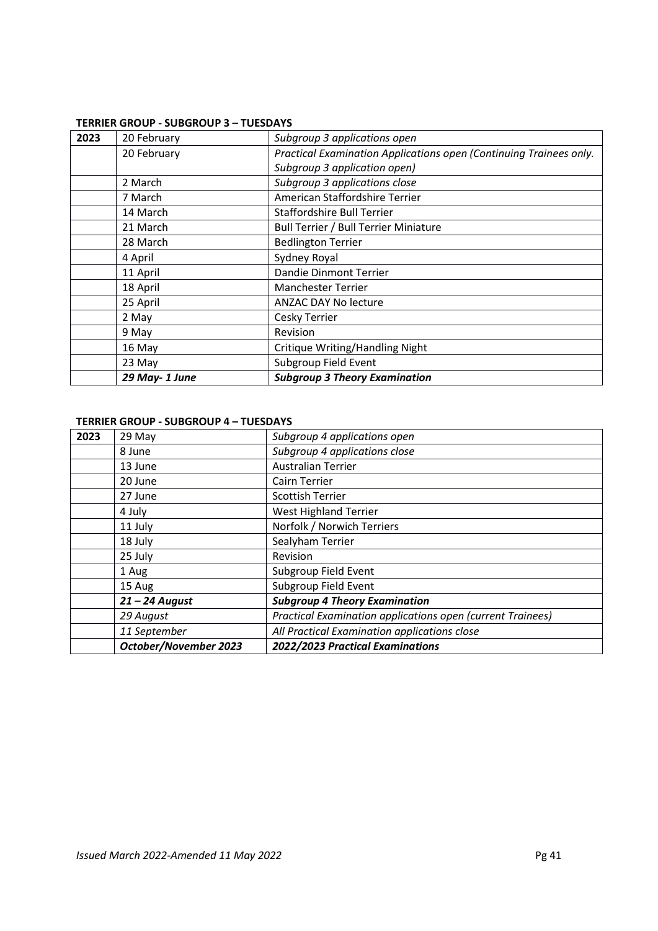## **TERRIER GROUP - SUBGROUP 3 – TUESDAYS**

| 2023 | 20 February   | Subgroup 3 applications open                                       |
|------|---------------|--------------------------------------------------------------------|
|      | 20 February   | Practical Examination Applications open (Continuing Trainees only. |
|      |               | Subgroup 3 application open)                                       |
|      | 2 March       | Subgroup 3 applications close                                      |
|      | 7 March       | American Staffordshire Terrier                                     |
|      | 14 March      | Staffordshire Bull Terrier                                         |
|      | 21 March      | Bull Terrier / Bull Terrier Miniature                              |
|      | 28 March      | <b>Bedlington Terrier</b>                                          |
|      | 4 April       | Sydney Royal                                                       |
|      | 11 April      | Dandie Dinmont Terrier                                             |
|      | 18 April      | <b>Manchester Terrier</b>                                          |
|      | 25 April      | ANZAC DAY No lecture                                               |
|      | 2 May         | Cesky Terrier                                                      |
|      | 9 May         | <b>Revision</b>                                                    |
|      | 16 May        | <b>Critique Writing/Handling Night</b>                             |
|      | 23 May        | Subgroup Field Event                                               |
|      | 29 May-1 June | <b>Subgroup 3 Theory Examination</b>                               |

# **TERRIER GROUP - SUBGROUP 4 – TUESDAYS**

| 2023 | 29 May                | Subgroup 4 applications open                               |
|------|-----------------------|------------------------------------------------------------|
|      | 8 June                | Subgroup 4 applications close                              |
|      | 13 June               | <b>Australian Terrier</b>                                  |
|      | 20 June               | Cairn Terrier                                              |
|      | 27 June               | Scottish Terrier                                           |
|      | 4 July                | West Highland Terrier                                      |
|      | 11 July               | Norfolk / Norwich Terriers                                 |
|      | 18 July               | Sealyham Terrier                                           |
|      | 25 July               | Revision                                                   |
|      | 1 Aug                 | Subgroup Field Event                                       |
|      | 15 Aug                | Subgroup Field Event                                       |
|      | $21 - 24$ August      | <b>Subgroup 4 Theory Examination</b>                       |
|      | 29 August             | Practical Examination applications open (current Trainees) |
|      | 11 September          | All Practical Examination applications close               |
|      | October/November 2023 | 2022/2023 Practical Examinations                           |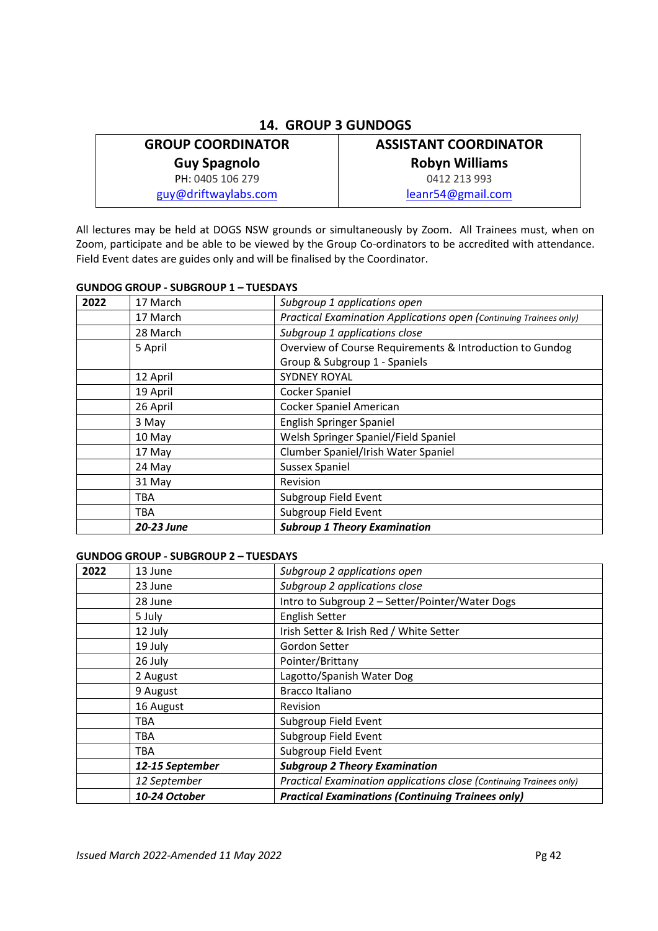# **14. GROUP 3 GUNDOGS**

# **GROUP COORDINATOR**

**Guy Spagnolo** 

PH: 0405 106 279

guy@driftwaylabs.com

# **ASSISTANT COORDINATOR Robyn Williams**  0412 213 993

leanr54@gmail.com

All lectures may be held at DOGS NSW grounds or simultaneously by Zoom. All Trainees must, when on Zoom, participate and be able to be viewed by the Group Co-ordinators to be accredited with attendance. Field Event dates are guides only and will be finalised by the Coordinator.

# **GUNDOG GROUP - SUBGROUP 1 – TUESDAYS**

| 2022 | 17 March   | Subgroup 1 applications open                                       |
|------|------------|--------------------------------------------------------------------|
|      | 17 March   | Practical Examination Applications open (Continuing Trainees only) |
|      | 28 March   | Subgroup 1 applications close                                      |
|      | 5 April    | Overview of Course Requirements & Introduction to Gundog           |
|      |            | Group & Subgroup 1 - Spaniels                                      |
|      | 12 April   | SYDNEY ROYAL                                                       |
|      | 19 April   | Cocker Spaniel                                                     |
|      | 26 April   | Cocker Spaniel American                                            |
|      | 3 May      | English Springer Spaniel                                           |
|      | 10 May     | Welsh Springer Spaniel/Field Spaniel                               |
|      | 17 May     | Clumber Spaniel/Irish Water Spaniel                                |
|      | 24 May     | <b>Sussex Spaniel</b>                                              |
|      | 31 May     | <b>Revision</b>                                                    |
|      | TBA        | Subgroup Field Event                                               |
|      | TBA        | Subgroup Field Event                                               |
|      | 20-23 June | <b>Subroup 1 Theory Examination</b>                                |

## **GUNDOG GROUP - SUBGROUP 2 – TUESDAYS**

| 2022 | 13 June         | Subgroup 2 applications open                                        |
|------|-----------------|---------------------------------------------------------------------|
|      | 23 June         | Subgroup 2 applications close                                       |
|      | 28 June         | Intro to Subgroup 2 - Setter/Pointer/Water Dogs                     |
|      | 5 July          | <b>English Setter</b>                                               |
|      | 12 July         | Irish Setter & Irish Red / White Setter                             |
|      | 19 July         | Gordon Setter                                                       |
|      | 26 July         | Pointer/Brittany                                                    |
|      | 2 August        | Lagotto/Spanish Water Dog                                           |
|      | 9 August        | Bracco Italiano                                                     |
|      | 16 August       | <b>Revision</b>                                                     |
|      | <b>TBA</b>      | Subgroup Field Event                                                |
|      | TBA             | Subgroup Field Event                                                |
|      | TBA             | Subgroup Field Event                                                |
|      | 12-15 September | <b>Subgroup 2 Theory Examination</b>                                |
|      | 12 September    | Practical Examination applications close (Continuing Trainees only) |
|      | 10-24 October   | <b>Practical Examinations (Continuing Trainees only)</b>            |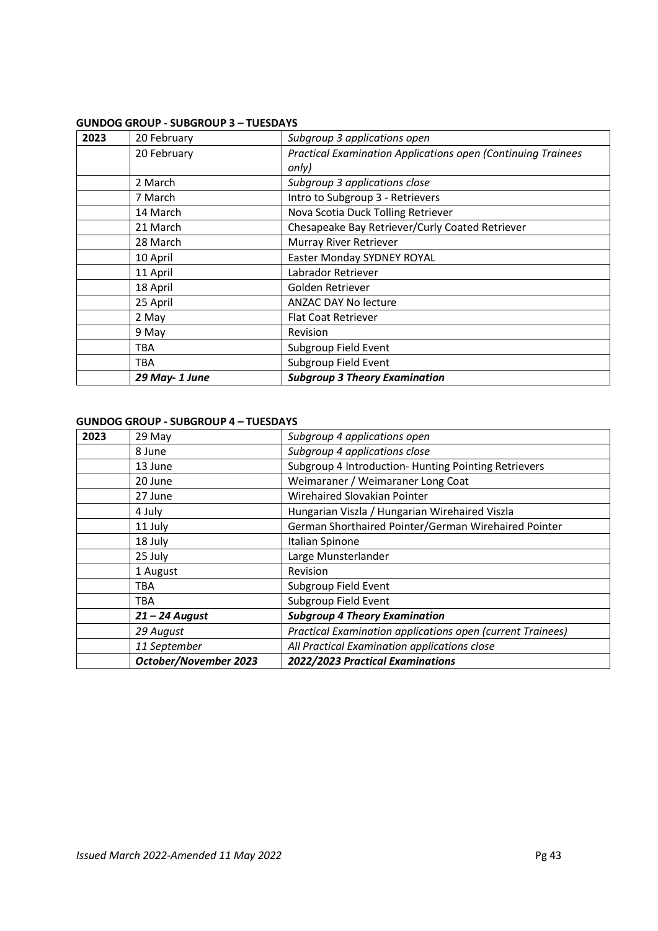## **GUNDOG GROUP - SUBGROUP 3 – TUESDAYS**

| 2023 | 20 February   | Subgroup 3 applications open                                        |
|------|---------------|---------------------------------------------------------------------|
|      | 20 February   | <b>Practical Examination Applications open (Continuing Trainees</b> |
|      |               | only)                                                               |
|      | 2 March       | Subgroup 3 applications close                                       |
|      | 7 March       | Intro to Subgroup 3 - Retrievers                                    |
|      | 14 March      | Nova Scotia Duck Tolling Retriever                                  |
|      | 21 March      | Chesapeake Bay Retriever/Curly Coated Retriever                     |
|      | 28 March      | Murray River Retriever                                              |
|      | 10 April      | Easter Monday SYDNEY ROYAL                                          |
|      | 11 April      | Labrador Retriever                                                  |
|      | 18 April      | Golden Retriever                                                    |
|      | 25 April      | ANZAC DAY No lecture                                                |
|      | 2 May         | <b>Flat Coat Retriever</b>                                          |
|      | 9 May         | <b>Revision</b>                                                     |
|      | TBA           | Subgroup Field Event                                                |
|      | TBA           | Subgroup Field Event                                                |
|      | 29 May-1 June | <b>Subgroup 3 Theory Examination</b>                                |

# **GUNDOG GROUP - SUBGROUP 4 – TUESDAYS**

| 2023 | 29 May                | Subgroup 4 applications open                               |
|------|-----------------------|------------------------------------------------------------|
|      | 8 June                | Subgroup 4 applications close                              |
|      | 13 June               | Subgroup 4 Introduction- Hunting Pointing Retrievers       |
|      | 20 June               | Weimaraner / Weimaraner Long Coat                          |
|      | 27 June               | Wirehaired Slovakian Pointer                               |
|      | 4 July                | Hungarian Viszla / Hungarian Wirehaired Viszla             |
|      | 11 July               | German Shorthaired Pointer/German Wirehaired Pointer       |
|      | 18 July               | Italian Spinone                                            |
|      | 25 July               | Large Munsterlander                                        |
|      | 1 August              | Revision                                                   |
|      | TBA                   | Subgroup Field Event                                       |
|      | TBA                   | Subgroup Field Event                                       |
|      | $21 - 24$ August      | <b>Subgroup 4 Theory Examination</b>                       |
|      | 29 August             | Practical Examination applications open (current Trainees) |
|      | 11 September          | All Practical Examination applications close               |
|      | October/November 2023 | 2022/2023 Practical Examinations                           |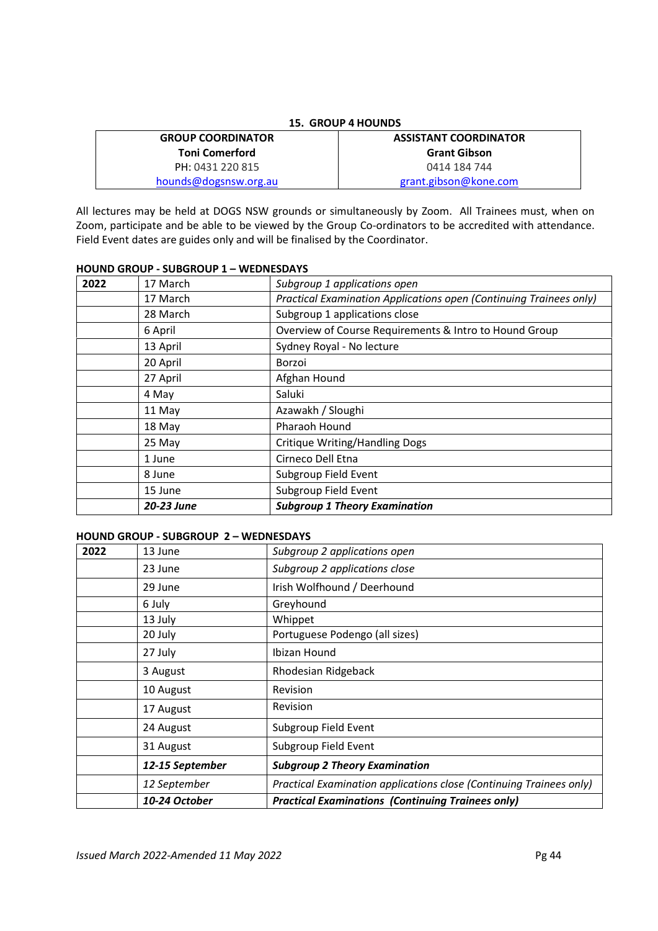| <b>15. GROUP 4 HOUNDS</b> |                              |  |
|---------------------------|------------------------------|--|
| <b>GROUP COORDINATOR</b>  | <b>ASSISTANT COORDINATOR</b> |  |
| <b>Toni Comerford</b>     | <b>Grant Gibson</b>          |  |
| PH: 0431 220 815          | 0414 184 744                 |  |
| hounds@dogsnsw.org.au     | grant.gibson@kone.com        |  |

All lectures may be held at DOGS NSW grounds or simultaneously by Zoom. All Trainees must, when on Zoom, participate and be able to be viewed by the Group Co-ordinators to be accredited with attendance. Field Event dates are guides only and will be finalised by the Coordinator.

## **HOUND GROUP - SUBGROUP 1 – WEDNESDAYS**

| 2022 | 17 March   | Subgroup 1 applications open                                       |
|------|------------|--------------------------------------------------------------------|
|      | 17 March   | Practical Examination Applications open (Continuing Trainees only) |
|      | 28 March   | Subgroup 1 applications close                                      |
|      | 6 April    | Overview of Course Requirements & Intro to Hound Group             |
|      | 13 April   | Sydney Royal - No lecture                                          |
|      | 20 April   | Borzoi                                                             |
|      | 27 April   | Afghan Hound                                                       |
|      | 4 May      | Saluki                                                             |
|      | 11 May     | Azawakh / Sloughi                                                  |
|      | 18 May     | Pharaoh Hound                                                      |
|      | 25 May     | <b>Critique Writing/Handling Dogs</b>                              |
|      | 1 June     | Cirneco Dell Etna                                                  |
|      | 8 June     | Subgroup Field Event                                               |
|      | 15 June    | Subgroup Field Event                                               |
|      | 20-23 June | <b>Subgroup 1 Theory Examination</b>                               |

## **HOUND GROUP - SUBGROUP 2 – WEDNESDAYS**

| 2022 | 13 June         | Subgroup 2 applications open                                        |
|------|-----------------|---------------------------------------------------------------------|
|      | 23 June         | Subgroup 2 applications close                                       |
|      | 29 June         | Irish Wolfhound / Deerhound                                         |
|      | 6 July          | Greyhound                                                           |
|      | 13 July         | Whippet                                                             |
|      | 20 July         | Portuguese Podengo (all sizes)                                      |
|      | 27 July         | Ibizan Hound                                                        |
|      | 3 August        | Rhodesian Ridgeback                                                 |
|      | 10 August       | Revision                                                            |
|      | 17 August       | Revision                                                            |
|      | 24 August       | Subgroup Field Event                                                |
|      | 31 August       | Subgroup Field Event                                                |
|      | 12-15 September | <b>Subgroup 2 Theory Examination</b>                                |
|      | 12 September    | Practical Examination applications close (Continuing Trainees only) |
|      | 10-24 October   | <b>Practical Examinations (Continuing Trainees only)</b>            |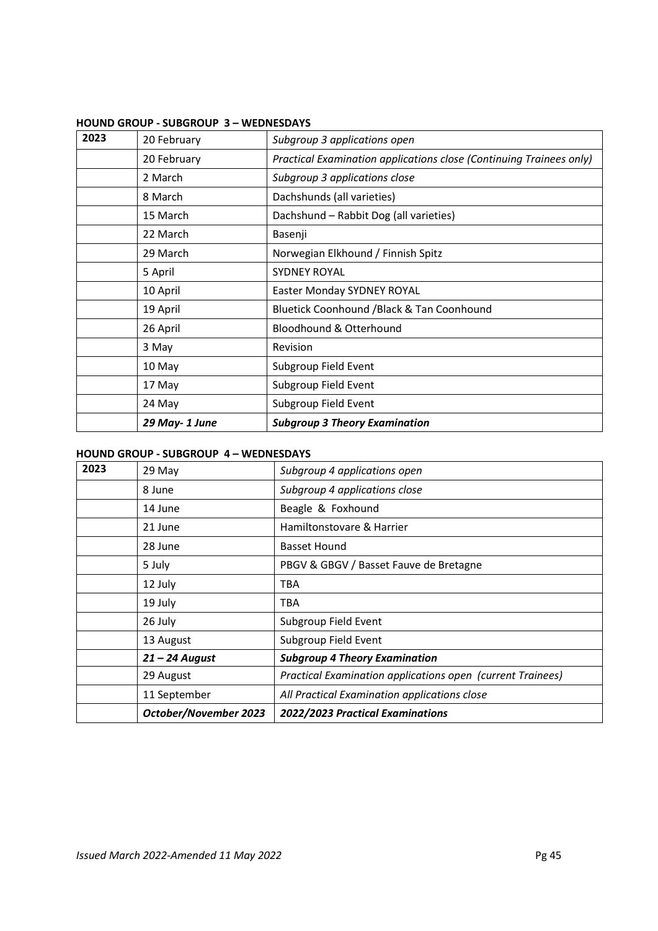| 2023 | 20 February   | Subgroup 3 applications open                                        |
|------|---------------|---------------------------------------------------------------------|
|      | 20 February   | Practical Examination applications close (Continuing Trainees only) |
|      | 2 March       | Subgroup 3 applications close                                       |
|      | 8 March       | Dachshunds (all varieties)                                          |
|      | 15 March      | Dachshund - Rabbit Dog (all varieties)                              |
|      | 22 March      | Basenji                                                             |
|      | 29 March      | Norwegian Elkhound / Finnish Spitz                                  |
|      | 5 April       | <b>SYDNEY ROYAL</b>                                                 |
|      | 10 April      | Easter Monday SYDNEY ROYAL                                          |
|      | 19 April      | Bluetick Coonhound / Black & Tan Coonhound                          |
|      | 26 April      | Bloodhound & Otterhound                                             |
|      | 3 May         | Revision                                                            |
|      | 10 May        | Subgroup Field Event                                                |
|      | 17 May        | Subgroup Field Event                                                |
|      | 24 May        | Subgroup Field Event                                                |
|      | 29 May-1 June | <b>Subgroup 3 Theory Examination</b>                                |

## **HOUND GROUP - SUBGROUP 3 – WEDNESDAYS**

## **HOUND GROUP - SUBGROUP 4 – WEDNESDAYS**

| 2023 | 29 May                       | Subgroup 4 applications open                               |
|------|------------------------------|------------------------------------------------------------|
|      | 8 June                       | Subgroup 4 applications close                              |
|      | 14 June                      | Beagle & Foxhound                                          |
|      | 21 June                      | Hamiltonstovare & Harrier                                  |
|      | 28 June                      | <b>Basset Hound</b>                                        |
|      | 5 July                       | PBGV & GBGV / Basset Fauve de Bretagne                     |
|      | 12 July                      | <b>TBA</b>                                                 |
|      | 19 July                      | <b>TBA</b>                                                 |
|      | 26 July                      | Subgroup Field Event                                       |
|      | 13 August                    | Subgroup Field Event                                       |
|      | $21 - 24$ August             | <b>Subgroup 4 Theory Examination</b>                       |
|      | 29 August                    | Practical Examination applications open (current Trainees) |
|      | 11 September                 | All Practical Examination applications close               |
|      | <b>October/November 2023</b> | 2022/2023 Practical Examinations                           |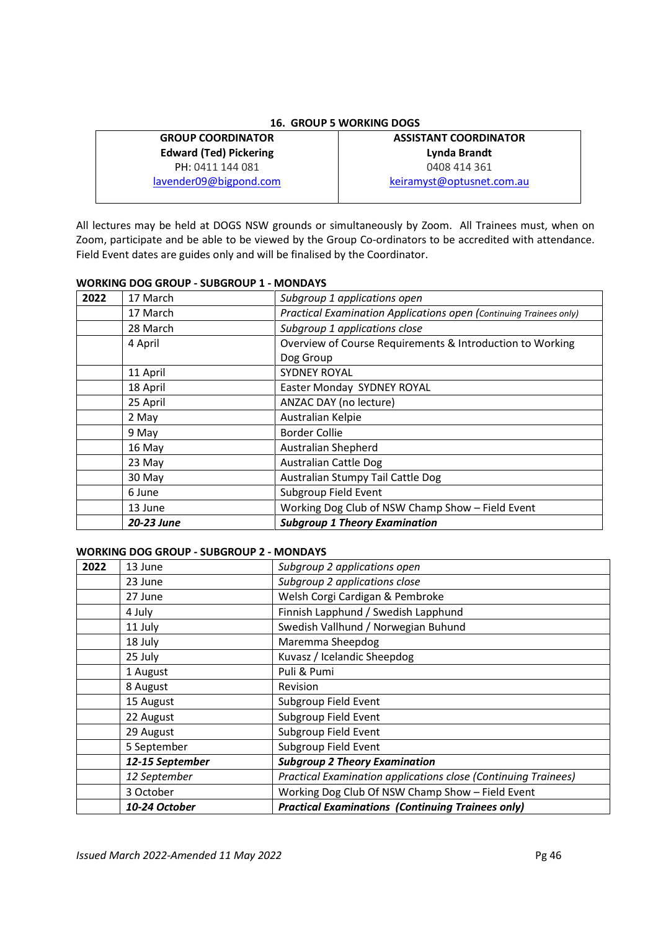## **16. GROUP 5 WORKING DOGS**

# **GROUP COORDINATOR Edward (Ted) Pickering**  PH: 0411 144 081

lavender09@bigpond.com

# **ASSISTANT COORDINATOR Lynda Brandt**  0408 414 361 keiramyst@optusnet.com.au

All lectures may be held at DOGS NSW grounds or simultaneously by Zoom. All Trainees must, when on Zoom, participate and be able to be viewed by the Group Co-ordinators to be accredited with attendance. Field Event dates are guides only and will be finalised by the Coordinator.

## **WORKING DOG GROUP - SUBGROUP 1 - MONDAYS**

| 2022 | 17 March   | Subgroup 1 applications open                                       |
|------|------------|--------------------------------------------------------------------|
|      | 17 March   | Practical Examination Applications open (Continuing Trainees only) |
|      | 28 March   | Subgroup 1 applications close                                      |
|      | 4 April    | Overview of Course Requirements & Introduction to Working          |
|      |            | Dog Group                                                          |
|      | 11 April   | <b>SYDNEY ROYAL</b>                                                |
|      | 18 April   | Easter Monday SYDNEY ROYAL                                         |
|      | 25 April   | ANZAC DAY (no lecture)                                             |
|      | 2 May      | Australian Kelpie                                                  |
|      | 9 May      | <b>Border Collie</b>                                               |
|      | 16 May     | Australian Shepherd                                                |
|      | 23 May     | <b>Australian Cattle Dog</b>                                       |
|      | 30 May     | Australian Stumpy Tail Cattle Dog                                  |
|      | 6 June     | Subgroup Field Event                                               |
|      | 13 June    | Working Dog Club of NSW Champ Show - Field Event                   |
|      | 20-23 June | <b>Subgroup 1 Theory Examination</b>                               |

## **WORKING DOG GROUP - SUBGROUP 2 - MONDAYS**

| 2022 | 13 June                                | Subgroup 2 applications open                                   |  |
|------|----------------------------------------|----------------------------------------------------------------|--|
|      | 23 June                                | Subgroup 2 applications close                                  |  |
|      | 27 June                                | Welsh Corgi Cardigan & Pembroke                                |  |
|      | 4 July                                 | Finnish Lapphund / Swedish Lapphund                            |  |
|      | 11 July                                | Swedish Vallhund / Norwegian Buhund                            |  |
|      | 18 July                                | Maremma Sheepdog                                               |  |
|      | Kuvasz / Icelandic Sheepdog<br>25 July |                                                                |  |
|      | 1 August                               | Puli & Pumi                                                    |  |
|      | 8 August                               | <b>Revision</b>                                                |  |
|      | 15 August                              | Subgroup Field Event                                           |  |
|      | 22 August                              | Subgroup Field Event                                           |  |
|      | Subgroup Field Event<br>29 August      |                                                                |  |
|      | 5 September                            | Subgroup Field Event                                           |  |
|      | 12-15 September                        | <b>Subgroup 2 Theory Examination</b>                           |  |
|      | 12 September                           | Practical Examination applications close (Continuing Trainees) |  |
|      | 3 October                              | Working Dog Club Of NSW Champ Show - Field Event               |  |
|      | 10-24 October                          | <b>Practical Examinations (Continuing Trainees only)</b>       |  |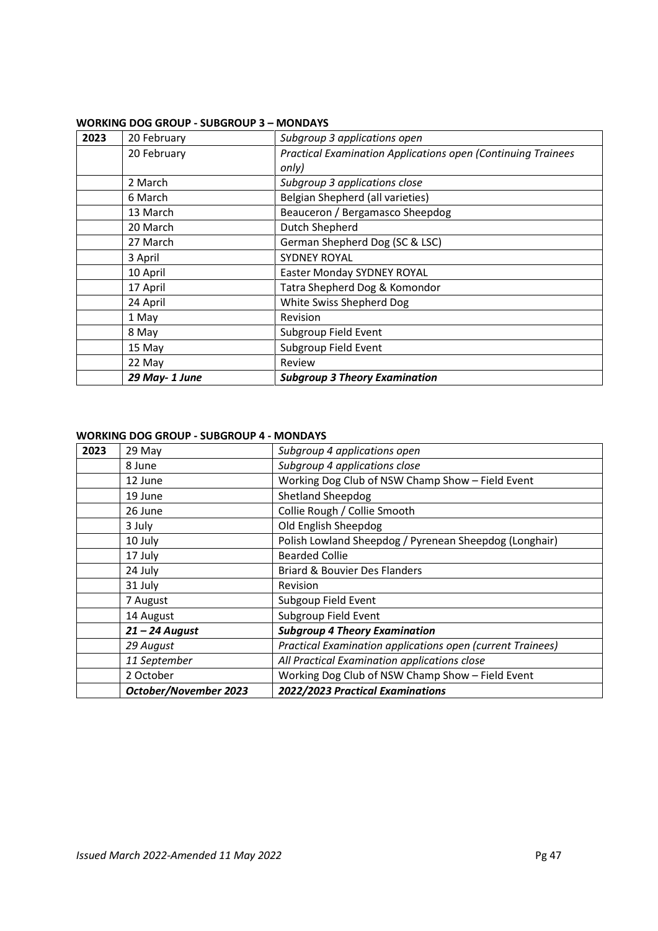| 2023 | 20 February   | Subgroup 3 applications open                                 |
|------|---------------|--------------------------------------------------------------|
|      | 20 February   | Practical Examination Applications open (Continuing Trainees |
|      |               | only)                                                        |
|      | 2 March       | Subgroup 3 applications close                                |
|      | 6 March       | Belgian Shepherd (all varieties)                             |
|      | 13 March      | Beauceron / Bergamasco Sheepdog                              |
|      | 20 March      | Dutch Shepherd                                               |
|      | 27 March      | German Shepherd Dog (SC & LSC)                               |
|      | 3 April       | <b>SYDNEY ROYAL</b>                                          |
|      | 10 April      | Easter Monday SYDNEY ROYAL                                   |
|      | 17 April      | Tatra Shepherd Dog & Komondor                                |
|      | 24 April      | White Swiss Shepherd Dog                                     |
|      | 1 May         | Revision                                                     |
|      | 8 May         | Subgroup Field Event                                         |
|      | 15 May        | Subgroup Field Event                                         |
|      | 22 May        | Review                                                       |
|      | 29 May-1 June | <b>Subgroup 3 Theory Examination</b>                         |

## **WORKING DOG GROUP - SUBGROUP 3 – MONDAYS**

## **WORKING DOG GROUP - SUBGROUP 4 - MONDAYS**

| 2023 | 29 May                       | Subgroup 4 applications open                               |
|------|------------------------------|------------------------------------------------------------|
|      | 8 June                       | Subgroup 4 applications close                              |
|      | 12 June                      | Working Dog Club of NSW Champ Show - Field Event           |
|      | 19 June                      | <b>Shetland Sheepdog</b>                                   |
|      | 26 June                      | Collie Rough / Collie Smooth                               |
|      | 3 July                       | Old English Sheepdog                                       |
|      | 10 July                      | Polish Lowland Sheepdog / Pyrenean Sheepdog (Longhair)     |
|      | 17 July                      | <b>Bearded Collie</b>                                      |
|      | 24 July                      | <b>Briard &amp; Bouvier Des Flanders</b>                   |
|      | 31 July                      | Revision                                                   |
|      | 7 August                     | Subgoup Field Event                                        |
|      | 14 August                    | Subgroup Field Event                                       |
|      | $21 - 24$ August             | <b>Subgroup 4 Theory Examination</b>                       |
|      | 29 August                    | Practical Examination applications open (current Trainees) |
|      | 11 September                 | All Practical Examination applications close               |
|      | 2 October                    | Working Dog Club of NSW Champ Show - Field Event           |
|      | <b>October/November 2023</b> | 2022/2023 Practical Examinations                           |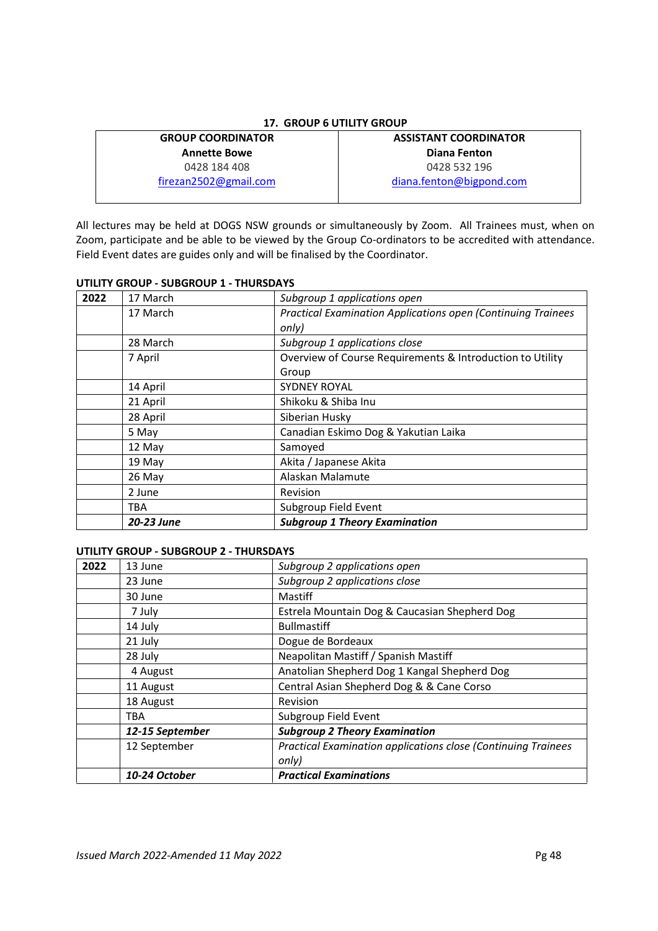## **17. GROUP 6 UTILITY GROUP**

**GROUP COORDINATOR Annette Bowe**  0428 184 408 firezan2502@gmail.com

# **ASSISTANT COORDINATOR Diana Fenton**  0428 532 196 diana.fenton@bigpond.com

All lectures may be held at DOGS NSW grounds or simultaneously by Zoom. All Trainees must, when on Zoom, participate and be able to be viewed by the Group Co-ordinators to be accredited with attendance. Field Event dates are guides only and will be finalised by the Coordinator.

## **UTILITY GROUP - SUBGROUP 1 - THURSDAYS**

| 2022 | 17 March   | Subgroup 1 applications open                                        |
|------|------------|---------------------------------------------------------------------|
|      | 17 March   | <b>Practical Examination Applications open (Continuing Trainees</b> |
|      |            | only)                                                               |
|      | 28 March   | Subgroup 1 applications close                                       |
|      | 7 April    | Overview of Course Requirements & Introduction to Utility           |
|      |            | Group                                                               |
|      | 14 April   | <b>SYDNEY ROYAL</b>                                                 |
|      | 21 April   | Shikoku & Shiba Inu                                                 |
|      | 28 April   | Siberian Husky                                                      |
|      | 5 May      | Canadian Eskimo Dog & Yakutian Laika                                |
|      | 12 May     | Samoyed                                                             |
|      | 19 May     | Akita / Japanese Akita                                              |
|      | 26 May     | Alaskan Malamute                                                    |
|      | 2 June     | Revision                                                            |
|      | TBA        | Subgroup Field Event                                                |
|      | 20-23 June | <b>Subgroup 1 Theory Examination</b>                                |

## **UTILITY GROUP - SUBGROUP 2 - THURSDAYS**

| 2022 | 13 June         | Subgroup 2 applications open                                  |
|------|-----------------|---------------------------------------------------------------|
|      | 23 June         | Subgroup 2 applications close                                 |
|      | 30 June         | Mastiff                                                       |
|      | 7 July          | Estrela Mountain Dog & Caucasian Shepherd Dog                 |
|      | 14 July         | <b>Bullmastiff</b>                                            |
|      | 21 July         | Dogue de Bordeaux                                             |
|      | 28 July         | Neapolitan Mastiff / Spanish Mastiff                          |
|      | 4 August        | Anatolian Shepherd Dog 1 Kangal Shepherd Dog                  |
|      | 11 August       | Central Asian Shepherd Dog & & Cane Corso                     |
|      | 18 August       | Revision                                                      |
|      | TBA             | Subgroup Field Event                                          |
|      | 12-15 September | <b>Subgroup 2 Theory Examination</b>                          |
|      | 12 September    | Practical Examination applications close (Continuing Trainees |
|      |                 | only)                                                         |
|      | 10-24 October   | <b>Practical Examinations</b>                                 |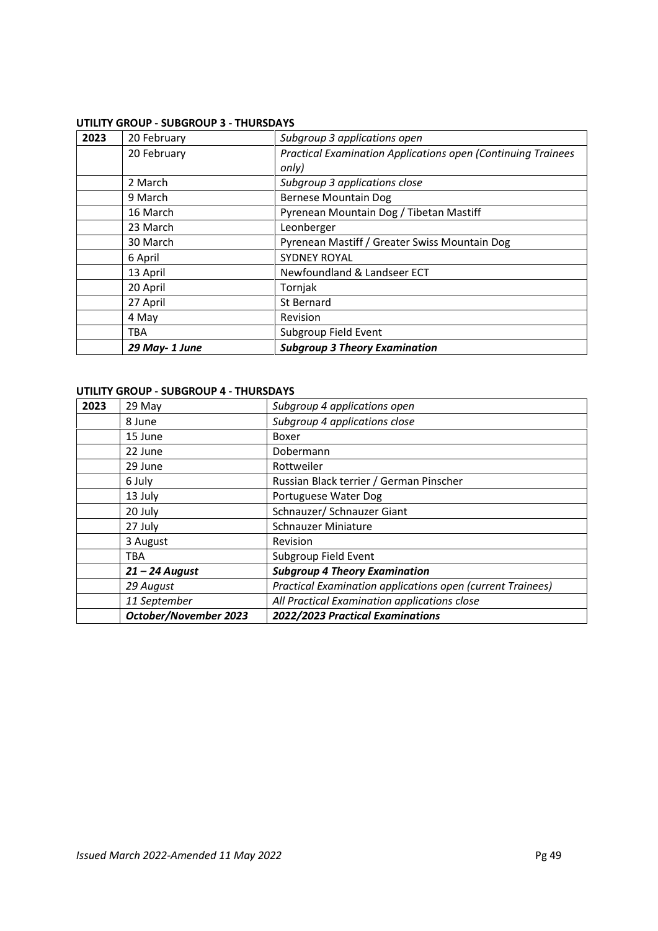## **UTILITY GROUP - SUBGROUP 3 - THURSDAYS**

| 2023 | 20 February   | Subgroup 3 applications open                                         |
|------|---------------|----------------------------------------------------------------------|
|      | 20 February   | <b>Practical Examination Applications open (Continuing Trainees)</b> |
|      |               | only)                                                                |
|      | 2 March       | Subgroup 3 applications close                                        |
|      | 9 March       | <b>Bernese Mountain Dog</b>                                          |
|      | 16 March      | Pyrenean Mountain Dog / Tibetan Mastiff                              |
|      | 23 March      | Leonberger                                                           |
|      | 30 March      | Pyrenean Mastiff / Greater Swiss Mountain Dog                        |
|      | 6 April       | <b>SYDNEY ROYAL</b>                                                  |
|      | 13 April      | Newfoundland & Landseer ECT                                          |
|      | 20 April      | Tornjak                                                              |
|      | 27 April      | St Bernard                                                           |
|      | 4 May         | Revision                                                             |
|      | <b>TBA</b>    | Subgroup Field Event                                                 |
|      | 29 May-1 June | <b>Subgroup 3 Theory Examination</b>                                 |

## **UTILITY GROUP - SUBGROUP 4 - THURSDAYS**

| 2023 | 29 May                       | Subgroup 4 applications open                               |  |
|------|------------------------------|------------------------------------------------------------|--|
|      | 8 June                       | Subgroup 4 applications close                              |  |
|      | 15 June                      | Boxer                                                      |  |
|      | 22 June                      | Dobermann                                                  |  |
|      | 29 June                      | Rottweiler                                                 |  |
|      | 6 July                       | Russian Black terrier / German Pinscher                    |  |
|      | 13 July                      | Portuguese Water Dog                                       |  |
|      | 20 July                      | Schnauzer/ Schnauzer Giant                                 |  |
|      | 27 July                      | <b>Schnauzer Miniature</b>                                 |  |
|      | 3 August                     | <b>Revision</b>                                            |  |
|      | TBA                          | Subgroup Field Event                                       |  |
|      | $21 - 24$ August             | <b>Subgroup 4 Theory Examination</b>                       |  |
|      | 29 August                    | Practical Examination applications open (current Trainees) |  |
|      | 11 September                 | All Practical Examination applications close               |  |
|      | <b>October/November 2023</b> | 2022/2023 Practical Examinations                           |  |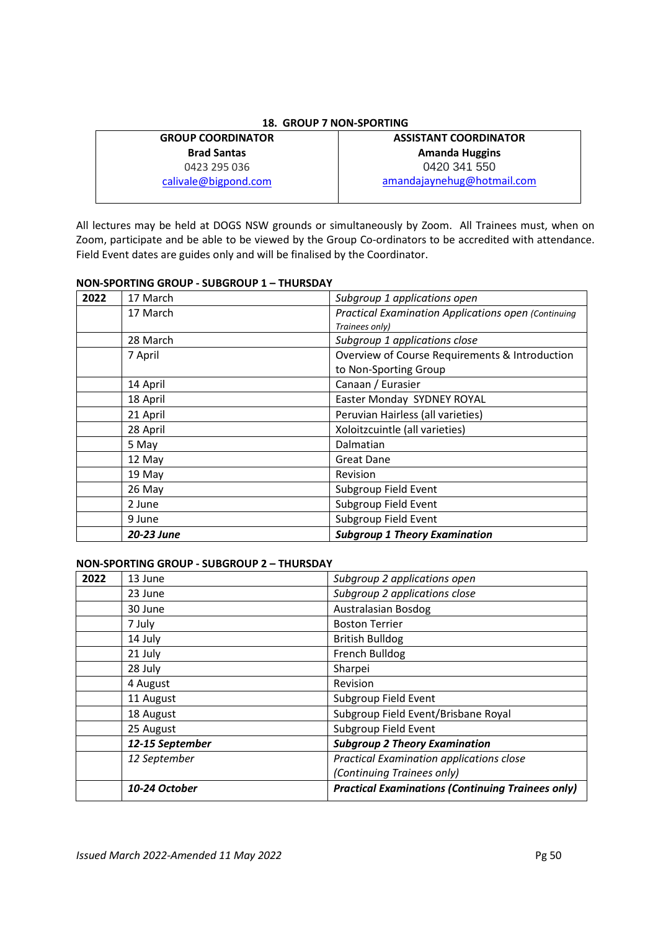## **18. GROUP 7 NON-SPORTING**

## **GROUP COORDINATOR Brad Santas** 0423 295 036 calivale@bigpond.com

# **ASSISTANT COORDINATOR Amanda Huggins**  0420 341 550 amandajaynehug@hotmail.com

All lectures may be held at DOGS NSW grounds or simultaneously by Zoom. All Trainees must, when on Zoom, participate and be able to be viewed by the Group Co-ordinators to be accredited with attendance. Field Event dates are guides only and will be finalised by the Coordinator.

## **NON-SPORTING GROUP - SUBGROUP 1 – THURSDAY**

| 2022 | 17 March   | Subgroup 1 applications open                               |
|------|------------|------------------------------------------------------------|
|      | 17 March   | <b>Practical Examination Applications open (Continuing</b> |
|      |            | Trainees only)                                             |
|      | 28 March   | Subgroup 1 applications close                              |
|      | 7 April    | Overview of Course Requirements & Introduction             |
|      |            | to Non-Sporting Group                                      |
|      | 14 April   | Canaan / Eurasier                                          |
|      | 18 April   | Easter Monday SYDNEY ROYAL                                 |
|      | 21 April   | Peruvian Hairless (all varieties)                          |
|      | 28 April   | Xoloitzcuintle (all varieties)                             |
|      | 5 May      | Dalmatian                                                  |
|      | 12 May     | <b>Great Dane</b>                                          |
|      | 19 May     | Revision                                                   |
|      | 26 May     | Subgroup Field Event                                       |
|      | 2 June     | Subgroup Field Event                                       |
|      | 9 June     | Subgroup Field Event                                       |
|      | 20-23 June | <b>Subgroup 1 Theory Examination</b>                       |

## **NON-SPORTING GROUP - SUBGROUP 2 – THURSDAY**

| 2022 | 13 June         | Subgroup 2 applications open                             |
|------|-----------------|----------------------------------------------------------|
|      | 23 June         | Subgroup 2 applications close                            |
|      | 30 June         | <b>Australasian Bosdog</b>                               |
|      | 7 July          | <b>Boston Terrier</b>                                    |
|      | 14 July         | <b>British Bulldog</b>                                   |
|      | 21 July         | French Bulldog                                           |
|      | 28 July         | Sharpei                                                  |
|      | 4 August        | Revision                                                 |
|      | 11 August       | Subgroup Field Event                                     |
|      | 18 August       | Subgroup Field Event/Brisbane Royal                      |
|      | 25 August       | Subgroup Field Event                                     |
|      | 12-15 September | <b>Subgroup 2 Theory Examination</b>                     |
|      | 12 September    | Practical Examination applications close                 |
|      |                 | (Continuing Trainees only)                               |
|      | 10-24 October   | <b>Practical Examinations (Continuing Trainees only)</b> |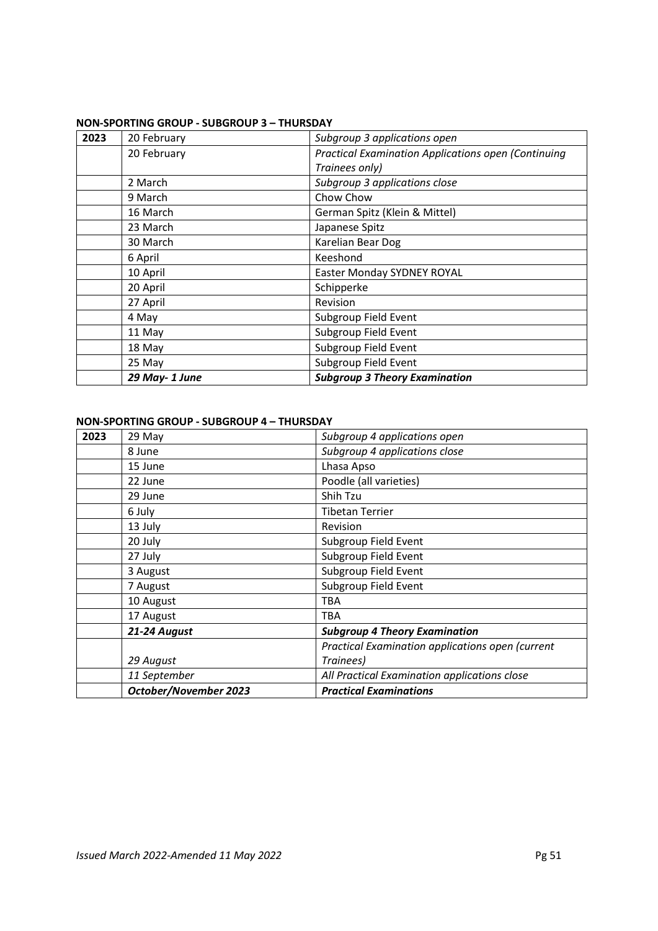## **NON-SPORTING GROUP - SUBGROUP 3 – THURSDAY**

| 2023 | 20 February   | Subgroup 3 applications open                               |
|------|---------------|------------------------------------------------------------|
|      | 20 February   | <b>Practical Examination Applications open (Continuing</b> |
|      |               | Trainees only)                                             |
|      | 2 March       | Subgroup 3 applications close                              |
|      | 9 March       | Chow Chow                                                  |
|      | 16 March      | German Spitz (Klein & Mittel)                              |
|      | 23 March      | Japanese Spitz                                             |
|      | 30 March      | Karelian Bear Dog                                          |
|      | 6 April       | Keeshond                                                   |
|      | 10 April      | Easter Monday SYDNEY ROYAL                                 |
|      | 20 April      | Schipperke                                                 |
|      | 27 April      | Revision                                                   |
|      | 4 May         | Subgroup Field Event                                       |
|      | 11 May        | Subgroup Field Event                                       |
|      | 18 May        | Subgroup Field Event                                       |
|      | 25 May        | Subgroup Field Event                                       |
|      | 29 May-1 June | <b>Subgroup 3 Theory Examination</b>                       |

# **NON-SPORTING GROUP - SUBGROUP 4 – THURSDAY**

| 2023 | 29 May                | Subgroup 4 applications open                     |
|------|-----------------------|--------------------------------------------------|
|      | 8 June                | Subgroup 4 applications close                    |
|      | 15 June               | Lhasa Apso                                       |
|      | 22 June               | Poodle (all varieties)                           |
|      | 29 June               | Shih Tzu                                         |
|      | 6 July                | <b>Tibetan Terrier</b>                           |
|      | 13 July               | Revision                                         |
|      | 20 July               | Subgroup Field Event                             |
|      | 27 July               | Subgroup Field Event                             |
|      | 3 August              | Subgroup Field Event                             |
|      | 7 August              | Subgroup Field Event                             |
|      | 10 August             | <b>TBA</b>                                       |
|      | 17 August             | <b>TBA</b>                                       |
|      | 21-24 August          | <b>Subgroup 4 Theory Examination</b>             |
|      |                       | Practical Examination applications open (current |
|      | 29 August             | Trainees)                                        |
|      | 11 September          | All Practical Examination applications close     |
|      | October/November 2023 | <b>Practical Examinations</b>                    |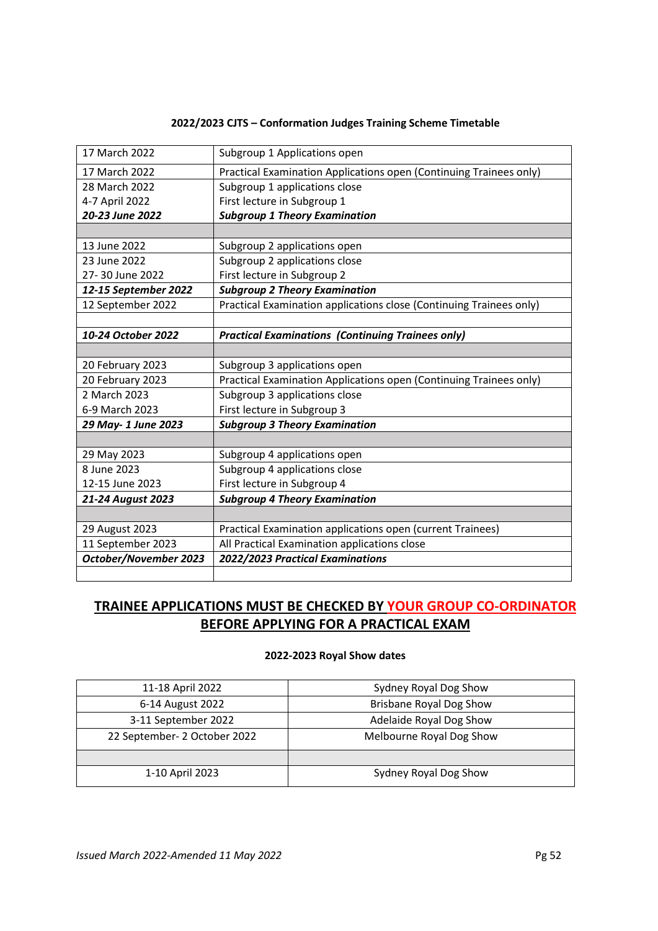## **2022/2023 CJTS – Conformation Judges Training Scheme Timetable**

| 17 March 2022         | Subgroup 1 Applications open                                        |  |
|-----------------------|---------------------------------------------------------------------|--|
| 17 March 2022         | Practical Examination Applications open (Continuing Trainees only)  |  |
| 28 March 2022         | Subgroup 1 applications close                                       |  |
| 4-7 April 2022        | First lecture in Subgroup 1                                         |  |
| 20-23 June 2022       | <b>Subgroup 1 Theory Examination</b>                                |  |
|                       |                                                                     |  |
| 13 June 2022          | Subgroup 2 applications open                                        |  |
| 23 June 2022          | Subgroup 2 applications close                                       |  |
| 27-30 June 2022       | First lecture in Subgroup 2                                         |  |
| 12-15 September 2022  | <b>Subgroup 2 Theory Examination</b>                                |  |
| 12 September 2022     | Practical Examination applications close (Continuing Trainees only) |  |
|                       |                                                                     |  |
| 10-24 October 2022    | <b>Practical Examinations (Continuing Trainees only)</b>            |  |
|                       |                                                                     |  |
| 20 February 2023      | Subgroup 3 applications open                                        |  |
| 20 February 2023      | Practical Examination Applications open (Continuing Trainees only)  |  |
| 2 March 2023          | Subgroup 3 applications close                                       |  |
| 6-9 March 2023        | First lecture in Subgroup 3                                         |  |
| 29 May- 1 June 2023   | <b>Subgroup 3 Theory Examination</b>                                |  |
|                       |                                                                     |  |
| 29 May 2023           | Subgroup 4 applications open                                        |  |
| 8 June 2023           | Subgroup 4 applications close                                       |  |
| 12-15 June 2023       | First lecture in Subgroup 4                                         |  |
| 21-24 August 2023     | <b>Subgroup 4 Theory Examination</b>                                |  |
|                       |                                                                     |  |
| 29 August 2023        | Practical Examination applications open (current Trainees)          |  |
| 11 September 2023     | All Practical Examination applications close                        |  |
|                       |                                                                     |  |
| October/November 2023 | 2022/2023 Practical Examinations                                    |  |
|                       |                                                                     |  |

# **TRAINEE APPLICATIONS MUST BE CHECKED BY YOUR GROUP CO-ORDINATOR BEFORE APPLYING FOR A PRACTICAL EXAM**

# **2022-2023 Royal Show dates**

| 11-18 April 2022             | Sydney Royal Dog Show          |
|------------------------------|--------------------------------|
| 6-14 August 2022             | <b>Brisbane Royal Dog Show</b> |
| 3-11 September 2022          | Adelaide Royal Dog Show        |
| 22 September- 2 October 2022 | Melbourne Royal Dog Show       |
|                              |                                |
| 1-10 April 2023              | Sydney Royal Dog Show          |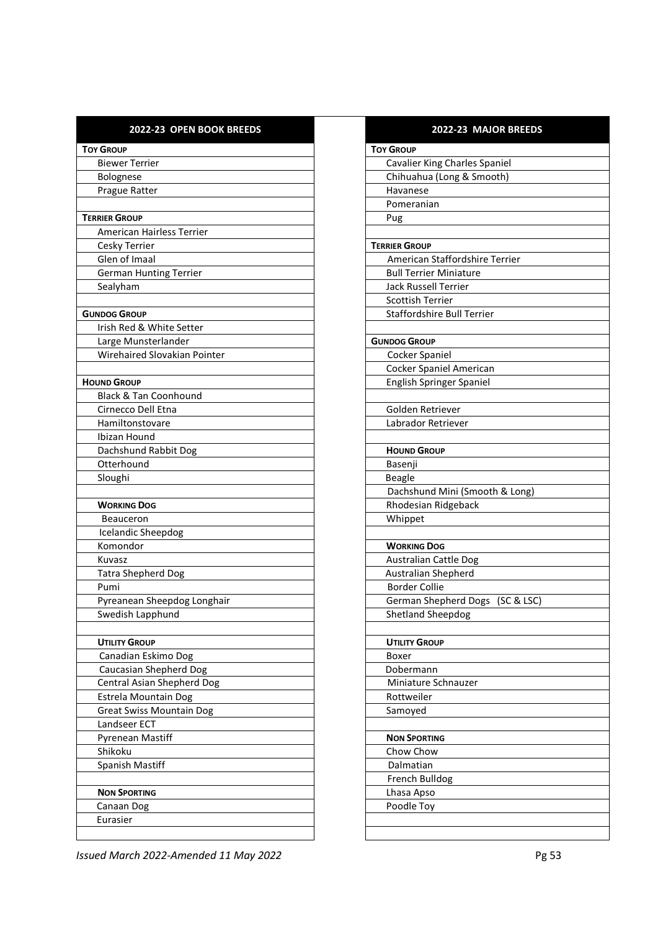| 2022-23 OPEN BOOK BREEDS         | 2022-23 MAJOR BREEDS              |
|----------------------------------|-----------------------------------|
| <b>TOY GROUP</b>                 | <b>TOY GROUP</b>                  |
| <b>Biewer Terrier</b>            | Cavalier King Charles Spaniel     |
| Bolognese                        | Chihuahua (Long & Smooth)         |
| Prague Ratter                    | Havanese                          |
|                                  | Pomeranian                        |
| <b>TERRIER GROUP</b>             | Pug                               |
| American Hairless Terrier        |                                   |
| Cesky Terrier                    | <b>TERRIER GROUP</b>              |
| Glen of Imaal                    | American Staffordshire Terrier    |
| <b>German Hunting Terrier</b>    | <b>Bull Terrier Miniature</b>     |
| Sealyham                         | <b>Jack Russell Terrier</b>       |
|                                  | <b>Scottish Terrier</b>           |
| <b>GUNDOG GROUP</b>              | <b>Staffordshire Bull Terrier</b> |
| Irish Red & White Setter         |                                   |
| Large Munsterlander              | <b>GUNDOG GROUP</b>               |
| Wirehaired Slovakian Pointer     | Cocker Spaniel                    |
|                                  | Cocker Spaniel American           |
| <b>HOUND GROUP</b>               | <b>English Springer Spaniel</b>   |
| <b>Black &amp; Tan Coonhound</b> |                                   |
| Cirnecco Dell Etna               | Golden Retriever                  |
| Hamiltonstovare                  | Labrador Retriever                |
| Ibizan Hound                     |                                   |
| Dachshund Rabbit Dog             | <b>HOUND GROUP</b>                |
| Otterhound                       | Basenji                           |
| Sloughi                          | <b>Beagle</b>                     |
|                                  | Dachshund Mini (Smooth & Long)    |
| <b>WORKING DOG</b>               | Rhodesian Ridgeback               |
| <b>Beauceron</b>                 | Whippet                           |
| <b>Icelandic Sheepdog</b>        |                                   |
| Komondor                         | <b>WORKING DOG</b>                |
| Kuvasz                           | <b>Australian Cattle Dog</b>      |
| <b>Tatra Shepherd Dog</b>        | Australian Shepherd               |
| Pumi                             | <b>Border Collie</b>              |
| Pyreanean Sheepdog Longhair      | German Shepherd Dogs (SC & LSC)   |
| Swedish Lapphund                 | <b>Shetland Sheepdog</b>          |
|                                  |                                   |
| <b>UTILITY GROUP</b>             | <b>UTILITY GROUP</b>              |
| Canadian Eskimo Dog              | Boxer                             |
| Caucasian Shepherd Dog           | Dobermann                         |
| Central Asian Shepherd Dog       | Miniature Schnauzer               |
| Estrela Mountain Dog             | Rottweiler                        |
| <b>Great Swiss Mountain Dog</b>  | Samoyed                           |
| Landseer ECT                     |                                   |
| Pyrenean Mastiff                 | <b>NON SPORTING</b>               |
| Shikoku                          | Chow Chow                         |
| Spanish Mastiff                  | Dalmatian                         |
|                                  | French Bulldog                    |
| <b>NON SPORTING</b>              | Lhasa Apso                        |
| Canaan Dog                       | Poodle Toy                        |
| Eurasier                         |                                   |
|                                  |                                   |

| <u>ZUZZ-ZJ IVIMJUN DNLLDJ</u>             |
|-------------------------------------------|
| <b>TOY GROUP</b>                          |
| Cavalier King Charles Spaniel             |
| Chihuahua (Long & Smooth)                 |
| Havanese                                  |
| Pomeranian                                |
| Pug                                       |
|                                           |
| <b>TERRIER GROUP</b>                      |
| American Staffordshire Terrier            |
| <b>Bull Terrier Miniature</b>             |
| <b>Jack Russell Terrier</b>               |
| <b>Scottish Terrier</b>                   |
| Staffordshire Bull Terrier                |
|                                           |
| <b>GUNDOG GROUP</b>                       |
| Cocker Spaniel                            |
| Cocker Spaniel American                   |
| English Springer Spaniel                  |
|                                           |
| Golden Retriever                          |
| Labrador Retriever                        |
|                                           |
| <b>HOUND GROUP</b>                        |
| Basenji                                   |
| Beagle                                    |
| Dachshund Mini (Smooth & Long)            |
| Rhodesian Ridgeback                       |
| Whippet                                   |
|                                           |
| <b>WORKING DOG</b>                        |
| <b>Australian Cattle Dog</b>              |
| Australian Shepherd                       |
| <b>Border Collie</b>                      |
| <b>German Shepherd Dogs</b><br>(SC & LSC) |
| Shetland Sheepdog                         |
|                                           |
| <b>UTILITY GROUP</b>                      |
| Boxer                                     |
| Dobermann                                 |
| Miniature Schnauzer                       |
| Rottweiler                                |
| Samoyed                                   |
|                                           |
| <b>NON SPORTING</b>                       |
| Chow Chow                                 |
| Dalmatian                                 |
| French Bulldog                            |
| Lhasa Apso                                |
| Poodle Toy                                |
|                                           |
|                                           |

*Issued March 2022-Amended 11 May 2022* Pg 53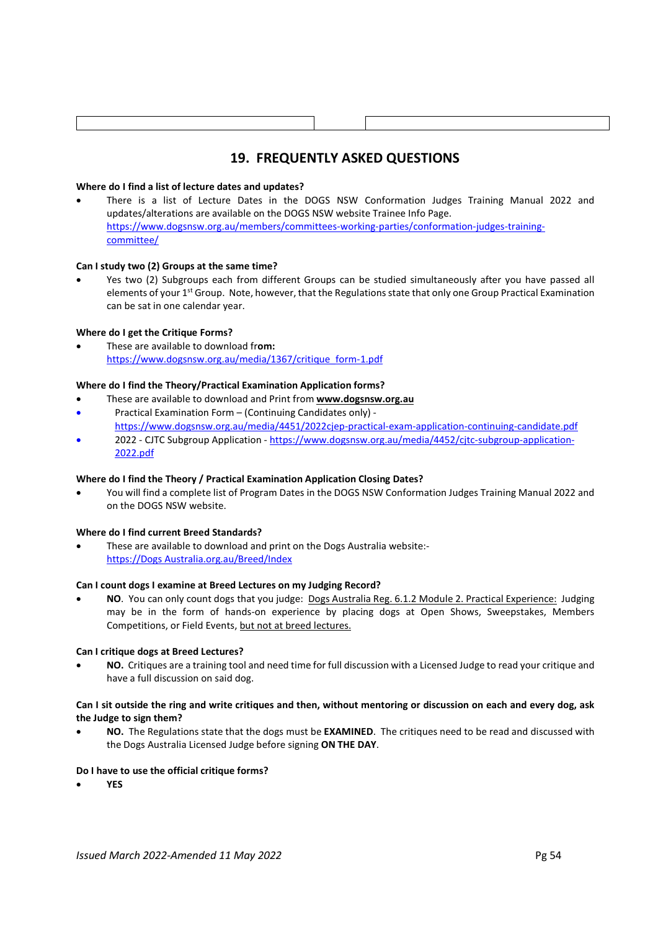# **19. FREQUENTLY ASKED QUESTIONS**

## **Where do I find a list of lecture dates and updates?**

 There is a list of Lecture Dates in the DOGS NSW Conformation Judges Training Manual 2022 and updates/alterations are available on the DOGS NSW website Trainee Info Page. https://www.dogsnsw.org.au/members/committees-working-parties/conformation-judges-trainingcommittee/

## **Can I study two (2) Groups at the same time?**

 Yes two (2) Subgroups each from different Groups can be studied simultaneously after you have passed all elements of your 1<sup>st</sup> Group. Note, however, that the Regulations state that only one Group Practical Examination can be sat in one calendar year.

## **Where do I get the Critique Forms?**

 These are available to download fr**om:** https://www.dogsnsw.org.au/media/1367/critique\_form-1.pdf

## **Where do I find the Theory/Practical Examination Application forms?**

- These are available to download and Print from **www.dogsnsw.org.au**
- Practical Examination Form (Continuing Candidates only) https://www.dogsnsw.org.au/media/4451/2022cjep-practical-exam-application-continuing-candidate.pdf
- 2022 CJTC Subgroup Application https://www.dogsnsw.org.au/media/4452/cjtc-subgroup-application-2022.pdf

## **Where do I find the Theory / Practical Examination Application Closing Dates?**

 You will find a complete list of Program Dates in the DOGS NSW Conformation Judges Training Manual 2022 and on the DOGS NSW website.

## **Where do I find current Breed Standards?**

 These are available to download and print on the Dogs Australia website: https://Dogs Australia.org.au/Breed/Index

## **Can I count dogs I examine at Breed Lectures on my Judging Record?**

 **NO**. You can only count dogs that you judge: Dogs Australia Reg. 6.1.2 Module 2. Practical Experience: Judging may be in the form of hands-on experience by placing dogs at Open Shows, Sweepstakes, Members Competitions, or Field Events, but not at breed lectures.

## **Can I critique dogs at Breed Lectures?**

 **NO.** Critiques are a training tool and need time for full discussion with a Licensed Judge to read your critique and have a full discussion on said dog.

## **Can I sit outside the ring and write critiques and then, without mentoring or discussion on each and every dog, ask the Judge to sign them?**

 **NO.** The Regulations state that the dogs must be **EXAMINED**. The critiques need to be read and discussed with the Dogs Australia Licensed Judge before signing **ON THE DAY**.

## **Do I have to use the official critique forms?**

**YES**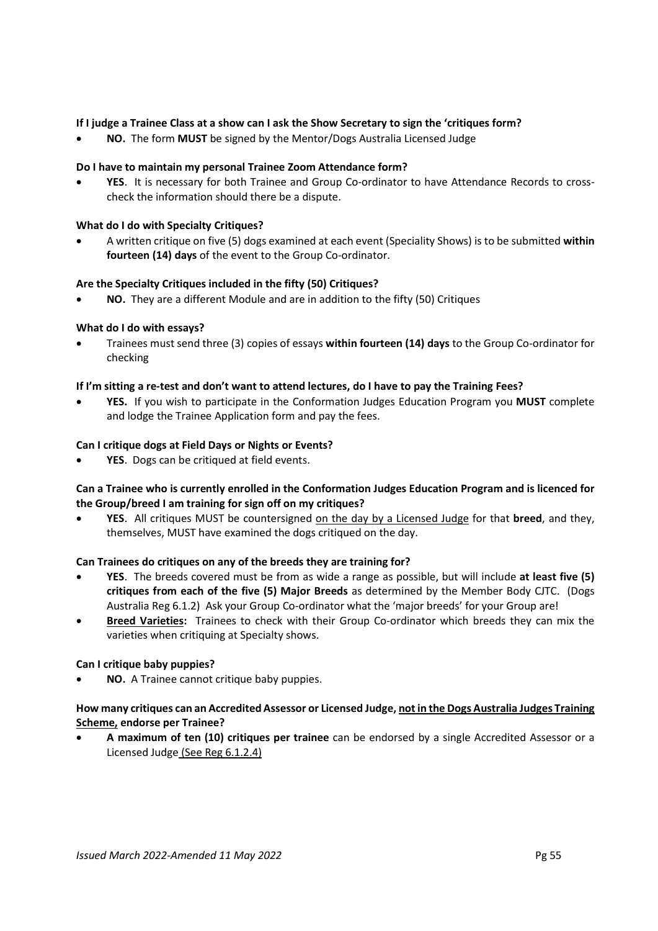## **If I judge a Trainee Class at a show can I ask the Show Secretary to sign the 'critiques form?**

**NO.** The form **MUST** be signed by the Mentor/Dogs Australia Licensed Judge

## **Do I have to maintain my personal Trainee Zoom Attendance form?**

 **YES**. It is necessary for both Trainee and Group Co-ordinator to have Attendance Records to crosscheck the information should there be a dispute.

## **What do I do with Specialty Critiques?**

 A written critique on five (5) dogs examined at each event (Speciality Shows) is to be submitted **within fourteen (14) days** of the event to the Group Co-ordinator.

## **Are the Specialty Critiques included in the fifty (50) Critiques?**

**NO.** They are a different Module and are in addition to the fifty (50) Critiques

## **What do I do with essays?**

 Trainees must send three (3) copies of essays **within fourteen (14) days** to the Group Co-ordinator for checking

## **If I'm sitting a re-test and don't want to attend lectures, do I have to pay the Training Fees?**

 **YES.** If you wish to participate in the Conformation Judges Education Program you **MUST** complete and lodge the Trainee Application form and pay the fees.

## **Can I critique dogs at Field Days or Nights or Events?**

**YES**. Dogs can be critiqued at field events.

## **Can a Trainee who is currently enrolled in the Conformation Judges Education Program and is licenced for the Group/breed I am training for sign off on my critiques?**

 **YES**. All critiques MUST be countersigned on the day by a Licensed Judge for that **breed**, and they, themselves, MUST have examined the dogs critiqued on the day.

## **Can Trainees do critiques on any of the breeds they are training for?**

- **YES**. The breeds covered must be from as wide a range as possible, but will include **at least five (5) critiques from each of the five (5) Major Breeds** as determined by the Member Body CJTC. (Dogs Australia Reg 6.1.2) Ask your Group Co-ordinator what the 'major breeds' for your Group are!
- **Breed Varieties:** Trainees to check with their Group Co-ordinator which breeds they can mix the varieties when critiquing at Specialty shows.

## **Can I critique baby puppies?**

**NO.** A Trainee cannot critique baby puppies.

## **How many critiques can an Accredited Assessor or Licensed Judge, not in the Dogs Australia Judges Training Scheme, endorse per Trainee?**

 **A maximum of ten (10) critiques per trainee** can be endorsed by a single Accredited Assessor or a Licensed Judge (See Reg 6.1.2.4)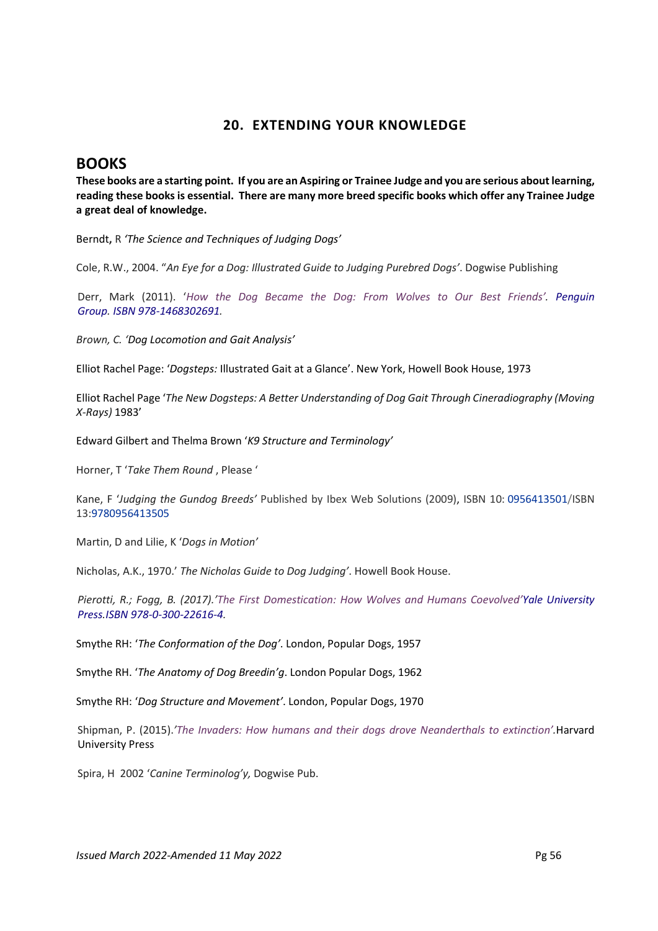# **20. EXTENDING YOUR KNOWLEDGE**

# **BOOKS**

**These books are a starting point. If you are an Aspiring or Trainee Judge and you are serious about learning, reading these books is essential. There are many more breed specific books which offer any Trainee Judge a great deal of knowledge.** 

Berndt**,** R *'The Science and Techniques of Judging Dogs'*

Cole, R.W., 2004. "*An Eye for a Dog: Illustrated Guide to Judging Purebred Dogs'*. Dogwise Publishing

Derr, Mark (2011). '*How the Dog Became the Dog: From Wolves to Our Best Friends'. Penguin Group. ISBN 978-1468302691.* 

*Brown, C. 'Dog Locomotion and Gait Analysis'*

Elliot Rachel Page: '*Dogsteps:* Illustrated Gait at a Glance'. New York, Howell Book House, 1973

Elliot Rachel Page '*The New Dogsteps: A Better Understanding of Dog Gait Through Cineradiography (Moving X-Rays)* 1983'

Edward Gilbert and Thelma Brown '*K9 Structure and Terminology'* 

Horner, T '*Take Them Round* , Please '

Kane, F '*Judging the Gundog Breeds'* Published by Ibex Web Solutions (2009), ISBN 10: 0956413501/ISBN 13:9780956413505

Martin, D and Lilie, K '*Dogs in Motion'*

Nicholas, A.K., 1970.' *The Nicholas Guide to Dog Judging'*. Howell Book House.

*Pierotti, R.; Fogg, B. (2017).'The First Domestication: How Wolves and Humans Coevolved'Yale University Press.ISBN 978-0-300-22616-4.* 

Smythe RH: '*The Conformation of the Dog'*. London, Popular Dogs, 1957

Smythe RH. '*The Anatomy of Dog Breedin'g*. London Popular Dogs, 1962

Smythe RH: '*Dog Structure and Movement'*. London, Popular Dogs, 1970

Shipman, P. (2015).*'The Invaders: How humans and their dogs drove Neanderthals to extinction'.*Harvard University Press

Spira, H 2002 '*Canine Terminolog'y,* Dogwise Pub.